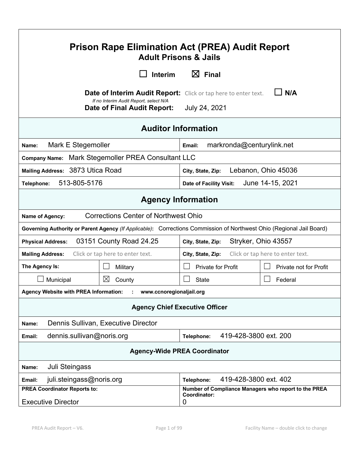| Prison Rape Elimination Act (PREA) Audit Report<br><b>Adult Prisons &amp; Jails</b>                                                                                       |                                             |                                                                                                                      |                        |
|---------------------------------------------------------------------------------------------------------------------------------------------------------------------------|---------------------------------------------|----------------------------------------------------------------------------------------------------------------------|------------------------|
|                                                                                                                                                                           | Interim                                     | $\boxtimes$ Final                                                                                                    |                        |
| N/A<br>Date of Interim Audit Report:<br>Click or tap here to enter text.<br>If no Interim Audit Report, select N/A<br>July 24, 2021<br><b>Date of Final Audit Report:</b> |                                             |                                                                                                                      |                        |
|                                                                                                                                                                           |                                             | <b>Auditor Information</b>                                                                                           |                        |
| Mark E Stegemoller<br>Name:                                                                                                                                               |                                             | markronda@centurylink.net<br>Email:                                                                                  |                        |
| <b>Company Name:</b>                                                                                                                                                      | Mark Stegemoller PREA Consultant LLC        |                                                                                                                      |                        |
| Mailing Address: 3873 Utica Road<br>Lebanon, Ohio 45036<br>City, State, Zip:                                                                                              |                                             |                                                                                                                      |                        |
| 513-805-5176<br>Telephone:                                                                                                                                                |                                             | <b>Date of Facility Visit:</b>                                                                                       | June 14-15, 2021       |
| <b>Agency Information</b>                                                                                                                                                 |                                             |                                                                                                                      |                        |
| <b>Name of Agency:</b>                                                                                                                                                    | <b>Corrections Center of Northwest Ohio</b> |                                                                                                                      |                        |
|                                                                                                                                                                           |                                             | Governing Authority or Parent Agency (If Applicable): Corrections Commission of Northwest Ohio (Regional Jail Board) |                        |
| 03151 County Road 24.25<br>Stryker, Ohio 43557<br><b>Physical Address:</b><br>City, State, Zip:                                                                           |                                             |                                                                                                                      |                        |
| Click or tap here to enter text.<br>Click or tap here to enter text.<br><b>Mailing Address:</b><br>City, State, Zip:                                                      |                                             |                                                                                                                      |                        |
| The Agency Is:                                                                                                                                                            | Military                                    | <b>Private for Profit</b>                                                                                            | Private not for Profit |
| Municipal                                                                                                                                                                 | $\boxtimes$<br>County                       | <b>State</b>                                                                                                         | Federal                |
| <b>Agency Website with PREA Information:</b>                                                                                                                              | www.ccnoregionaljail.org                    |                                                                                                                      |                        |
| <b>Agency Chief Executive Officer</b>                                                                                                                                     |                                             |                                                                                                                      |                        |
| Dennis Sullivan, Executive Director<br>Name:                                                                                                                              |                                             |                                                                                                                      |                        |
| dennis.sullivan@noris.org<br>419-428-3800 ext. 200<br>Telephone:<br>Email:                                                                                                |                                             |                                                                                                                      |                        |
| <b>Agency-Wide PREA Coordinator</b>                                                                                                                                       |                                             |                                                                                                                      |                        |
| Juli Steingass<br>Name:                                                                                                                                                   |                                             |                                                                                                                      |                        |
| juli.steingass@noris.org<br>Email:                                                                                                                                        |                                             | 419-428-3800 ext. 402<br>Telephone:                                                                                  |                        |
| <b>PREA Coordinator Reports to:</b><br><b>Executive Director</b>                                                                                                          |                                             | Number of Compliance Managers who report to the PREA<br>Coordinator:<br>0                                            |                        |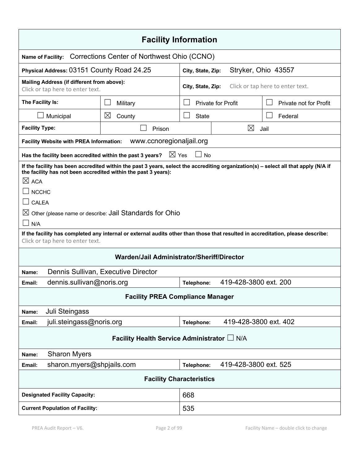| <b>Facility Information</b>                                                                                                                                                                                                                                                                                                                                                                                                                                                                                      |                                                                  |              |                                                       |                        |  |
|------------------------------------------------------------------------------------------------------------------------------------------------------------------------------------------------------------------------------------------------------------------------------------------------------------------------------------------------------------------------------------------------------------------------------------------------------------------------------------------------------------------|------------------------------------------------------------------|--------------|-------------------------------------------------------|------------------------|--|
| <b>Name of Facility:</b>                                                                                                                                                                                                                                                                                                                                                                                                                                                                                         | Corrections Center of Northwest Ohio (CCNO)                      |              |                                                       |                        |  |
| Physical Address: 03151 County Road 24.25                                                                                                                                                                                                                                                                                                                                                                                                                                                                        | City, State, Zip:                                                |              | Stryker, Ohio 43557                                   |                        |  |
| Mailing Address (if different from above):<br>Click or tap here to enter text.                                                                                                                                                                                                                                                                                                                                                                                                                                   |                                                                  |              | Click or tap here to enter text.<br>City, State, Zip: |                        |  |
| The Facility Is:                                                                                                                                                                                                                                                                                                                                                                                                                                                                                                 | Military                                                         |              | <b>Private for Profit</b>                             | Private not for Profit |  |
| Municipal                                                                                                                                                                                                                                                                                                                                                                                                                                                                                                        | $\boxtimes$<br>County                                            | <b>State</b> |                                                       | Federal                |  |
| <b>Facility Type:</b>                                                                                                                                                                                                                                                                                                                                                                                                                                                                                            | Prison                                                           |              | $\boxtimes$                                           | Jail                   |  |
| <b>Facility Website with PREA Information:</b>                                                                                                                                                                                                                                                                                                                                                                                                                                                                   | www.ccnoregionaljail.org                                         |              |                                                       |                        |  |
| Has the facility been accredited within the past 3 years?                                                                                                                                                                                                                                                                                                                                                                                                                                                        | $\boxtimes$ Yes                                                  | <b>No</b>    |                                                       |                        |  |
| If the facility has been accredited within the past 3 years, select the accrediting organization(s) – select all that apply (N/A if<br>the facility has not been accredited within the past 3 years):<br>$\boxtimes$ ACA<br><b>NCCHC</b><br><b>CALEA</b><br>Other (please name or describe: Jail Standards for Ohio<br>$\boxtimes$<br>N/A<br>If the facility has completed any internal or external audits other than those that resulted in accreditation, please describe:<br>Click or tap here to enter text. |                                                                  |              |                                                       |                        |  |
| Warden/Jail Administrator/Sheriff/Director                                                                                                                                                                                                                                                                                                                                                                                                                                                                       |                                                                  |              |                                                       |                        |  |
| Dennis Sullivan, Executive Director<br>Name:                                                                                                                                                                                                                                                                                                                                                                                                                                                                     |                                                                  |              |                                                       |                        |  |
| Email:                                                                                                                                                                                                                                                                                                                                                                                                                                                                                                           | 419-428-3800 ext. 200<br>dennis.sullivan@noris.org<br>Telephone: |              |                                                       |                        |  |
| <b>Facility PREA Compliance Manager</b>                                                                                                                                                                                                                                                                                                                                                                                                                                                                          |                                                                  |              |                                                       |                        |  |
| Juli Steingass<br>Name:                                                                                                                                                                                                                                                                                                                                                                                                                                                                                          |                                                                  |              |                                                       |                        |  |
| juli.steingass@noris.org<br>Email:                                                                                                                                                                                                                                                                                                                                                                                                                                                                               |                                                                  | Telephone:   | 419-428-3800 ext. 402                                 |                        |  |
| Facility Health Service Administrator L N/A                                                                                                                                                                                                                                                                                                                                                                                                                                                                      |                                                                  |              |                                                       |                        |  |
| <b>Sharon Myers</b><br>Name:                                                                                                                                                                                                                                                                                                                                                                                                                                                                                     |                                                                  |              |                                                       |                        |  |
| sharon.myers@shpjails.com<br>Email:                                                                                                                                                                                                                                                                                                                                                                                                                                                                              |                                                                  | Telephone:   | 419-428-3800 ext. 525                                 |                        |  |
| <b>Facility Characteristics</b>                                                                                                                                                                                                                                                                                                                                                                                                                                                                                  |                                                                  |              |                                                       |                        |  |
| <b>Designated Facility Capacity:</b>                                                                                                                                                                                                                                                                                                                                                                                                                                                                             |                                                                  | 668          |                                                       |                        |  |
| <b>Current Population of Facility:</b>                                                                                                                                                                                                                                                                                                                                                                                                                                                                           |                                                                  | 535          |                                                       |                        |  |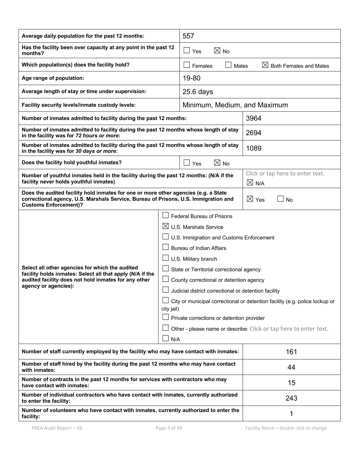| Average daily population for the past 12 months:                                                                                                                                                                                                                                                                                                                                                                                                                                                                                                                                                                                                                                                                                                  |  | 557                                                    |                                                  |  |
|---------------------------------------------------------------------------------------------------------------------------------------------------------------------------------------------------------------------------------------------------------------------------------------------------------------------------------------------------------------------------------------------------------------------------------------------------------------------------------------------------------------------------------------------------------------------------------------------------------------------------------------------------------------------------------------------------------------------------------------------------|--|--------------------------------------------------------|--------------------------------------------------|--|
| Has the facility been over capacity at any point in the past 12<br>months?                                                                                                                                                                                                                                                                                                                                                                                                                                                                                                                                                                                                                                                                        |  | $\boxtimes$ No<br>$\Box$ Yes                           |                                                  |  |
| Which population(s) does the facility hold?                                                                                                                                                                                                                                                                                                                                                                                                                                                                                                                                                                                                                                                                                                       |  | $\boxtimes$ Both Females and Males<br>Females<br>Males |                                                  |  |
| Age range of population:                                                                                                                                                                                                                                                                                                                                                                                                                                                                                                                                                                                                                                                                                                                          |  | 19-80                                                  |                                                  |  |
| Average length of stay or time under supervision:                                                                                                                                                                                                                                                                                                                                                                                                                                                                                                                                                                                                                                                                                                 |  | $25.6$ days                                            |                                                  |  |
| Facility security levels/inmate custody levels:                                                                                                                                                                                                                                                                                                                                                                                                                                                                                                                                                                                                                                                                                                   |  | Minimum, Medium, and Maximum                           |                                                  |  |
| Number of inmates admitted to facility during the past 12 months:                                                                                                                                                                                                                                                                                                                                                                                                                                                                                                                                                                                                                                                                                 |  |                                                        | 3964                                             |  |
| Number of inmates admitted to facility during the past 12 months whose length of stay<br>in the facility was for 72 hours or more:                                                                                                                                                                                                                                                                                                                                                                                                                                                                                                                                                                                                                |  |                                                        | 2694                                             |  |
| Number of inmates admitted to facility during the past 12 months whose length of stay<br>in the facility was for 30 days or more:                                                                                                                                                                                                                                                                                                                                                                                                                                                                                                                                                                                                                 |  |                                                        | 1089                                             |  |
| Does the facility hold youthful inmates?                                                                                                                                                                                                                                                                                                                                                                                                                                                                                                                                                                                                                                                                                                          |  | $\boxtimes$ No<br>$\sqcup$ Yes                         |                                                  |  |
| Number of youthful inmates held in the facility during the past 12 months: (N/A if the<br>facility never holds youthful inmates)                                                                                                                                                                                                                                                                                                                                                                                                                                                                                                                                                                                                                  |  |                                                        | Click or tap here to enter text.<br>$\times$ N/A |  |
| Does the audited facility hold inmates for one or more other agencies (e.g. a State<br>correctional agency, U.S. Marshals Service, Bureau of Prisons, U.S. Immigration and<br><b>Customs Enforcement)?</b>                                                                                                                                                                                                                                                                                                                                                                                                                                                                                                                                        |  | $\boxtimes$ Yes<br><b>No</b>                           |                                                  |  |
| <b>Federal Bureau of Prisons</b><br>$\boxtimes$ U.S. Marshals Service<br>U.S. Immigration and Customs Enforcement<br><b>Bureau of Indian Affairs</b><br>U.S. Military branch<br>Select all other agencies for which the audited<br>State or Territorial correctional agency<br>facility holds inmates: Select all that apply (N/A if the<br>audited facility does not hold inmates for any other<br>County correctional or detention agency<br>agency or agencies):<br>Judicial district correctional or detention facility<br>City or municipal correctional or detention facility (e.g. police lockup or<br>city jail)<br>Private corrections or detention provider<br>Other - please name or describe: Click or tap here to enter text.<br>N/A |  |                                                        |                                                  |  |
| Number of staff currently employed by the facility who may have contact with inmates:                                                                                                                                                                                                                                                                                                                                                                                                                                                                                                                                                                                                                                                             |  | 161                                                    |                                                  |  |
| Number of staff hired by the facility during the past 12 months who may have contact<br>with inmates:                                                                                                                                                                                                                                                                                                                                                                                                                                                                                                                                                                                                                                             |  | 44                                                     |                                                  |  |
| Number of contracts in the past 12 months for services with contractors who may<br>have contact with inmates:                                                                                                                                                                                                                                                                                                                                                                                                                                                                                                                                                                                                                                     |  | 15                                                     |                                                  |  |
| Number of individual contractors who have contact with inmates, currently authorized<br>to enter the facility:                                                                                                                                                                                                                                                                                                                                                                                                                                                                                                                                                                                                                                    |  | 243                                                    |                                                  |  |
| Number of volunteers who have contact with inmates, currently authorized to enter the<br>facility:                                                                                                                                                                                                                                                                                                                                                                                                                                                                                                                                                                                                                                                |  | 1                                                      |                                                  |  |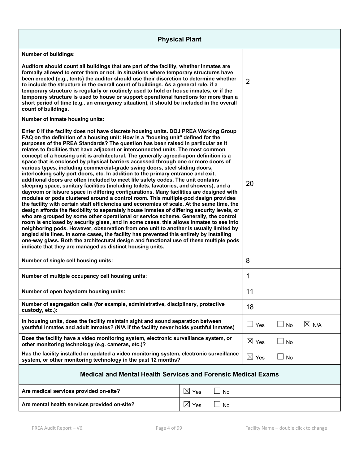| <b>Physical Plant</b>                                                                                                                                                                                                                                                                                                                                                                                                                                                                                                                                                                                                                                                                                                                                                                                                                                                                                                                                                                                                                                                                                                                                                                                                                                                                                                                                                                                                                                                                                                                                                                                                                                                                                                                                                                         |                 |                          |                |                 |  |
|-----------------------------------------------------------------------------------------------------------------------------------------------------------------------------------------------------------------------------------------------------------------------------------------------------------------------------------------------------------------------------------------------------------------------------------------------------------------------------------------------------------------------------------------------------------------------------------------------------------------------------------------------------------------------------------------------------------------------------------------------------------------------------------------------------------------------------------------------------------------------------------------------------------------------------------------------------------------------------------------------------------------------------------------------------------------------------------------------------------------------------------------------------------------------------------------------------------------------------------------------------------------------------------------------------------------------------------------------------------------------------------------------------------------------------------------------------------------------------------------------------------------------------------------------------------------------------------------------------------------------------------------------------------------------------------------------------------------------------------------------------------------------------------------------|-----------------|--------------------------|----------------|-----------------|--|
| <b>Number of buildings:</b>                                                                                                                                                                                                                                                                                                                                                                                                                                                                                                                                                                                                                                                                                                                                                                                                                                                                                                                                                                                                                                                                                                                                                                                                                                                                                                                                                                                                                                                                                                                                                                                                                                                                                                                                                                   |                 |                          |                |                 |  |
| Auditors should count all buildings that are part of the facility, whether inmates are<br>formally allowed to enter them or not. In situations where temporary structures have<br>been erected (e.g., tents) the auditor should use their discretion to determine whether<br>to include the structure in the overall count of buildings. As a general rule, if a<br>temporary structure is regularly or routinely used to hold or house inmates, or if the<br>temporary structure is used to house or support operational functions for more than a<br>short period of time (e.g., an emergency situation), it should be included in the overall<br>count of buildings.                                                                                                                                                                                                                                                                                                                                                                                                                                                                                                                                                                                                                                                                                                                                                                                                                                                                                                                                                                                                                                                                                                                       |                 |                          | $\overline{2}$ |                 |  |
| Number of inmate housing units:                                                                                                                                                                                                                                                                                                                                                                                                                                                                                                                                                                                                                                                                                                                                                                                                                                                                                                                                                                                                                                                                                                                                                                                                                                                                                                                                                                                                                                                                                                                                                                                                                                                                                                                                                               |                 |                          |                |                 |  |
| Enter 0 if the facility does not have discrete housing units. DOJ PREA Working Group<br>FAQ on the definition of a housing unit: How is a "housing unit" defined for the<br>purposes of the PREA Standards? The question has been raised in particular as it<br>relates to facilities that have adjacent or interconnected units. The most common<br>concept of a housing unit is architectural. The generally agreed-upon definition is a<br>space that is enclosed by physical barriers accessed through one or more doors of<br>various types, including commercial-grade swing doors, steel sliding doors,<br>interlocking sally port doors, etc. In addition to the primary entrance and exit,<br>additional doors are often included to meet life safety codes. The unit contains<br>sleeping space, sanitary facilities (including toilets, lavatories, and showers), and a<br>dayroom or leisure space in differing configurations. Many facilities are designed with<br>modules or pods clustered around a control room. This multiple-pod design provides<br>the facility with certain staff efficiencies and economies of scale. At the same time, the<br>design affords the flexibility to separately house inmates of differing security levels, or<br>who are grouped by some other operational or service scheme. Generally, the control<br>room is enclosed by security glass, and in some cases, this allows inmates to see into<br>neighboring pods. However, observation from one unit to another is usually limited by<br>angled site lines. In some cases, the facility has prevented this entirely by installing<br>one-way glass. Both the architectural design and functional use of these multiple pods<br>indicate that they are managed as distinct housing units. |                 | 20                       |                |                 |  |
| Number of single cell housing units:                                                                                                                                                                                                                                                                                                                                                                                                                                                                                                                                                                                                                                                                                                                                                                                                                                                                                                                                                                                                                                                                                                                                                                                                                                                                                                                                                                                                                                                                                                                                                                                                                                                                                                                                                          |                 | 8                        |                |                 |  |
| Number of multiple occupancy cell housing units:                                                                                                                                                                                                                                                                                                                                                                                                                                                                                                                                                                                                                                                                                                                                                                                                                                                                                                                                                                                                                                                                                                                                                                                                                                                                                                                                                                                                                                                                                                                                                                                                                                                                                                                                              |                 | 1                        |                |                 |  |
| Number of open bay/dorm housing units:                                                                                                                                                                                                                                                                                                                                                                                                                                                                                                                                                                                                                                                                                                                                                                                                                                                                                                                                                                                                                                                                                                                                                                                                                                                                                                                                                                                                                                                                                                                                                                                                                                                                                                                                                        |                 |                          | 11             |                 |  |
| Number of segregation cells (for example, administrative, disciplinary, protective<br>custody, etc.):                                                                                                                                                                                                                                                                                                                                                                                                                                                                                                                                                                                                                                                                                                                                                                                                                                                                                                                                                                                                                                                                                                                                                                                                                                                                                                                                                                                                                                                                                                                                                                                                                                                                                         |                 | 18                       |                |                 |  |
| In housing units, does the facility maintain sight and sound separation between<br>youthful inmates and adult inmates? (N/A if the facility never holds youthful inmates)                                                                                                                                                                                                                                                                                                                                                                                                                                                                                                                                                                                                                                                                                                                                                                                                                                                                                                                                                                                                                                                                                                                                                                                                                                                                                                                                                                                                                                                                                                                                                                                                                     |                 | $\vert \ \ \vert$<br>Yes | $\Box$ No      | $\boxtimes$ N/A |  |
| Does the facility have a video monitoring system, electronic surveillance system, or<br>other monitoring technology (e.g. cameras, etc.)?                                                                                                                                                                                                                                                                                                                                                                                                                                                                                                                                                                                                                                                                                                                                                                                                                                                                                                                                                                                                                                                                                                                                                                                                                                                                                                                                                                                                                                                                                                                                                                                                                                                     |                 | $\boxtimes$ Yes          | $\Box$ No      |                 |  |
| Has the facility installed or updated a video monitoring system, electronic surveillance<br>system, or other monitoring technology in the past 12 months?                                                                                                                                                                                                                                                                                                                                                                                                                                                                                                                                                                                                                                                                                                                                                                                                                                                                                                                                                                                                                                                                                                                                                                                                                                                                                                                                                                                                                                                                                                                                                                                                                                     |                 | $\boxtimes$<br>Yes       | $\Box$ No      |                 |  |
| <b>Medical and Mental Health Services and Forensic Medical Exams</b>                                                                                                                                                                                                                                                                                                                                                                                                                                                                                                                                                                                                                                                                                                                                                                                                                                                                                                                                                                                                                                                                                                                                                                                                                                                                                                                                                                                                                                                                                                                                                                                                                                                                                                                          |                 |                          |                |                 |  |
| Are medical services provided on-site?                                                                                                                                                                                                                                                                                                                                                                                                                                                                                                                                                                                                                                                                                                                                                                                                                                                                                                                                                                                                                                                                                                                                                                                                                                                                                                                                                                                                                                                                                                                                                                                                                                                                                                                                                        | $\boxtimes$ Yes | <b>No</b>                |                |                 |  |
| $\boxtimes$ Yes<br>Are mental health services provided on-site?<br>No                                                                                                                                                                                                                                                                                                                                                                                                                                                                                                                                                                                                                                                                                                                                                                                                                                                                                                                                                                                                                                                                                                                                                                                                                                                                                                                                                                                                                                                                                                                                                                                                                                                                                                                         |                 |                          |                |                 |  |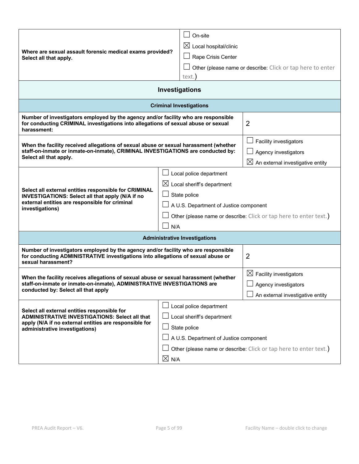| Where are sexual assault forensic medical exams provided?<br>Select all that apply.                                                                                                                                                                                                                                  |  | On-site<br>$\boxtimes$ Local hospital/clinic<br>Rape Crisis Center                                    |  |  |
|----------------------------------------------------------------------------------------------------------------------------------------------------------------------------------------------------------------------------------------------------------------------------------------------------------------------|--|-------------------------------------------------------------------------------------------------------|--|--|
|                                                                                                                                                                                                                                                                                                                      |  | Other (please name or describe: Click or tap here to enter<br>text.                                   |  |  |
| Investigations                                                                                                                                                                                                                                                                                                       |  |                                                                                                       |  |  |
|                                                                                                                                                                                                                                                                                                                      |  | <b>Criminal Investigations</b>                                                                        |  |  |
| Number of investigators employed by the agency and/or facility who are responsible<br>for conducting CRIMINAL investigations into allegations of sexual abuse or sexual<br>harassment:                                                                                                                               |  | $\overline{2}$                                                                                        |  |  |
| When the facility received allegations of sexual abuse or sexual harassment (whether<br>staff-on-inmate or inmate-on-inmate), CRIMINAL INVESTIGATIONS are conducted by:<br>Select all that apply.                                                                                                                    |  | <b>Facility investigators</b><br>Agency investigators<br>$\boxtimes$ An external investigative entity |  |  |
| Local police department<br>$\boxtimes$ Local sheriff's department<br>Select all external entities responsible for CRIMINAL<br>State police<br>INVESTIGATIONS: Select all that apply (N/A if no<br>external entities are responsible for criminal<br>A U.S. Department of Justice component<br>investigations)<br>N/A |  | Other (please name or describe: Click or tap here to enter text.)                                     |  |  |
|                                                                                                                                                                                                                                                                                                                      |  | <b>Administrative Investigations</b>                                                                  |  |  |
| Number of investigators employed by the agency and/or facility who are responsible<br>for conducting ADMINISTRATIVE investigations into allegations of sexual abuse or<br>sexual harassment?                                                                                                                         |  | $\overline{2}$                                                                                        |  |  |
| When the facility receives allegations of sexual abuse or sexual harassment (whether<br>staff-on-inmate or inmate-on-inmate), ADMINISTRATIVE INVESTIGATIONS are<br>conducted by: Select all that apply                                                                                                               |  | $\boxtimes$ Facility investigators<br>Agency investigators<br>An external investigative entity        |  |  |
| Local police department<br>Select all external entities responsible for<br><b>ADMINISTRATIVE INVESTIGATIONS: Select all that</b><br>Local sheriff's department<br>apply (N/A if no external entities are responsible for<br>State police<br>administrative investigations)<br>A U.S. Department of Justice component |  | Other (please name or describe: Click or tap here to enter text.)                                     |  |  |
| $\boxtimes$ N/A                                                                                                                                                                                                                                                                                                      |  |                                                                                                       |  |  |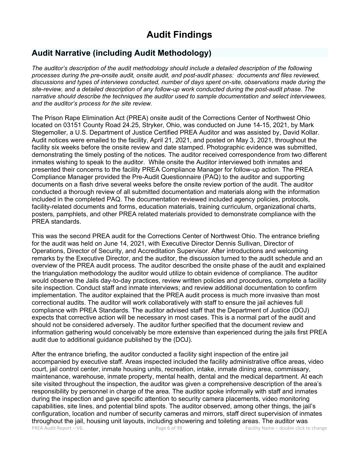# **Audit Findings**

# **Audit Narrative (including Audit Methodology)**

*The auditor's description of the audit methodology should include a detailed description of the following processes during the pre-onsite audit, onsite audit, and post-audit phases: documents and files reviewed, discussions and types of interviews conducted, number of days spent on-site, observations made during the site-review, and a detailed description of any follow-up work conducted during the post-audit phase. The narrative should describe the techniques the auditor used to sample documentation and select interviewees, and the auditor's process for the site review.*

The Prison Rape Elimination Act (PREA) onsite audit of the Corrections Center of Northwest Ohio located on 03151 County Road 24.25, Stryker, Ohio, was conducted on June 14-15, 2021, by Mark Stegemoller, a U.S. Department of Justice Certified PREA Auditor and was assisted by, David Kollar. Audit notices were emailed to the facility, April 21, 2021, and posted on May 3, 2021, throughout the facility six weeks before the onsite review and date stamped. Photographic evidence was submitted, demonstrating the timely posting of the notices. The auditor received correspondence from two different inmates wishing to speak to the auditor. While onsite the Auditor interviewed both inmates and presented their concerns to the facility PREA Compliance Manager for follow-up action. The PREA Compliance Manager provided the Pre-Audit Questionnaire (PAQ) to the auditor and supporting documents on a flash drive several weeks before the onsite review portion of the audit. The auditor conducted a thorough review of all submitted documentation and materials along with the information included in the completed PAQ. The documentation reviewed included agency policies, protocols, facility-related documents and forms, education materials, training curriculum, organizational charts, posters, pamphlets, and other PREA related materials provided to demonstrate compliance with the PREA standards.

This was the second PREA audit for the Corrections Center of Northwest Ohio. The entrance briefing for the audit was held on June 14, 2021, with Executive Director Dennis Sullivan, Director of Operations, Director of Security, and Accreditation Supervisor. After introductions and welcoming remarks by the Executive Director, and the auditor, the discussion turned to the audit schedule and an overview of the PREA audit process. The auditor described the onsite phase of the audit and explained the triangulation methodology the auditor would utilize to obtain evidence of compliance. The auditor would observe the Jails day-to-day practices, review written policies and procedures, complete a facility site inspection. Conduct staff and inmate interviews; and review additional documentation to confirm implementation. The auditor explained that the PREA audit process is much more invasive than most correctional audits. The auditor will work collaboratively with staff to ensure the jail achieves full compliance with PREA Standards. The auditor advised staff that the Department of Justice (DOJ) expects that corrective action will be necessary in most cases. This is a normal part of the audit and should not be considered adversely. The auditor further specified that the document review and information gathering would conceivably be more extensive than experienced during the jails first PREA audit due to additional guidance published by the (DOJ).

PREA Audit Report – V6. Page 6 of 99 Facility Name – double click to change After the entrance briefing, the auditor conducted a facility sight inspection of the entire jail accompanied by executive staff. Areas inspected included the facility administrative office areas, video court, jail control center, inmate housing units, recreation, intake, inmate dining area, commissary, maintenance, warehouse, inmate property, mental health, dental and the medical department. At each site visited throughout the inspection, the auditor was given a comprehensive description of the area's responsibility by personnel in charge of the area. The auditor spoke informally with staff and inmates during the inspection and gave specific attention to security camera placements, video monitoring capabilities, site lines, and potential blind spots. The auditor observed, among other things, the jail's configuration, location and number of security cameras and mirrors, staff direct supervision of inmates throughout the jail, housing unit layouts, including showering and toileting areas. The auditor was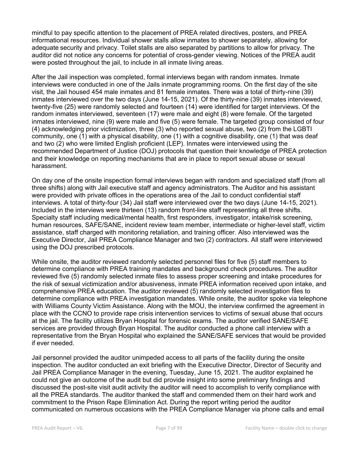mindful to pay specific attention to the placement of PREA related directives, posters, and PREA informational resources. Individual shower stalls allow inmates to shower separately, allowing for adequate security and privacy. Toilet stalls are also separated by partitions to allow for privacy. The auditor did not notice any concerns for potential of cross-gender viewing. Notices of the PREA audit were posted throughout the jail, to include in all inmate living areas.

After the Jail inspection was completed, formal interviews began with random inmates. Inmate interviews were conducted in one of the Jails inmate programming rooms. On the first day of the site visit, the Jail housed 454 male inmates and 81 female inmates. There was a total of thirty-nine (39) inmates interviewed over the two days (June 14-15, 2021). Of the thirty-nine (39) inmates interviewed, twenty-five (25) were randomly selected and fourteen (14) were identified for target interviews. Of the random inmates interviewed, seventeen (17) were male and eight (8) were female. Of the targeted inmates interviewed, nine (9) were male and five (5) were female. The targeted group consisted of four (4) acknowledging prior victimization, three (3) who reported sexual abuse, two (2) from the LGBTI community, one (1) with a physical disability, one (1) with a cognitive disability, one (1) that was deaf and two (2) who were limited English proficient (LEP). Inmates were interviewed using the recommended Department of Justice (DOJ) protocols that question their knowledge of PREA protection and their knowledge on reporting mechanisms that are in place to report sexual abuse or sexual harassment.

On day one of the onsite inspection formal interviews began with random and specialized staff (from all three shifts) along with Jail executive staff and agency administrators. The Auditor and his assistant were provided with private offices in the operations area of the Jail to conduct confidential staff interviews. A total of thirty-four (34) Jail staff were interviewed over the two days (June 14-15, 2021). Included in the interviews were thirteen (13) random front-line staff representing all three shifts. Specialty staff including medical/mental health, first responders, investigator, intake/risk screening, human resources, SAFE/SANE, incident review team member, intermediate or higher-level staff, victim assistance, staff charged with monitoring retaliation, and training officer. Also interviewed was the Executive Director, Jail PREA Compliance Manager and two (2) contractors. All staff were interviewed using the DOJ prescribed protocols.

While onsite, the auditor reviewed randomly selected personnel files for five (5) staff members to determine compliance with PREA training mandates and background check procedures. The auditor reviewed five (5) randomly selected inmate files to assess proper screening and intake procedures for the risk of sexual victimization and/or abusiveness, inmate PREA information received upon intake, and comprehensive PREA education. The auditor reviewed (5) randomly selected investigation files to determine compliance with PREA investigation mandates. While onsite, the auditor spoke via telephone with Williams County Victim Assistance. Along with the MOU, the interview confirmed the agreement in place with the CCNO to provide rape crisis intervention services to victims of sexual abuse that occurs at the jail. The facility utilizes Bryan Hospital for forensic exams. The auditor verified SANE/SAFE services are provided through Bryan Hospital. The auditor conducted a phone call interview with a representative from the Bryan Hospital who explained the SANE/SAFE services that would be provided if ever needed.

Jail personnel provided the auditor unimpeded access to all parts of the facility during the onsite inspection. The auditor conducted an exit briefing with the Executive Director, Director of Security and Jail PREA Compliance Manager in the evening, Tuesday, June 15, 2021. The auditor explained he could not give an outcome of the audit but did provide insight into some preliminary findings and discussed the post-site visit audit activity the auditor will need to accomplish to verify compliance with all the PREA standards. The auditor thanked the staff and commended them on their hard work and commitment to the Prison Rape Elimination Act. During the report writing period the auditor communicated on numerous occasions with the PREA Compliance Manager via phone calls and email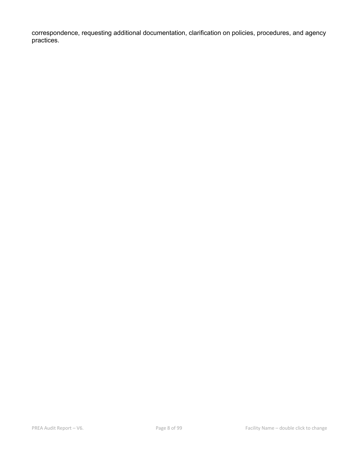correspondence, requesting additional documentation, clarification on policies, procedures, and agency practices.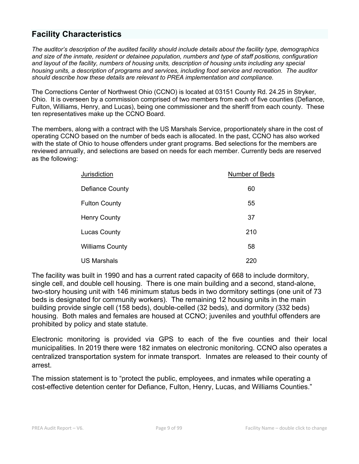# **Facility Characteristics**

*The auditor's description of the audited facility should include details about the facility type, demographics and size of the inmate, resident or detainee population, numbers and type of staff positions, configuration and layout of the facility, numbers of housing units, description of housing units including any special housing units, a description of programs and services, including food service and recreation. The auditor should describe how these details are relevant to PREA implementation and compliance.*

The Corrections Center of Northwest Ohio (CCNO) is located at 03151 County Rd. 24.25 in Stryker, Ohio. It is overseen by a commission comprised of two members from each of five counties (Defiance, Fulton, Williams, Henry, and Lucas), being one commissioner and the sheriff from each county. These ten representatives make up the CCNO Board.

The members, along with a contract with the US Marshals Service, proportionately share in the cost of operating CCNO based on the number of beds each is allocated. In the past, CCNO has also worked with the state of Ohio to house offenders under grant programs. Bed selections for the members are reviewed annually, and selections are based on needs for each member. Currently beds are reserved as the following:

| Jurisdiction           | Number of Beds |
|------------------------|----------------|
| Defiance County        | 60             |
| <b>Fulton County</b>   | 55             |
| <b>Henry County</b>    | 37             |
| <b>Lucas County</b>    | 210            |
| <b>Williams County</b> | 58             |
| <b>US Marshals</b>     | 220            |

The facility was built in 1990 and has a current rated capacity of 668 to include dormitory, single cell, and double cell housing. There is one main building and a second, stand-alone, two-story housing unit with 146 minimum status beds in two dormitory settings (one unit of 73 beds is designated for community workers). The remaining 12 housing units in the main building provide single cell (158 beds), double-celled (32 beds), and dormitory (332 beds) housing. Both males and females are housed at CCNO; juveniles and youthful offenders are prohibited by policy and state statute.

Electronic monitoring is provided via GPS to each of the five counties and their local municipalities. In 2019 there were 182 inmates on electronic monitoring. CCNO also operates a centralized transportation system for inmate transport. Inmates are released to their county of arrest.

The mission statement is to "protect the public, employees, and inmates while operating a cost-effective detention center for Defiance, Fulton, Henry, Lucas, and Williams Counties."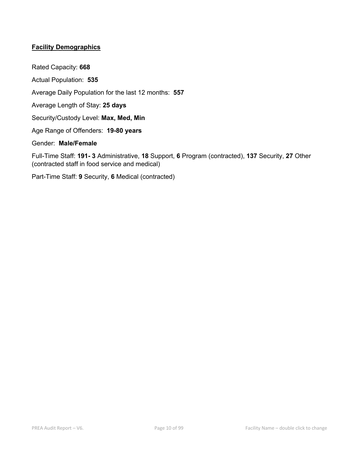### **Facility Demographics**

Rated Capacity: **668** Actual Population: **535** Average Daily Population for the last 12 months: **557** Average Length of Stay: **25 days** Security/Custody Level: **Max, Med, Min** Age Range of Offenders: **19-80 years** Gender: **Male/Female**

Full-Time Staff: **191- 3** Administrative, **18** Support, **6** Program (contracted), **137** Security, **27** Other (contracted staff in food service and medical)

Part-Time Staff: **9** Security, **6** Medical (contracted)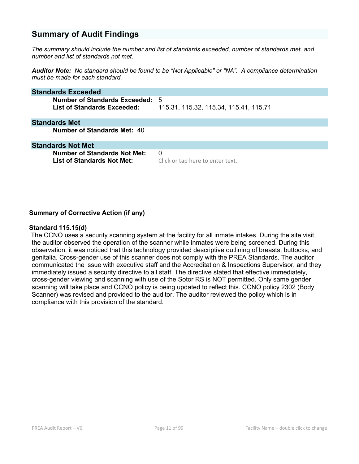# **Summary of Audit Findings**

*The summary should include the number and list of standards exceeded, number of standards met, and number and list of standards not met.*

*Auditor Note: No standard should be found to be "Not Applicable" or "NA". A compliance determination must be made for each standard.*

| <b>Standards Exceeded</b>                                           |                                              |
|---------------------------------------------------------------------|----------------------------------------------|
| Number of Standards Exceeded:<br><b>List of Standards Exceeded:</b> | -5<br>115.31, 115.32, 115.34, 115.41, 115.71 |
| <b>Standards Met</b>                                                |                                              |
| Number of Standards Met: 40                                         |                                              |
| <b>Standards Not Met</b>                                            |                                              |
| <b>Number of Standards Not Met:</b>                                 | 0                                            |
| <b>List of Standards Not Met:</b>                                   | Click or tap here to enter text.             |

#### **Summary of Corrective Action (if any)**

#### **Standard 115.15(d)**

The CCNO uses a security scanning system at the facility for all inmate intakes. During the site visit, the auditor observed the operation of the scanner while inmates were being screened. During this observation, it was noticed that this technology provided descriptive outlining of breasts, buttocks, and genitalia. Cross-gender use of this scanner does not comply with the PREA Standards. The auditor communicated the issue with executive staff and the Accreditation & Inspections Supervisor, and they immediately issued a security directive to all staff. The directive stated that effective immediately, cross-gender viewing and scanning with use of the Sotor RS is NOT permitted. Only same gender scanning will take place and CCNO policy is being updated to reflect this. CCNO policy 2302 (Body Scanner) was revised and provided to the auditor. The auditor reviewed the policy which is in compliance with this provision of the standard.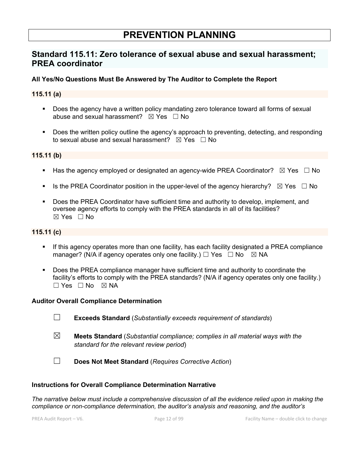# **PREVENTION PLANNING**

# **Standard 115.11: Zero tolerance of sexual abuse and sexual harassment; PREA coordinator**

### **All Yes/No Questions Must Be Answered by The Auditor to Complete the Report**

### **115.11 (a)**

- Does the agency have a written policy mandating zero tolerance toward all forms of sexual abuse and sexual harassment?  $\boxtimes$  Yes  $\Box$  No
- Does the written policy outline the agency's approach to preventing, detecting, and responding to sexual abuse and sexual harassment?  $\boxtimes$  Yes  $\Box$  No

### **115.11 (b)**

- **•** Has the agency employed or designated an agency-wide PREA Coordinator?  $\boxtimes$  Yes  $\Box$  No
- **•** Is the PREA Coordinator position in the upper-level of the agency hierarchy?  $\boxtimes$  Yes  $\Box$  No
- § Does the PREA Coordinator have sufficient time and authority to develop, implement, and oversee agency efforts to comply with the PREA standards in all of its facilities?  $\boxtimes$  Yes  $\Box$  No

### **115.11 (c)**

- If this agency operates more than one facility, has each facility designated a PREA compliance manager? (N/A if agency operates only one facility.)  $\Box$  Yes  $\Box$  No  $\boxtimes$  NA
- Does the PREA compliance manager have sufficient time and authority to coordinate the facility's efforts to comply with the PREA standards? (N/A if agency operates only one facility.)  $\square$  Yes  $\square$  No  $\square$  NA

#### **Auditor Overall Compliance Determination**

- ☐ **Exceeds Standard** (*Substantially exceeds requirement of standards*)
- ☒ **Meets Standard** (*Substantial compliance; complies in all material ways with the standard for the relevant review period*)
- ☐ **Does Not Meet Standard** (*Requires Corrective Action*)

#### **Instructions for Overall Compliance Determination Narrative**

*The narrative below must include a comprehensive discussion of all the evidence relied upon in making the compliance or non-compliance determination, the auditor's analysis and reasoning, and the auditor's*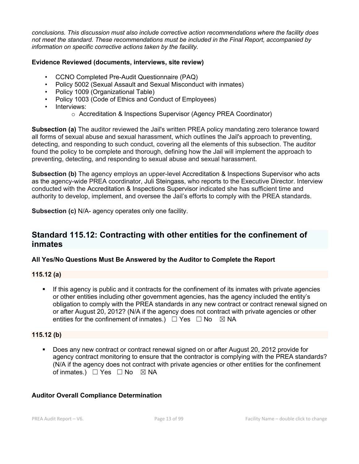*conclusions. This discussion must also include corrective action recommendations where the facility does not meet the standard. These recommendations must be included in the Final Report, accompanied by information on specific corrective actions taken by the facility.*

### **Evidence Reviewed (documents, interviews, site review)**

- CCNO Completed Pre-Audit Questionnaire (PAQ)
- Policy 5002 (Sexual Assault and Sexual Misconduct with inmates)
- Policy 1009 (Organizational Table)
- Policy 1003 (Code of Ethics and Conduct of Employees)
- Interviews:
	- o Accreditation & Inspections Supervisor (Agency PREA Coordinator)

**Subsection (a)** The auditor reviewed the Jail's written PREA policy mandating zero tolerance toward all forms of sexual abuse and sexual harassment, which outlines the Jail's approach to preventing, detecting, and responding to such conduct, covering all the elements of this subsection. The auditor found the policy to be complete and thorough, defining how the Jail will implement the approach to preventing, detecting, and responding to sexual abuse and sexual harassment.

**Subsection (b)** The agency employs an upper-level Accreditation & Inspections Supervisor who acts as the agency-wide PREA coordinator, Juli Steingass, who reports to the Executive Director. Interview conducted with the Accreditation & Inspections Supervisor indicated she has sufficient time and authority to develop, implement, and oversee the Jail's efforts to comply with the PREA standards.

**Subsection (c)** N/A- agency operates only one facility.

# **Standard 115.12: Contracting with other entities for the confinement of inmates**

### **All Yes/No Questions Must Be Answered by the Auditor to Complete the Report**

### **115.12 (a)**

If this agency is public and it contracts for the confinement of its inmates with private agencies or other entities including other government agencies, has the agency included the entity's obligation to comply with the PREA standards in any new contract or contract renewal signed on or after August 20, 2012? (N/A if the agency does not contract with private agencies or other entities for the confinement of inmates.)  $\Box$  Yes  $\Box$  No  $\boxtimes$  NA

### **115.12 (b)**

■ Does any new contract or contract renewal signed on or after August 20, 2012 provide for agency contract monitoring to ensure that the contractor is complying with the PREA standards? (N/A if the agency does not contract with private agencies or other entities for the confinement of inmates.)  $□$  Yes  $□$  No  $□$  NA

### **Auditor Overall Compliance Determination**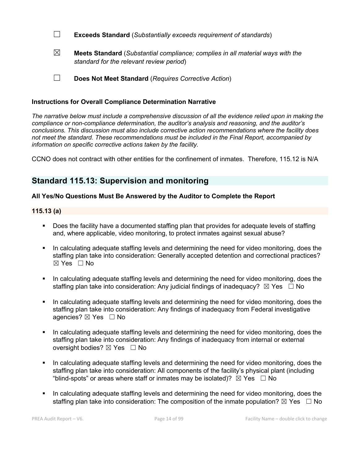- ☐ **Exceeds Standard** (*Substantially exceeds requirement of standards*)
- ☒ **Meets Standard** (*Substantial compliance; complies in all material ways with the standard for the relevant review period*)
- ☐ **Does Not Meet Standard** (*Requires Corrective Action*)

### **Instructions for Overall Compliance Determination Narrative**

*The narrative below must include a comprehensive discussion of all the evidence relied upon in making the compliance or non-compliance determination, the auditor's analysis and reasoning, and the auditor's conclusions. This discussion must also include corrective action recommendations where the facility does not meet the standard. These recommendations must be included in the Final Report, accompanied by information on specific corrective actions taken by the facility.*

CCNO does not contract with other entities for the confinement of inmates. Therefore, 115.12 is N/A

## **Standard 115.13: Supervision and monitoring**

### **All Yes/No Questions Must Be Answered by the Auditor to Complete the Report**

#### **115.13 (a)**

- Does the facility have a documented staffing plan that provides for adequate levels of staffing and, where applicable, video monitoring, to protect inmates against sexual abuse?
- In calculating adequate staffing levels and determining the need for video monitoring, does the staffing plan take into consideration: Generally accepted detention and correctional practices? ☒ Yes ☐ No
- In calculating adequate staffing levels and determining the need for video monitoring, does the staffing plan take into consideration: Any judicial findings of inadequacy?  $\boxtimes$  Yes  $\Box$  No
- In calculating adequate staffing levels and determining the need for video monitoring, does the staffing plan take into consideration: Any findings of inadequacy from Federal investigative agencies? ⊠ Yes □ No
- In calculating adequate staffing levels and determining the need for video monitoring, does the staffing plan take into consideration: Any findings of inadequacy from internal or external oversight bodies? ⊠ Yes □ No
- In calculating adequate staffing levels and determining the need for video monitoring, does the staffing plan take into consideration: All components of the facility's physical plant (including "blind-spots" or areas where staff or inmates may be isolated)?  $\boxtimes$  Yes  $\Box$  No
- In calculating adequate staffing levels and determining the need for video monitoring, does the staffing plan take into consideration: The composition of the inmate population?  $\boxtimes$  Yes  $\Box$  No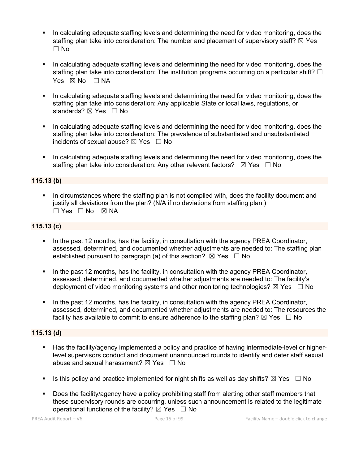- In calculating adequate staffing levels and determining the need for video monitoring, does the staffing plan take into consideration: The number and placement of supervisory staff?  $\boxtimes$  Yes ☐ No
- In calculating adequate staffing levels and determining the need for video monitoring, does the staffing plan take into consideration: The institution programs occurring on a particular shift?  $\Box$ Yes  $\boxtimes$  No  $\Box$  NA
- In calculating adequate staffing levels and determining the need for video monitoring, does the staffing plan take into consideration: Any applicable State or local laws, regulations, or standards? ⊠ Yes □ No
- In calculating adequate staffing levels and determining the need for video monitoring, does the staffing plan take into consideration: The prevalence of substantiated and unsubstantiated incidents of sexual abuse?  $\boxtimes$  Yes  $\Box$  No
- In calculating adequate staffing levels and determining the need for video monitoring, does the staffing plan take into consideration: Any other relevant factors?  $\boxtimes$  Yes  $\Box$  No

### **115.13 (b)**

• In circumstances where the staffing plan is not complied with, does the facility document and justify all deviations from the plan? (N/A if no deviations from staffing plan.)  $\Box$  Yes  $\Box$  No  $\boxtimes$  NA

### **115.13 (c)**

- In the past 12 months, has the facility, in consultation with the agency PREA Coordinator, assessed, determined, and documented whether adjustments are needed to: The staffing plan established pursuant to paragraph (a) of this section?  $\boxtimes$  Yes  $\Box$  No
- In the past 12 months, has the facility, in consultation with the agency PREA Coordinator, assessed, determined, and documented whether adjustments are needed to: The facility's deployment of video monitoring systems and other monitoring technologies?  $\boxtimes$  Yes  $\Box$  No
- In the past 12 months, has the facility, in consultation with the agency PREA Coordinator, assessed, determined, and documented whether adjustments are needed to: The resources the facility has available to commit to ensure adherence to the staffing plan?  $\boxtimes$  Yes  $\Box$  No

### **115.13 (d)**

- Has the facility/agency implemented a policy and practice of having intermediate-level or higherlevel supervisors conduct and document unannounced rounds to identify and deter staff sexual abuse and sexual harassment?  $\boxtimes$  Yes  $\Box$  No
- **•** Is this policy and practice implemented for night shifts as well as day shifts?  $\boxtimes$  Yes  $\Box$  No
- Does the facility/agency have a policy prohibiting staff from alerting other staff members that these supervisory rounds are occurring, unless such announcement is related to the legitimate operational functions of the facility?  $\boxtimes$  Yes  $\Box$  No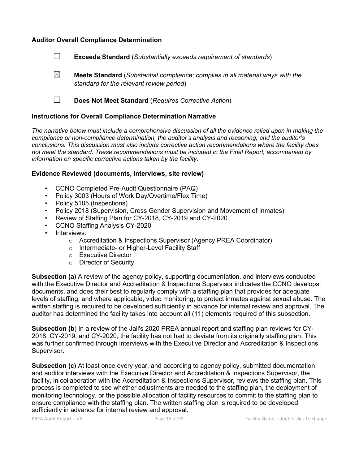### **Auditor Overall Compliance Determination**

- ☐ **Exceeds Standard** (*Substantially exceeds requirement of standards*)
- ☒ **Meets Standard** (*Substantial compliance; complies in all material ways with the standard for the relevant review period*)
- ☐ **Does Not Meet Standard** (*Requires Corrective Action*)

#### **Instructions for Overall Compliance Determination Narrative**

*The narrative below must include a comprehensive discussion of all the evidence relied upon in making the compliance or non-compliance determination, the auditor's analysis and reasoning, and the auditor's conclusions. This discussion must also include corrective action recommendations where the facility does not meet the standard. These recommendations must be included in the Final Report, accompanied by information on specific corrective actions taken by the facility.*

#### **Evidence Reviewed (documents, interviews, site review)**

- CCNO Completed Pre-Audit Questionnaire (PAQ)
- Policy 3003 (Hours of Work Day/Overtime/Flex Time)
- Policy 5105 (Inspections)
- Policy 2018 (Supervision, Cross Gender Supervision and Movement of Inmates)
- Review of Staffing Plan for CY-2018, CY-2019 and CY-2020
- CCNO Staffing Analysis CY-2020
- Interviews:
	- o Accreditation & Inspections Supervisor (Agency PREA Coordinator)
	- o Intermediate- or Higher-Level Facility Staff
	- o Executive Director
	- o Director of Security

**Subsection (a)** A review of the agency policy, supporting documentation, and interviews conducted with the Executive Director and Accreditation & Inspections Supervisor indicates the CCNO develops, documents, and does their best to regularly comply with a staffing plan that provides for adequate levels of staffing, and where applicable, video monitoring, to protect inmates against sexual abuse. The written staffing is required to be developed sufficiently in advance for internal review and approval. The auditor has determined the facility takes into account all (11) elements required of this subsection.

**Subsection (b**) In a review of the Jail's 2020 PREA annual report and staffing plan reviews for CY-2018, CY-2019, and CY-2020, the facility has not had to deviate from its originally staffing plan. This was further confirmed through interviews with the Executive Director and Accreditation & Inspections Supervisor.

**Subsection (c)** At least once every year, and according to agency policy, submitted documentation and auditor interviews with the Executive Director and Accreditation & Inspections Supervisor, the facility, in collaboration with the Accreditation & Inspections Supervisor, reviews the staffing plan. This process is completed to see whether adjustments are needed to the staffing plan, the deployment of monitoring technology, or the possible allocation of facility resources to commit to the staffing plan to ensure compliance with the staffing plan. The written staffing plan is required to be developed sufficiently in advance for internal review and approval.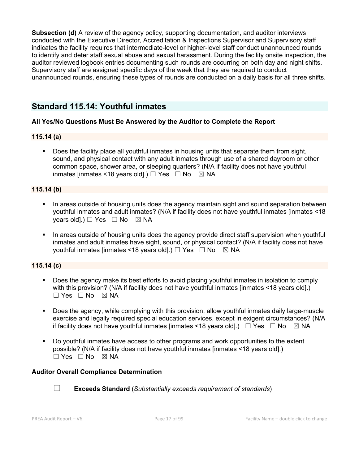**Subsection (d)** A review of the agency policy, supporting documentation, and auditor interviews conducted with the Executive Director, Accreditation & Inspections Supervisor and Supervisory staff indicates the facility requires that intermediate-level or higher-level staff conduct unannounced rounds to identify and deter staff sexual abuse and sexual harassment. During the facility onsite inspection, the auditor reviewed logbook entries documenting such rounds are occurring on both day and night shifts. Supervisory staff are assigned specific days of the week that they are required to conduct unannounced rounds, ensuring these types of rounds are conducted on a daily basis for all three shifts.

# **Standard 115.14: Youthful inmates**

### **All Yes/No Questions Must Be Answered by the Auditor to Complete the Report**

### **115.14 (a)**

• Does the facility place all youthful inmates in housing units that separate them from sight, sound, and physical contact with any adult inmates through use of a shared dayroom or other common space, shower area, or sleeping quarters? (N/A if facility does not have youthful inmates [inmates <18 years old].)  $\Box$  Yes  $\Box$  No  $\boxtimes$  NA

#### **115.14 (b)**

- In areas outside of housing units does the agency maintain sight and sound separation between youthful inmates and adult inmates? (N/A if facility does not have youthful inmates [inmates <18 years old].)  $\Box$  Yes  $\Box$  No  $\boxtimes$  NA
- In areas outside of housing units does the agency provide direct staff supervision when youthful inmates and adult inmates have sight, sound, or physical contact? (N/A if facility does not have youthful inmates [inmates <18 years old].)  $\Box$  Yes  $\Box$  No  $\boxtimes$  NA

### **115.14 (c)**

- Does the agency make its best efforts to avoid placing youthful inmates in isolation to comply with this provision? (N/A if facility does not have youthful inmates [inmates <18 years old].)  $\Box$  Yes  $\Box$  No  $\boxtimes$  NA
- § Does the agency, while complying with this provision, allow youthful inmates daily large-muscle exercise and legally required special education services, except in exigent circumstances? (N/A if facility does not have youthful inmates [inmates <18 years old].)  $\Box$  Yes  $\Box$  No  $\Box$  NA
- Do youthful inmates have access to other programs and work opportunities to the extent possible? (N/A if facility does not have youthful inmates [inmates <18 years old].)  $\square$  Yes  $\square$  No  $\square$  NA

#### **Auditor Overall Compliance Determination**



☐ **Exceeds Standard** (*Substantially exceeds requirement of standards*)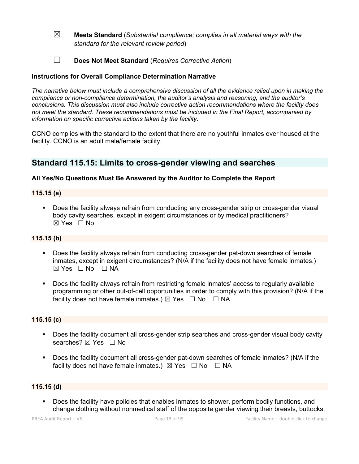- ☒ **Meets Standard** (*Substantial compliance; complies in all material ways with the standard for the relevant review period*)
- ☐ **Does Not Meet Standard** (*Requires Corrective Action*)

### **Instructions for Overall Compliance Determination Narrative**

*The narrative below must include a comprehensive discussion of all the evidence relied upon in making the compliance or non-compliance determination, the auditor's analysis and reasoning, and the auditor's conclusions. This discussion must also include corrective action recommendations where the facility does not meet the standard. These recommendations must be included in the Final Report, accompanied by information on specific corrective actions taken by the facility.*

CCNO complies with the standard to the extent that there are no youthful inmates ever housed at the facility. CCNO is an adult male/female facility.

## **Standard 115.15: Limits to cross-gender viewing and searches**

### **All Yes/No Questions Must Be Answered by the Auditor to Complete the Report**

### **115.15 (a)**

§ Does the facility always refrain from conducting any cross-gender strip or cross-gender visual body cavity searches, except in exigent circumstances or by medical practitioners?  $\boxtimes$  Yes  $\Box$  No

### **115.15 (b)**

- § Does the facility always refrain from conducting cross-gender pat-down searches of female inmates, except in exigent circumstances? (N/A if the facility does not have female inmates.)  $\boxtimes$  Yes  $\Box$  No  $\Box$  NA
- § Does the facility always refrain from restricting female inmates' access to regularly available programming or other out-of-cell opportunities in order to comply with this provision? (N/A if the facility does not have female inmates.)  $\boxtimes$  Yes  $\Box$  No  $\Box$  NA

### **115.15 (c)**

- § Does the facility document all cross-gender strip searches and cross-gender visual body cavity searches?  $\boxtimes$  Yes  $\Box$  No
- Does the facility document all cross-gender pat-down searches of female inmates? (N/A if the facility does not have female inmates.)  $\boxtimes$  Yes  $\Box$  No  $\Box$  NA

### **115.15 (d)**

Does the facility have policies that enables inmates to shower, perform bodily functions, and change clothing without nonmedical staff of the opposite gender viewing their breasts, buttocks,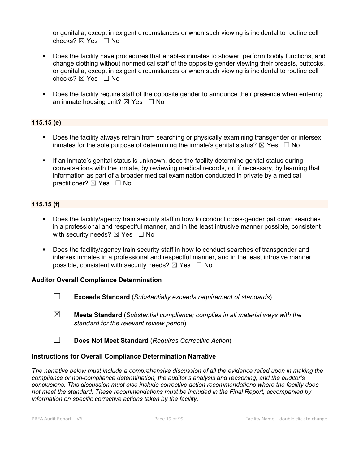or genitalia, except in exigent circumstances or when such viewing is incidental to routine cell checks?  $\boxtimes$  Yes  $\Box$  No

- § Does the facility have procedures that enables inmates to shower, perform bodily functions, and change clothing without nonmedical staff of the opposite gender viewing their breasts, buttocks, or genitalia, except in exigent circumstances or when such viewing is incidental to routine cell checks?  $\boxtimes$  Yes  $\Box$  No
- § Does the facility require staff of the opposite gender to announce their presence when entering an inmate housing unit?  $\boxtimes$  Yes  $\Box$  No

### **115.15 (e)**

- Does the facility always refrain from searching or physically examining transgender or intersex inmates for the sole purpose of determining the inmate's genital status?  $\boxtimes$  Yes  $\Box$  No
- § If an inmate's genital status is unknown, does the facility determine genital status during conversations with the inmate, by reviewing medical records, or, if necessary, by learning that information as part of a broader medical examination conducted in private by a medical practitioner? ⊠ Yes □ No

### **115.15 (f)**

- Does the facility/agency train security staff in how to conduct cross-gender pat down searches in a professional and respectful manner, and in the least intrusive manner possible, consistent with security needs?  $\boxtimes$  Yes  $\Box$  No
- § Does the facility/agency train security staff in how to conduct searches of transgender and intersex inmates in a professional and respectful manner, and in the least intrusive manner possible, consistent with security needs?  $\boxtimes$  Yes  $\Box$  No

### **Auditor Overall Compliance Determination**

- ☐ **Exceeds Standard** (*Substantially exceeds requirement of standards*)
- ☒ **Meets Standard** (*Substantial compliance; complies in all material ways with the standard for the relevant review period*)
- ☐ **Does Not Meet Standard** (*Requires Corrective Action*)

### **Instructions for Overall Compliance Determination Narrative**

*The narrative below must include a comprehensive discussion of all the evidence relied upon in making the compliance or non-compliance determination, the auditor's analysis and reasoning, and the auditor's conclusions. This discussion must also include corrective action recommendations where the facility does not meet the standard. These recommendations must be included in the Final Report, accompanied by information on specific corrective actions taken by the facility.*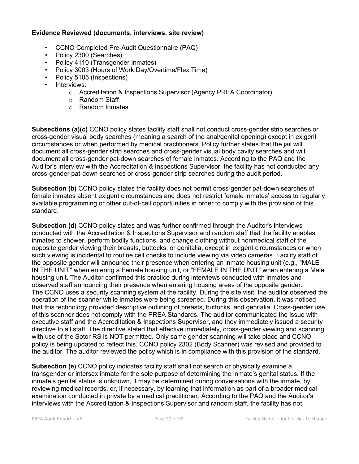#### **Evidence Reviewed (documents, interviews, site review)**

- CCNO Completed Pre-Audit Questionnaire (PAQ)
- Policy 2300 (Searches)
- Policy 4110 (Transgender Inmates)
- Policy 3003 (Hours of Work Day/Overtime/Flex Time)
- Policy 5105 (Inspections)
- Interviews:
	- o Accreditation & Inspections Supervisor (Agency PREA Coordinator)
	- o Random Staff
	- o Random Inmates

**Subsections (a)(c)** CCNO policy states facility staff shall not conduct cross-gender strip searches or cross-gender visual body searches (meaning a search of the anal/genital opening) except in exigent circumstances or when performed by medical practitioners. Policy further states that the jail will document all cross-gender strip searches and cross-gender visual body cavity searches and will document all cross-gender pat-down searches of female inmates. According to the PAQ and the Auditor's interview with the Accreditation & Inspections Supervisor, the facility has not conducted any cross-gender pat-down searches or cross-gender strip searches during the audit period.

**Subsection (b)** CCNO policy states the facility does not permit cross-gender pat-down searches of female inmates absent exigent circumstances and does not restrict female inmates' access to regularly available programming or other out-of-cell opportunities in order to comply with the provision of this standard.

**Subsection (d)** CCNO policy states and was further confirmed through the Auditor's interviews conducted with the Accreditation & Inspections Supervisor and random staff that the facility enables inmates to shower, perform bodily functions, and change clothing without nonmedical staff of the opposite gender viewing their breasts, buttocks, or genitalia, except in exigent circumstances or when such viewing is incidental to routine cell checks to include viewing via video cameras. Facility staff of the opposite gender will announce their presence when entering an inmate housing unit (e.g., "MALE IN THE UNIT" when entering a Female housing unit, or "FEMALE IN THE UNIT" when entering a Male housing unit. The Auditor confirmed this practice during interviews conducted with inmates and observed staff announcing their presence when entering housing areas of the opposite gender. The CCNO uses a security scanning system at the facility. During the site visit, the auditor observed the operation of the scanner while inmates were being screened. During this observation, it was noticed that this technology provided descriptive outlining of breasts, buttocks, and genitalia. Cross-gender use of this scanner does not comply with the PREA Standards. The auditor communicated the issue with executive staff and the Accreditation & Inspections Supervisor, and they immediately issued a security directive to all staff. The directive stated that effective immediately, cross-gender viewing and scanning with use of the Sotor RS is NOT permitted. Only same gender scanning will take place and CCNO policy is being updated to reflect this. CCNO policy 2302 (Body Scanner) was revised and provided to the auditor. The auditor reviewed the policy which is in compliance with this provision of the standard.

**Subsection (e)** CCNO policy indicates facility staff shall not search or physically examine a transgender or intersex inmate for the sole purpose of determining the inmate's genital status. If the inmate's genital status is unknown, it may be determined during conversations with the inmate, by reviewing medical records, or, if necessary, by learning that information as part of a broader medical examination conducted in private by a medical practitioner. According to the PAQ and the Auditor's interviews with the Accreditation & Inspections Supervisor and random staff, the facility has not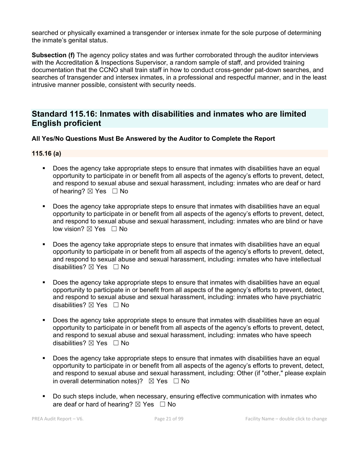searched or physically examined a transgender or intersex inmate for the sole purpose of determining the inmate's genital status.

**Subsection (f)** The agency policy states and was further corroborated through the auditor interviews with the Accreditation & Inspections Supervisor, a random sample of staff, and provided training documentation that the CCNO shall train staff in how to conduct cross-gender pat-down searches, and searches of transgender and intersex inmates, in a professional and respectful manner, and in the least intrusive manner possible, consistent with security needs.

## **Standard 115.16: Inmates with disabilities and inmates who are limited English proficient**

### **All Yes/No Questions Must Be Answered by the Auditor to Complete the Report**

### **115.16 (a)**

- Does the agency take appropriate steps to ensure that inmates with disabilities have an equal opportunity to participate in or benefit from all aspects of the agency's efforts to prevent, detect, and respond to sexual abuse and sexual harassment, including: inmates who are deaf or hard of hearing? ⊠ Yes □ No
- Does the agency take appropriate steps to ensure that inmates with disabilities have an equal opportunity to participate in or benefit from all aspects of the agency's efforts to prevent, detect, and respond to sexual abuse and sexual harassment, including: inmates who are blind or have low vision? ⊠ Yes □ No
- Does the agency take appropriate steps to ensure that inmates with disabilities have an equal opportunity to participate in or benefit from all aspects of the agency's efforts to prevent, detect, and respond to sexual abuse and sexual harassment, including: inmates who have intellectual disabilities?  $\boxtimes$  Yes  $\Box$  No
- Does the agency take appropriate steps to ensure that inmates with disabilities have an equal opportunity to participate in or benefit from all aspects of the agency's efforts to prevent, detect, and respond to sexual abuse and sexual harassment, including: inmates who have psychiatric disabilities?  $\boxtimes$  Yes  $\Box$  No
- Does the agency take appropriate steps to ensure that inmates with disabilities have an equal opportunity to participate in or benefit from all aspects of the agency's efforts to prevent, detect, and respond to sexual abuse and sexual harassment, including: inmates who have speech disabilities?  $\boxtimes$  Yes  $\Box$  No
- Does the agency take appropriate steps to ensure that inmates with disabilities have an equal opportunity to participate in or benefit from all aspects of the agency's efforts to prevent, detect, and respond to sexual abuse and sexual harassment, including: Other (if "other," please explain in overall determination notes)?  $\boxtimes$  Yes  $\Box$  No
- Do such steps include, when necessary, ensuring effective communication with inmates who are deaf or hard of hearing?  $\boxtimes$  Yes  $\Box$  No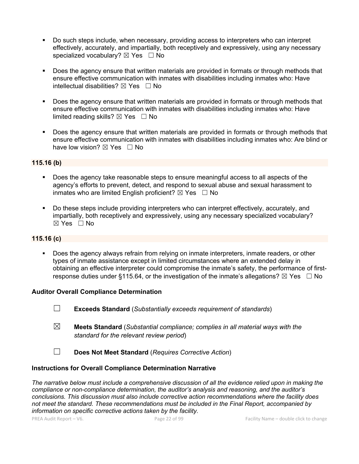- § Do such steps include, when necessary, providing access to interpreters who can interpret effectively, accurately, and impartially, both receptively and expressively, using any necessary specialized vocabulary?  $\boxtimes$  Yes  $\Box$  No
- § Does the agency ensure that written materials are provided in formats or through methods that ensure effective communication with inmates with disabilities including inmates who: Have intellectual disabilities?  $\boxtimes$  Yes  $\Box$  No
- Does the agency ensure that written materials are provided in formats or through methods that ensure effective communication with inmates with disabilities including inmates who: Have limited reading skills?  $\boxtimes$  Yes  $\Box$  No
- Does the agency ensure that written materials are provided in formats or through methods that ensure effective communication with inmates with disabilities including inmates who: Are blind or have low vision?  $\boxtimes$  Yes  $\Box$  No

### **115.16 (b)**

- § Does the agency take reasonable steps to ensure meaningful access to all aspects of the agency's efforts to prevent, detect, and respond to sexual abuse and sexual harassment to inmates who are limited English proficient?  $\boxtimes$  Yes  $\Box$  No
- Do these steps include providing interpreters who can interpret effectively, accurately, and impartially, both receptively and expressively, using any necessary specialized vocabulary? ☒ Yes ☐ No

### **115.16 (c)**

Does the agency always refrain from relying on inmate interpreters, inmate readers, or other types of inmate assistance except in limited circumstances where an extended delay in obtaining an effective interpreter could compromise the inmate's safety, the performance of firstresponse duties under §115.64, or the investigation of the inmate's allegations?  $\boxtimes$  Yes  $\Box$  No

### **Auditor Overall Compliance Determination**

- ☐ **Exceeds Standard** (*Substantially exceeds requirement of standards*)
- ☒ **Meets Standard** (*Substantial compliance; complies in all material ways with the standard for the relevant review period*)
- ☐ **Does Not Meet Standard** (*Requires Corrective Action*)

### **Instructions for Overall Compliance Determination Narrative**

*The narrative below must include a comprehensive discussion of all the evidence relied upon in making the compliance or non-compliance determination, the auditor's analysis and reasoning, and the auditor's conclusions. This discussion must also include corrective action recommendations where the facility does not meet the standard. These recommendations must be included in the Final Report, accompanied by information on specific corrective actions taken by the facility.*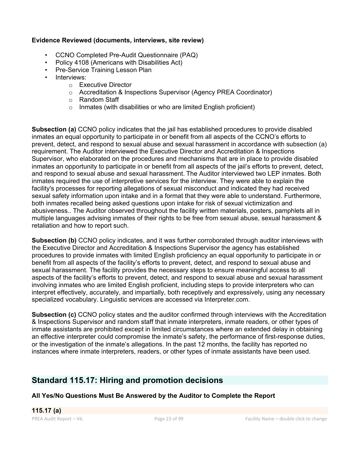### **Evidence Reviewed (documents, interviews, site review)**

- CCNO Completed Pre-Audit Questionnaire (PAQ)
- Policy 4108 (Americans with Disabilities Act)
- Pre-Service Training Lesson Plan
- Interviews:
	- o Executive Director
	- o Accreditation & Inspections Supervisor (Agency PREA Coordinator)
	- o Random Staff
	- $\circ$  Inmates (with disabilities or who are limited English proficient)

**Subsection (a)** CCNO policy indicates that the jail has established procedures to provide disabled inmates an equal opportunity to participate in or benefit from all aspects of the CCNO's efforts to prevent, detect, and respond to sexual abuse and sexual harassment in accordance with subsection (a) requirement. The Auditor interviewed the Executive Director and Accreditation & Inspections Supervisor, who elaborated on the procedures and mechanisms that are in place to provide disabled inmates an opportunity to participate in or benefit from all aspects of the jail's efforts to prevent, detect, and respond to sexual abuse and sexual harassment. The Auditor interviewed two LEP inmates. Both inmates required the use of interpretive services for the interview. They were able to explain the facility's processes for reporting allegations of sexual misconduct and indicated they had received sexual safety information upon intake and in a format that they were able to understand. Furthermore, both inmates recalled being asked questions upon intake for risk of sexual victimization and abusiveness.. The Auditor observed throughout the facility written materials, posters, pamphlets all in multiple languages advising inmates of their rights to be free from sexual abuse, sexual harassment & retaliation and how to report such.

**Subsection (b)** CCNO policy indicates, and it was further corroborated through auditor interviews with the Executive Director and Accreditation & Inspections Supervisor the agency has established procedures to provide inmates with limited English proficiency an equal opportunity to participate in or benefit from all aspects of the facility's efforts to prevent, detect, and respond to sexual abuse and sexual harassment. The facility provides the necessary steps to ensure meaningful access to all aspects of the facility's efforts to prevent, detect, and respond to sexual abuse and sexual harassment involving inmates who are limited English proficient, including steps to provide interpreters who can interpret effectively, accurately, and impartially, both receptively and expressively, using any necessary specialized vocabulary. Linguistic services are accessed via Interpreter.com.

**Subsection (c)** CCNO policy states and the auditor confirmed through interviews with the Accreditation & Inspections Supervisor and random staff that inmate interpreters, inmate readers, or other types of inmate assistants are prohibited except in limited circumstances where an extended delay in obtaining an effective interpreter could compromise the inmate's safety, the performance of first-response duties, or the investigation of the inmate's allegations. In the past 12 months, the facility has reported no instances where inmate interpreters, readers, or other types of inmate assistants have been used.

# **Standard 115.17: Hiring and promotion decisions**

### **All Yes/No Questions Must Be Answered by the Auditor to Complete the Report**

**115.17 (a)**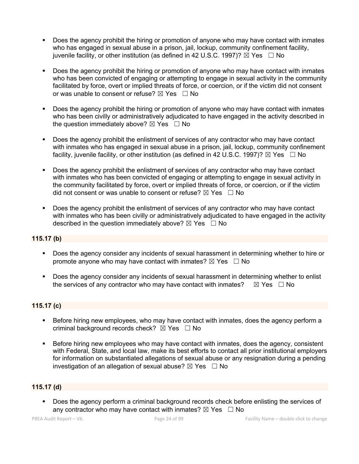- § Does the agency prohibit the hiring or promotion of anyone who may have contact with inmates who has engaged in sexual abuse in a prison, jail, lockup, community confinement facility, juvenile facility, or other institution (as defined in 42 U.S.C. 1997)?  $\boxtimes$  Yes  $\Box$  No
- Does the agency prohibit the hiring or promotion of anyone who may have contact with inmates who has been convicted of engaging or attempting to engage in sexual activity in the community facilitated by force, overt or implied threats of force, or coercion, or if the victim did not consent or was unable to consent or refuse?  $\boxtimes$  Yes  $\Box$  No
- Does the agency prohibit the hiring or promotion of anyone who may have contact with inmates who has been civilly or administratively adjudicated to have engaged in the activity described in the question immediately above?  $\boxtimes$  Yes  $\Box$  No
- Does the agency prohibit the enlistment of services of any contractor who may have contact with inmates who has engaged in sexual abuse in a prison, jail, lockup, community confinement facility, juvenile facility, or other institution (as defined in 42 U.S.C. 1997)?  $\boxtimes$  Yes  $\Box$  No
- Does the agency prohibit the enlistment of services of any contractor who may have contact with inmates who has been convicted of engaging or attempting to engage in sexual activity in the community facilitated by force, overt or implied threats of force, or coercion, or if the victim did not consent or was unable to consent or refuse?  $\boxtimes$  Yes  $\Box$  No
- Does the agency prohibit the enlistment of services of any contractor who may have contact with inmates who has been civilly or administratively adjudicated to have engaged in the activity described in the question immediately above?  $\boxtimes$  Yes  $\Box$  No

### **115.17 (b)**

- § Does the agency consider any incidents of sexual harassment in determining whether to hire or promote anyone who may have contact with inmates?  $\boxtimes$  Yes  $\Box$  No
- § Does the agency consider any incidents of sexual harassment in determining whether to enlist the services of any contractor who may have contact with inmates?  $\boxtimes$  Yes  $\Box$  No

### **115.17 (c)**

- Before hiring new employees, who may have contact with inmates, does the agency perform a criminal background records check?  $\boxtimes$  Yes  $\Box$  No
- Before hiring new employees who may have contact with inmates, does the agency, consistent with Federal, State, and local law, make its best efforts to contact all prior institutional employers for information on substantiated allegations of sexual abuse or any resignation during a pending investigation of an allegation of sexual abuse?  $\boxtimes$  Yes  $\Box$  No

### **115.17 (d)**

Does the agency perform a criminal background records check before enlisting the services of any contractor who may have contact with inmates?  $\boxtimes$  Yes  $\Box$  No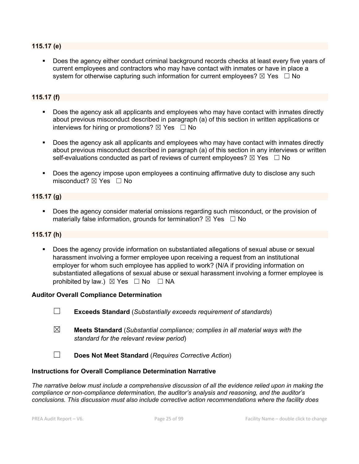#### **115.17 (e)**

Does the agency either conduct criminal background records checks at least every five years of current employees and contractors who may have contact with inmates or have in place a system for otherwise capturing such information for current employees?  $\boxtimes$  Yes  $\Box$  No

### **115.17 (f)**

- Does the agency ask all applicants and employees who may have contact with inmates directly about previous misconduct described in paragraph (a) of this section in written applications or interviews for hiring or promotions?  $\boxtimes$  Yes  $\Box$  No
- Does the agency ask all applicants and employees who may have contact with inmates directly about previous misconduct described in paragraph (a) of this section in any interviews or written self-evaluations conducted as part of reviews of current employees?  $\boxtimes$  Yes  $\Box$  No
- § Does the agency impose upon employees a continuing affirmative duty to disclose any such misconduct?  $\boxtimes$  Yes  $\Box$  No

### **115.17 (g)**

§ Does the agency consider material omissions regarding such misconduct, or the provision of materially false information, grounds for termination?  $\boxtimes$  Yes  $\Box$  No

#### **115.17 (h)**

§ Does the agency provide information on substantiated allegations of sexual abuse or sexual harassment involving a former employee upon receiving a request from an institutional employer for whom such employee has applied to work? (N/A if providing information on substantiated allegations of sexual abuse or sexual harassment involving a former employee is prohibited by law.)  $\boxtimes$  Yes  $\Box$  No  $\Box$  NA

#### **Auditor Overall Compliance Determination**

- ☐ **Exceeds Standard** (*Substantially exceeds requirement of standards*)
- ☒ **Meets Standard** (*Substantial compliance; complies in all material ways with the standard for the relevant review period*)
- ☐ **Does Not Meet Standard** (*Requires Corrective Action*)

#### **Instructions for Overall Compliance Determination Narrative**

*The narrative below must include a comprehensive discussion of all the evidence relied upon in making the compliance or non-compliance determination, the auditor's analysis and reasoning, and the auditor's conclusions. This discussion must also include corrective action recommendations where the facility does*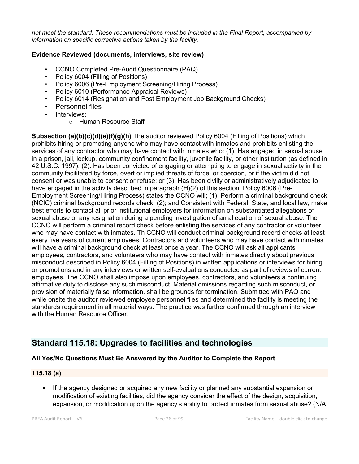*not meet the standard. These recommendations must be included in the Final Report, accompanied by information on specific corrective actions taken by the facility.*

### **Evidence Reviewed (documents, interviews, site review)**

- CCNO Completed Pre-Audit Questionnaire (PAQ)
- Policy 6004 (Filling of Positions)
- Policy 6006 (Pre-Employment Screening/Hiring Process)
- Policy 6010 (Performance Appraisal Reviews)
- Policy 6014 (Resignation and Post Employment Job Background Checks)
- Personnel files
- Interviews:
	- o Human Resource Staff

**Subsection (a)(b)(c)(d)(e)(f)(g)(h)** The auditor reviewed Policy 6004 (Filling of Positions) which prohibits hiring or promoting anyone who may have contact with inmates and prohibits enlisting the services of any contractor who may have contact with inmates who: (1). Has engaged in sexual abuse in a prison, jail, lockup, community confinement facility, juvenile facility, or other institution (as defined in 42 U.S.C. 1997); (2). Has been convicted of engaging or attempting to engage in sexual activity in the community facilitated by force, overt or implied threats of force, or coercion, or if the victim did not consent or was unable to consent or refuse; or (3). Has been civilly or administratively adjudicated to have engaged in the activity described in paragraph (H)(2) of this section. Policy 6006 (Pre-Employment Screening/Hiring Process) states the CCNO will; (1). Perform a criminal background check (NCIC) criminal background records check. (2); and Consistent with Federal, State, and local law, make best efforts to contact all prior institutional employers for information on substantiated allegations of sexual abuse or any resignation during a pending investigation of an allegation of sexual abuse. The CCNO will perform a criminal record check before enlisting the services of any contractor or volunteer who may have contact with inmates. Th CCNO will conduct criminal background record checks at least every five years of current employees. Contractors and volunteers who may have contact with inmates will have a criminal background check at least once a year. The CCNO will ask all applicants, employees, contractors, and volunteers who may have contact with inmates directly about previous misconduct described in Policy 6004 (Filling of Positions) in written applications or interviews for hiring or promotions and in any interviews or written self-evaluations conducted as part of reviews of current employees. The CCNO shall also impose upon employees, contractors, and volunteers a continuing affirmative duty to disclose any such misconduct. Material omissions regarding such misconduct, or provision of materially false information, shall be grounds for termination. Submitted with PAQ and while onsite the auditor reviewed employee personnel files and determined the facility is meeting the standards requirement in all material ways. The practice was further confirmed through an interview with the Human Resource Officer.

# **Standard 115.18: Upgrades to facilities and technologies**

### **All Yes/No Questions Must Be Answered by the Auditor to Complete the Report**

### **115.18 (a)**

If the agency designed or acquired any new facility or planned any substantial expansion or modification of existing facilities, did the agency consider the effect of the design, acquisition, expansion, or modification upon the agency's ability to protect inmates from sexual abuse? (N/A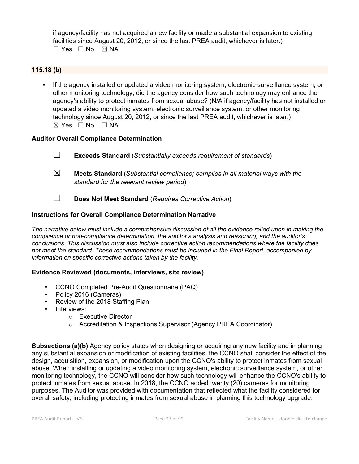if agency/facility has not acquired a new facility or made a substantial expansion to existing facilities since August 20, 2012, or since the last PREA audit, whichever is later.) ☐ Yes ☐ No ☒ NA

### **115.18 (b)**

§ If the agency installed or updated a video monitoring system, electronic surveillance system, or other monitoring technology, did the agency consider how such technology may enhance the agency's ability to protect inmates from sexual abuse? (N/A if agency/facility has not installed or updated a video monitoring system, electronic surveillance system, or other monitoring technology since August 20, 2012, or since the last PREA audit, whichever is later.)  $\boxtimes$  Yes  $\Box$  No  $\Box$  NA

### **Auditor Overall Compliance Determination**

| $\overline{\phantom{a}}$ | <b>Exceeds Standard</b> (Substantially exceeds requirement of standards) |
|--------------------------|--------------------------------------------------------------------------|
|                          |                                                                          |

- ☒ **Meets Standard** (*Substantial compliance; complies in all material ways with the standard for the relevant review period*)
- ☐ **Does Not Meet Standard** (*Requires Corrective Action*)

### **Instructions for Overall Compliance Determination Narrative**

*The narrative below must include a comprehensive discussion of all the evidence relied upon in making the compliance or non-compliance determination, the auditor's analysis and reasoning, and the auditor's conclusions. This discussion must also include corrective action recommendations where the facility does not meet the standard. These recommendations must be included in the Final Report, accompanied by information on specific corrective actions taken by the facility.*

### **Evidence Reviewed (documents, interviews, site review)**

- CCNO Completed Pre-Audit Questionnaire (PAQ)
- Policy 2016 (Cameras)
- Review of the 2018 Staffing Plan
- Interviews:
	- o Executive Director
	- o Accreditation & Inspections Supervisor (Agency PREA Coordinator)

**Subsections (a)(b)** Agency policy states when designing or acquiring any new facility and in planning any substantial expansion or modification of existing facilities, the CCNO shall consider the effect of the design, acquisition, expansion, or modification upon the CCNO's ability to protect inmates from sexual abuse. When installing or updating a video monitoring system, electronic surveillance system, or other monitoring technology, the CCNO will consider how such technology will enhance the CCNO's ability to protect inmates from sexual abuse. In 2018, the CCNO added twenty (20) cameras for monitoring purposes. The Auditor was provided with documentation that reflected what the facility considered for overall safety, including protecting inmates from sexual abuse in planning this technology upgrade.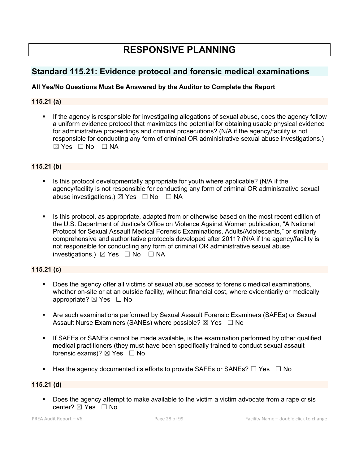# **RESPONSIVE PLANNING**

# **Standard 115.21: Evidence protocol and forensic medical examinations**

### **All Yes/No Questions Must Be Answered by the Auditor to Complete the Report**

### **115.21 (a)**

If the agency is responsible for investigating allegations of sexual abuse, does the agency follow a uniform evidence protocol that maximizes the potential for obtaining usable physical evidence for administrative proceedings and criminal prosecutions? (N/A if the agency/facility is not responsible for conducting any form of criminal OR administrative sexual abuse investigations.)  $\boxtimes$  Yes  $\Box$  No  $\Box$  NA

### **115.21 (b)**

- Is this protocol developmentally appropriate for youth where applicable? (N/A if the agency/facility is not responsible for conducting any form of criminal OR administrative sexual abuse investigations.)  $\boxtimes$  Yes  $\Box$  No  $\Box$  NA
- Is this protocol, as appropriate, adapted from or otherwise based on the most recent edition of the U.S. Department of Justice's Office on Violence Against Women publication, "A National Protocol for Sexual Assault Medical Forensic Examinations, Adults/Adolescents," or similarly comprehensive and authoritative protocols developed after 2011? (N/A if the agency/facility is not responsible for conducting any form of criminal OR administrative sexual abuse investigations.)  $\boxtimes$  Yes  $\Box$  No  $\Box$  NA

### **115.21 (c)**

- Does the agency offer all victims of sexual abuse access to forensic medical examinations, whether on-site or at an outside facility, without financial cost, where evidentiarily or medically appropriate?  $\boxtimes$  Yes  $\Box$  No
- § Are such examinations performed by Sexual Assault Forensic Examiners (SAFEs) or Sexual Assault Nurse Examiners (SANEs) where possible?  $\boxtimes$  Yes  $\Box$  No
- **■** If SAFEs or SANEs cannot be made available, is the examination performed by other qualified medical practitioners (they must have been specifically trained to conduct sexual assault forensic exams)?  $\boxtimes$  Yes  $\Box$  No
- Has the agency documented its efforts to provide SAFEs or SANEs?  $\Box$  Yes  $\Box$  No

#### **115.21 (d)**

■ Does the agency attempt to make available to the victim a victim advocate from a rape crisis center?  $\boxtimes$  Yes  $\Box$  No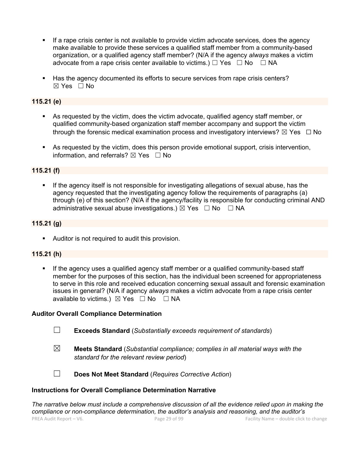- If a rape crisis center is not available to provide victim advocate services, does the agency make available to provide these services a qualified staff member from a community-based organization, or a qualified agency staff member? (N/A if the agency *always* makes a victim advocate from a rape crisis center available to victims.)  $\Box$  Yes  $\Box$  No  $\Box$  NA
- § Has the agency documented its efforts to secure services from rape crisis centers?  $\boxtimes$  Yes  $\Box$  No

### **115.21 (e)**

- As requested by the victim, does the victim advocate, qualified agency staff member, or qualified community-based organization staff member accompany and support the victim through the forensic medical examination process and investigatory interviews?  $\boxtimes$  Yes  $\Box$  No
- As requested by the victim, does this person provide emotional support, crisis intervention, information, and referrals?  $\boxtimes$  Yes  $\Box$  No

### **115.21 (f)**

If the agency itself is not responsible for investigating allegations of sexual abuse, has the agency requested that the investigating agency follow the requirements of paragraphs (a) through (e) of this section? (N/A if the agency/facility is responsible for conducting criminal AND administrative sexual abuse investigations.)  $\boxtimes$  Yes  $\Box$  No  $\Box$  NA

### **115.21 (g)**

**•** Auditor is not required to audit this provision.

### **115.21 (h)**

**•** If the agency uses a qualified agency staff member or a qualified community-based staff member for the purposes of this section, has the individual been screened for appropriateness to serve in this role and received education concerning sexual assault and forensic examination issues in general? (N/A if agency *always* makes a victim advocate from a rape crisis center available to victims.)  $\boxtimes$  Yes  $\Box$  No  $\Box$  NA

### **Auditor Overall Compliance Determination**

- ☐ **Exceeds Standard** (*Substantially exceeds requirement of standards*)
- ☒ **Meets Standard** (*Substantial compliance; complies in all material ways with the standard for the relevant review period*)
- 
- ☐ **Does Not Meet Standard** (*Requires Corrective Action*)

#### **Instructions for Overall Compliance Determination Narrative**

PREA Audit Report – V6. Page 29 of 99 Facility Name – double click to change *The narrative below must include a comprehensive discussion of all the evidence relied upon in making the compliance or non-compliance determination, the auditor's analysis and reasoning, and the auditor's*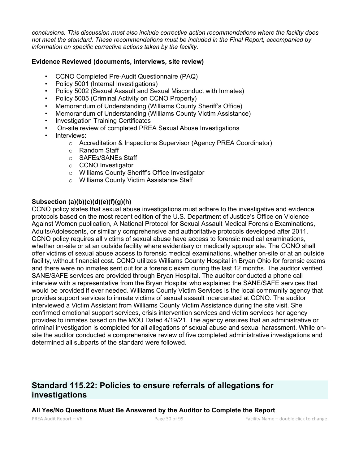*conclusions. This discussion must also include corrective action recommendations where the facility does not meet the standard. These recommendations must be included in the Final Report, accompanied by information on specific corrective actions taken by the facility.*

#### **Evidence Reviewed (documents, interviews, site review)**

- CCNO Completed Pre-Audit Questionnaire (PAQ)
- Policy 5001 (Internal Investigations)
- Policy 5002 (Sexual Assault and Sexual Misconduct with Inmates)
- Policy 5005 (Criminal Activity on CCNO Property)
- Memorandum of Understanding (Williams County Sheriff's Office)
- Memorandum of Understanding (Williams County Victim Assistance)
- Investigation Training Certificates
- On-site review of completed PREA Sexual Abuse Investigations
- Interviews:
	- o Accreditation & Inspections Supervisor (Agency PREA Coordinator)
	- o Random Staff
	- o SAFEs/SANEs Staff
	- o CCNO Investigator
	- o Williams County Sheriff's Office Investigator
	- o Williams County Victim Assistance Staff

### **Subsection (a)(b)(c)(d)(e)(f)(g)(h)**

CCNO policy states that sexual abuse investigations must adhere to the investigative and evidence protocols based on the most recent edition of the U.S. Department of Justice's Office on Violence Against Women publication, A National Protocol for Sexual Assault Medical Forensic Examinations, Adults/Adolescents, or similarly comprehensive and authoritative protocols developed after 2011. CCNO policy requires all victims of sexual abuse have access to forensic medical examinations, whether on-site or at an outside facility where evidentiary or medically appropriate. The CCNO shall offer victims of sexual abuse access to forensic medical examinations, whether on-site or at an outside facility, without financial cost. CCNO utilizes Williams County Hospital in Bryan Ohio for forensic exams and there were no inmates sent out for a forensic exam during the last 12 months. The auditor verified SANE/SAFE services are provided through Bryan Hospital. The auditor conducted a phone call interview with a representative from the Bryan Hospital who explained the SANE/SAFE services that would be provided if ever needed. Williams County Victim Services is the local community agency that provides support services to inmate victims of sexual assault incarcerated at CCNO. The auditor interviewed a Victim Assistant from Williams County Victim Assistance during the site visit. She confirmed emotional support services, crisis intervention services and victim services her agency provides to inmates based on the MOU Dated 4/19/21. The agency ensures that an administrative or criminal investigation is completed for all allegations of sexual abuse and sexual harassment. While onsite the auditor conducted a comprehensive review of five completed administrative investigations and determined all subparts of the standard were followed.

## **Standard 115.22: Policies to ensure referrals of allegations for investigations**

#### **All Yes/No Questions Must Be Answered by the Auditor to Complete the Report**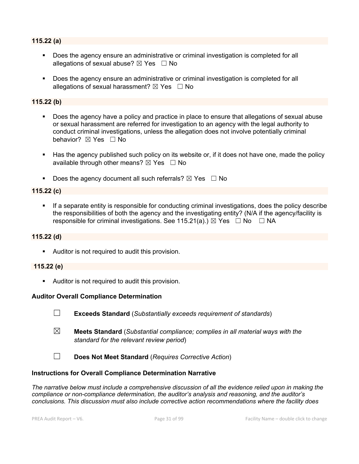### **115.22 (a)**

- § Does the agency ensure an administrative or criminal investigation is completed for all allegations of sexual abuse?  $\boxtimes$  Yes  $\Box$  No
- § Does the agency ensure an administrative or criminal investigation is completed for all allegations of sexual harassment?  $\boxtimes$  Yes  $\Box$  No

#### **115.22 (b)**

- Does the agency have a policy and practice in place to ensure that allegations of sexual abuse or sexual harassment are referred for investigation to an agency with the legal authority to conduct criminal investigations, unless the allegation does not involve potentially criminal behavior? **⊠** Yes □ No
- Has the agency published such policy on its website or, if it does not have one, made the policy available through other means?  $\boxtimes$  Yes  $\Box$  No
- **•** Does the agency document all such referrals?  $\boxtimes$  Yes  $\Box$  No

#### **115.22 (c)**

If a separate entity is responsible for conducting criminal investigations, does the policy describe the responsibilities of both the agency and the investigating entity? (N/A if the agency/facility is responsible for criminal investigations. See 115.21(a).)  $\boxtimes$  Yes  $\Box$  No  $\Box$  NA

#### **115.22 (d)**

**•** Auditor is not required to audit this provision.

#### **115.22 (e)**

**•** Auditor is not required to audit this provision.

#### **Auditor Overall Compliance Determination**

- ☐ **Exceeds Standard** (*Substantially exceeds requirement of standards*)
- ☒ **Meets Standard** (*Substantial compliance; complies in all material ways with the standard for the relevant review period*)
- ☐ **Does Not Meet Standard** (*Requires Corrective Action*)

#### **Instructions for Overall Compliance Determination Narrative**

*The narrative below must include a comprehensive discussion of all the evidence relied upon in making the compliance or non-compliance determination, the auditor's analysis and reasoning, and the auditor's conclusions. This discussion must also include corrective action recommendations where the facility does*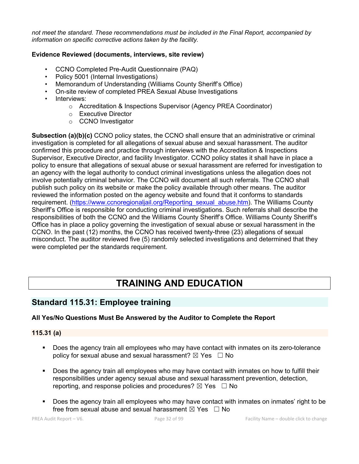*not meet the standard. These recommendations must be included in the Final Report, accompanied by information on specific corrective actions taken by the facility.*

### **Evidence Reviewed (documents, interviews, site review)**

- CCNO Completed Pre-Audit Questionnaire (PAQ)
- Policy 5001 (Internal Investigations)
- Memorandum of Understanding (Williams County Sheriff's Office)
- On-site review of completed PREA Sexual Abuse Investigations
- Interviews:
	- o Accreditation & Inspections Supervisor (Agency PREA Coordinator)
	- o Executive Director
	- o CCNO Investigator

**Subsection (a)(b)(c)** CCNO policy states, the CCNO shall ensure that an administrative or criminal investigation is completed for all allegations of sexual abuse and sexual harassment. The auditor confirmed this procedure and practice through interviews with the Accreditation & Inspections Supervisor, Executive Director, and facility Investigator. CCNO policy states it shall have in place a policy to ensure that allegations of sexual abuse or sexual harassment are referred for investigation to an agency with the legal authority to conduct criminal investigations unless the allegation does not involve potentially criminal behavior. The CCNO will document all such referrals. The CCNO shall publish such policy on its website or make the policy available through other means. The auditor reviewed the information posted on the agency website and found that it conforms to standards requirement. (https://www.ccnoregionaljail.org/Reporting\_sexual\_abuse.htm). The Williams County Sheriff's Office is responsible for conducting criminal investigations. Such referrals shall describe the responsibilities of both the CCNO and the Williams County Sheriff's Office. Williams County Sheriff's Office has in place a policy governing the investigation of sexual abuse or sexual harassment in the CCNO. In the past (12) months, the CCNO has received twenty-three (23) allegations of sexual misconduct. The auditor reviewed five (5) randomly selected investigations and determined that they were completed per the standards requirement.

# **TRAINING AND EDUCATION**

# **Standard 115.31: Employee training**

### **All Yes/No Questions Must Be Answered by the Auditor to Complete the Report**

### **115.31 (a)**

- § Does the agency train all employees who may have contact with inmates on its zero-tolerance policy for sexual abuse and sexual harassment?  $\boxtimes$  Yes  $\Box$  No
- Does the agency train all employees who may have contact with inmates on how to fulfill their responsibilities under agency sexual abuse and sexual harassment prevention, detection, reporting, and response policies and procedures?  $\boxtimes$  Yes  $\Box$  No
- Does the agency train all employees who may have contact with inmates on inmates' right to be free from sexual abuse and sexual harassment  $\boxtimes$  Yes  $\Box$  No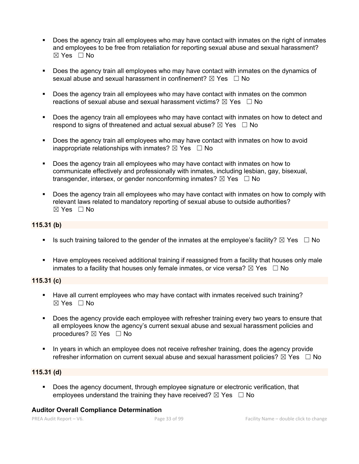- § Does the agency train all employees who may have contact with inmates on the right of inmates and employees to be free from retaliation for reporting sexual abuse and sexual harassment? ☒ Yes ☐ No
- Does the agency train all employees who may have contact with inmates on the dynamics of sexual abuse and sexual harassment in confinement?  $\boxtimes$  Yes  $\Box$  No
- Does the agency train all employees who may have contact with inmates on the common reactions of sexual abuse and sexual harassment victims?  $\boxtimes$  Yes  $\Box$  No
- § Does the agency train all employees who may have contact with inmates on how to detect and respond to signs of threatened and actual sexual abuse?  $\boxtimes$  Yes  $\Box$  No
- Does the agency train all employees who may have contact with inmates on how to avoid inappropriate relationships with inmates?  $\boxtimes$  Yes  $\Box$  No
- Does the agency train all employees who may have contact with inmates on how to communicate effectively and professionally with inmates, including lesbian, gay, bisexual, transgender, intersex, or gender nonconforming inmates?  $\boxtimes$  Yes  $\Box$  No
- § Does the agency train all employees who may have contact with inmates on how to comply with relevant laws related to mandatory reporting of sexual abuse to outside authorities?  $\boxtimes$  Yes  $\Box$  No

#### **115.31 (b)**

- **•** Is such training tailored to the gender of the inmates at the employee's facility?  $\boxtimes$  Yes  $\Box$  No
- **■** Have employees received additional training if reassigned from a facility that houses only male inmates to a facility that houses only female inmates, or vice versa?  $\boxtimes$  Yes  $\Box$  No

### **115.31 (c)**

- § Have all current employees who may have contact with inmates received such training? ☒ Yes ☐ No
- Does the agency provide each employee with refresher training every two years to ensure that all employees know the agency's current sexual abuse and sexual harassment policies and procedures?  $\boxtimes$  Yes  $\Box$  No
- In years in which an employee does not receive refresher training, does the agency provide refresher information on current sexual abuse and sexual harassment policies?  $\boxtimes$  Yes  $\Box$  No

### **115.31 (d)**

• Does the agency document, through employee signature or electronic verification, that employees understand the training they have received?  $\boxtimes$  Yes  $\Box$  No

#### **Auditor Overall Compliance Determination**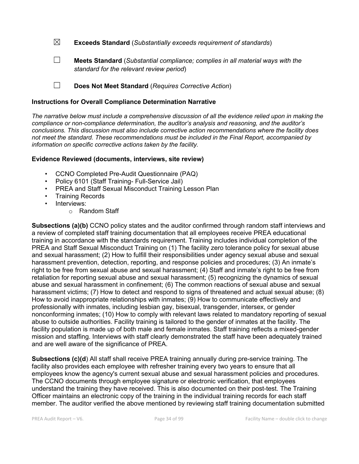☒ **Exceeds Standard** (*Substantially exceeds requirement of standards*)

☐ **Meets Standard** (*Substantial compliance; complies in all material ways with the standard for the relevant review period*)

☐ **Does Not Meet Standard** (*Requires Corrective Action*)

#### **Instructions for Overall Compliance Determination Narrative**

*The narrative below must include a comprehensive discussion of all the evidence relied upon in making the compliance or non-compliance determination, the auditor's analysis and reasoning, and the auditor's conclusions. This discussion must also include corrective action recommendations where the facility does not meet the standard. These recommendations must be included in the Final Report, accompanied by information on specific corrective actions taken by the facility.*

#### **Evidence Reviewed (documents, interviews, site review)**

- CCNO Completed Pre-Audit Questionnaire (PAQ)
- Policy 6101 (Staff Training- Full-Service Jail)
- PREA and Staff Sexual Misconduct Training Lesson Plan
- Training Records
- Interviews:
	- o Random Staff

**Subsections (a)(b)** CCNO policy states and the auditor confirmed through random staff interviews and a review of completed staff training documentation that all employees receive PREA educational training in accordance with the standards requirement. Training includes individual completion of the PREA and Staff Sexual Misconduct Training on (1) The facility zero tolerance policy for sexual abuse and sexual harassment; (2) How to fulfill their responsibilities under agency sexual abuse and sexual harassment prevention, detection, reporting, and response policies and procedures; (3) An inmate's right to be free from sexual abuse and sexual harassment; (4) Staff and inmate's right to be free from retaliation for reporting sexual abuse and sexual harassment; (5) recognizing the dynamics of sexual abuse and sexual harassment in confinement; (6) The common reactions of sexual abuse and sexual harassment victims; (7) How to detect and respond to signs of threatened and actual sexual abuse; (8) How to avoid inappropriate relationships with inmates; (9) How to communicate effectively and professionally with inmates, including lesbian gay, bisexual, transgender, intersex, or gender nonconforming inmates; (10) How to comply with relevant laws related to mandatory reporting of sexual abuse to outside authorities. Facility training is tailored to the gender of inmates at the facility. The facility population is made up of both male and female inmates. Staff training reflects a mixed-gender mission and staffing. Interviews with staff clearly demonstrated the staff have been adequately trained and are well aware of the significance of PREA.

**Subsections (c)(d**) All staff shall receive PREA training annually during pre-service training. The facility also provides each employee with refresher training every two years to ensure that all employees know the agency's current sexual abuse and sexual harassment policies and procedures. The CCNO documents through employee signature or electronic verification, that employees understand the training they have received. This is also documented on their post-test. The Training Officer maintains an electronic copy of the training in the individual training records for each staff member. The auditor verified the above mentioned by reviewing staff training documentation submitted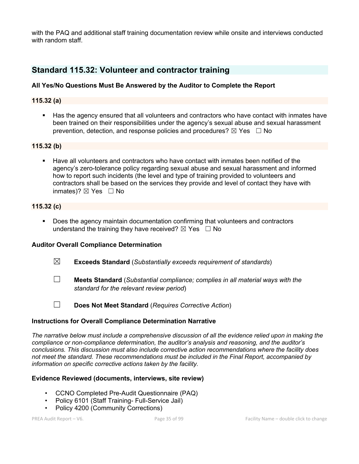with the PAQ and additional staff training documentation review while onsite and interviews conducted with random staff.

# **Standard 115.32: Volunteer and contractor training**

### **All Yes/No Questions Must Be Answered by the Auditor to Complete the Report**

#### **115.32 (a)**

§ Has the agency ensured that all volunteers and contractors who have contact with inmates have been trained on their responsibilities under the agency's sexual abuse and sexual harassment prevention, detection, and response policies and procedures?  $\boxtimes$  Yes  $\Box$  No

### **115.32 (b)**

§ Have all volunteers and contractors who have contact with inmates been notified of the agency's zero-tolerance policy regarding sexual abuse and sexual harassment and informed how to report such incidents (the level and type of training provided to volunteers and contractors shall be based on the services they provide and level of contact they have with inmates)?  $\boxtimes$  Yes  $\Box$  No

#### **115.32 (c)**

§ Does the agency maintain documentation confirming that volunteers and contractors understand the training they have received?  $\boxtimes$  Yes  $\Box$  No

#### **Auditor Overall Compliance Determination**

- ☒ **Exceeds Standard** (*Substantially exceeds requirement of standards*)
- ☐ **Meets Standard** (*Substantial compliance; complies in all material ways with the standard for the relevant review period*)
- 
- ☐ **Does Not Meet Standard** (*Requires Corrective Action*)

#### **Instructions for Overall Compliance Determination Narrative**

*The narrative below must include a comprehensive discussion of all the evidence relied upon in making the compliance or non-compliance determination, the auditor's analysis and reasoning, and the auditor's conclusions. This discussion must also include corrective action recommendations where the facility does not meet the standard. These recommendations must be included in the Final Report, accompanied by information on specific corrective actions taken by the facility.*

### **Evidence Reviewed (documents, interviews, site review)**

- CCNO Completed Pre-Audit Questionnaire (PAQ)
- Policy 6101 (Staff Training- Full-Service Jail)
- Policy 4200 (Community Corrections)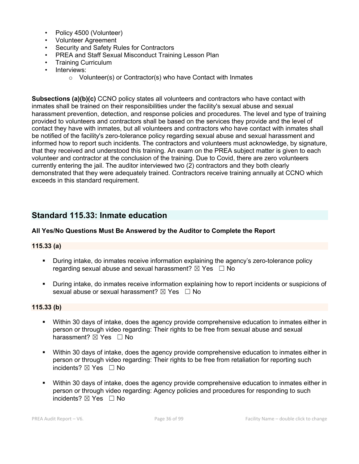- Policy 4500 (Volunteer)
- Volunteer Agreement
- Security and Safety Rules for Contractors
- PREA and Staff Sexual Misconduct Training Lesson Plan
- Training Curriculum
- Interviews:
	- o Volunteer(s) or Contractor(s) who have Contact with Inmates

**Subsections (a)(b)(c)** CCNO policy states all volunteers and contractors who have contact with inmates shall be trained on their responsibilities under the facility's sexual abuse and sexual harassment prevention, detection, and response policies and procedures. The level and type of training provided to volunteers and contractors shall be based on the services they provide and the level of contact they have with inmates, but all volunteers and contractors who have contact with inmates shall be notified of the facility's zero-tolerance policy regarding sexual abuse and sexual harassment and informed how to report such incidents. The contractors and volunteers must acknowledge, by signature, that they received and understood this training. An exam on the PREA subject matter is given to each volunteer and contractor at the conclusion of the training. Due to Covid, there are zero volunteers currently entering the jail. The auditor interviewed two (2) contractors and they both clearly demonstrated that they were adequately trained. Contractors receive training annually at CCNO which exceeds in this standard requirement.

# **Standard 115.33: Inmate education**

### **All Yes/No Questions Must Be Answered by the Auditor to Complete the Report**

### **115.33 (a)**

- **During intake, do inmates receive information explaining the agency's zero-tolerance policy** regarding sexual abuse and sexual harassment?  $\boxtimes$  Yes  $\Box$  No
- § During intake, do inmates receive information explaining how to report incidents or suspicions of sexual abuse or sexual harassment?  $\boxtimes$  Yes  $\Box$  No

#### **115.33 (b)**

- § Within 30 days of intake, does the agency provide comprehensive education to inmates either in person or through video regarding: Their rights to be free from sexual abuse and sexual harassment? ⊠ Yes □ No
- Within 30 days of intake, does the agency provide comprehensive education to inmates either in person or through video regarding: Their rights to be free from retaliation for reporting such incidents?  $\boxtimes$  Yes  $\Box$  No
- Within 30 days of intake, does the agency provide comprehensive education to inmates either in person or through video regarding: Agency policies and procedures for responding to such incidents? ☒ Yes ☐ No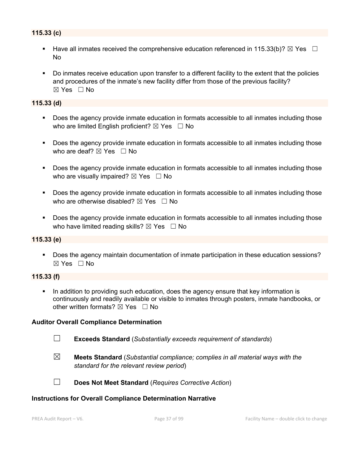# **115.33 (c)**

- Have all inmates received the comprehensive education referenced in 115.33(b)?  $\boxtimes$  Yes  $\Box$ No
- Do inmates receive education upon transfer to a different facility to the extent that the policies and procedures of the inmate's new facility differ from those of the previous facility?  $\boxtimes$  Yes  $\Box$  No

#### **115.33 (d)**

- Does the agency provide inmate education in formats accessible to all inmates including those who are limited English proficient?  $\boxtimes$  Yes  $\Box$  No
- Does the agency provide inmate education in formats accessible to all inmates including those who are deaf?  $\boxtimes$  Yes  $\Box$  No
- Does the agency provide inmate education in formats accessible to all inmates including those who are visually impaired?  $\boxtimes$  Yes  $\Box$  No
- Does the agency provide inmate education in formats accessible to all inmates including those who are otherwise disabled?  $\boxtimes$  Yes  $\Box$  No
- Does the agency provide inmate education in formats accessible to all inmates including those who have limited reading skills?  $\boxtimes$  Yes  $\Box$  No

### **115.33 (e)**

§ Does the agency maintain documentation of inmate participation in these education sessions? ☒ Yes ☐ No

#### **115.33 (f)**

• In addition to providing such education, does the agency ensure that key information is continuously and readily available or visible to inmates through posters, inmate handbooks, or other written formats?  $\nabla$  Yes  $\Box$  No

#### **Auditor Overall Compliance Determination**

- ☐ **Exceeds Standard** (*Substantially exceeds requirement of standards*)
- 
- ☒ **Meets Standard** (*Substantial compliance; complies in all material ways with the standard for the relevant review period*)



☐ **Does Not Meet Standard** (*Requires Corrective Action*)

#### **Instructions for Overall Compliance Determination Narrative**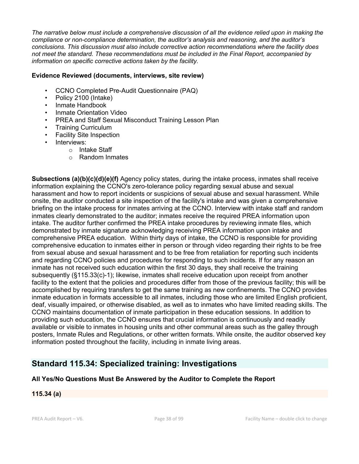*The narrative below must include a comprehensive discussion of all the evidence relied upon in making the compliance or non-compliance determination, the auditor's analysis and reasoning, and the auditor's conclusions. This discussion must also include corrective action recommendations where the facility does not meet the standard. These recommendations must be included in the Final Report, accompanied by information on specific corrective actions taken by the facility.*

### **Evidence Reviewed (documents, interviews, site review)**

- CCNO Completed Pre-Audit Questionnaire (PAQ)
- Policy 2100 (Intake)
- Inmate Handbook
- Inmate Orientation Video
- PREA and Staff Sexual Misconduct Training Lesson Plan
- Training Curriculum
- Facility Site Inspection
- Interviews:
	- o Intake Staff
		- o Random Inmates

**Subsections (a)(b)(c)(d)(e)(f)** Agency policy states, during the intake process, inmates shall receive information explaining the CCNO's zero-tolerance policy regarding sexual abuse and sexual harassment and how to report incidents or suspicions of sexual abuse and sexual harassment. While onsite, the auditor conducted a site inspection of the facility's intake and was given a comprehensive briefing on the intake process for inmates arriving at the CCNO. Interview with intake staff and random inmates clearly demonstrated to the auditor; inmates receive the required PREA information upon intake. The auditor further confirmed the PREA intake procedures by reviewing inmate files, which demonstrated by inmate signature acknowledging receiving PREA information upon intake and comprehensive PREA education. Within thirty days of intake, the CCNO is responsible for providing comprehensive education to inmates either in person or through video regarding their rights to be free from sexual abuse and sexual harassment and to be free from retaliation for reporting such incidents and regarding CCNO policies and procedures for responding to such incidents. If for any reason an inmate has not received such education within the first 30 days, they shall receive the training subsequently (§115.33(c)-1); likewise, inmates shall receive education upon receipt from another facility to the extent that the policies and procedures differ from those of the previous facility; this will be accomplished by requiring transfers to get the same training as new confinements. The CCNO provides inmate education in formats accessible to all inmates, including those who are limited English proficient, deaf, visually impaired, or otherwise disabled, as well as to inmates who have limited reading skills. The CCNO maintains documentation of inmate participation in these education sessions. In addition to providing such education, the CCNO ensures that crucial information is continuously and readily available or visible to inmates in housing units and other communal areas such as the galley through posters, Inmate Rules and Regulations, or other written formats. While onsite, the auditor observed key information posted throughout the facility, including in inmate living areas.

# **Standard 115.34: Specialized training: Investigations**

# **All Yes/No Questions Must Be Answered by the Auditor to Complete the Report**

**115.34 (a)**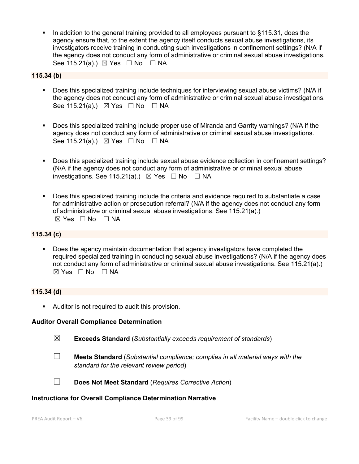In addition to the general training provided to all employees pursuant to §115.31, does the agency ensure that, to the extent the agency itself conducts sexual abuse investigations, its investigators receive training in conducting such investigations in confinement settings? (N/A if the agency does not conduct any form of administrative or criminal sexual abuse investigations. See 115.21(a).)  $\boxtimes$  Yes  $\Box$  No  $\Box$  NA

### **115.34 (b)**

- § Does this specialized training include techniques for interviewing sexual abuse victims? (N/A if the agency does not conduct any form of administrative or criminal sexual abuse investigations. See 115.21(a).)  $\boxtimes$  Yes  $\Box$  No  $\Box$  NA
- Does this specialized training include proper use of Miranda and Garrity warnings? (N/A if the agency does not conduct any form of administrative or criminal sexual abuse investigations. See 115.21(a).) ⊠ Yes □ No □ NA
- § Does this specialized training include sexual abuse evidence collection in confinement settings? (N/A if the agency does not conduct any form of administrative or criminal sexual abuse investigations. See 115.21(a).)  $\boxtimes$  Yes  $\Box$  No  $\Box$  NA
- Does this specialized training include the criteria and evidence required to substantiate a case for administrative action or prosecution referral? (N/A if the agency does not conduct any form of administrative or criminal sexual abuse investigations. See 115.21(a).)  $\boxtimes$  Yes  $\Box$  No  $\Box$  NA

#### **115.34 (c)**

Does the agency maintain documentation that agency investigators have completed the required specialized training in conducting sexual abuse investigations? (N/A if the agency does not conduct any form of administrative or criminal sexual abuse investigations. See 115.21(a).)  $\boxtimes$  Yes  $\Box$  No  $\Box$  NA

#### **115.34 (d)**

■ Auditor is not required to audit this provision.

#### **Auditor Overall Compliance Determination**

- ☒ **Exceeds Standard** (*Substantially exceeds requirement of standards*)
- 
- ☐ **Meets Standard** (*Substantial compliance; complies in all material ways with the standard for the relevant review period*)



☐ **Does Not Meet Standard** (*Requires Corrective Action*)

#### **Instructions for Overall Compliance Determination Narrative**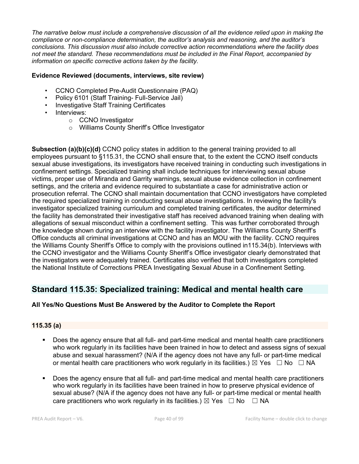*The narrative below must include a comprehensive discussion of all the evidence relied upon in making the compliance or non-compliance determination, the auditor's analysis and reasoning, and the auditor's conclusions. This discussion must also include corrective action recommendations where the facility does not meet the standard. These recommendations must be included in the Final Report, accompanied by information on specific corrective actions taken by the facility.*

## **Evidence Reviewed (documents, interviews, site review)**

- CCNO Completed Pre-Audit Questionnaire (PAQ)
- Policy 6101 (Staff Training- Full-Service Jail)
- Investigative Staff Training Certificates
- Interviews:
	- o CCNO Investigator
	- o Williams County Sheriff's Office Investigator

**Subsection (a)(b)(c)(d)** CCNO policy states in addition to the general training provided to all employees pursuant to §115.31, the CCNO shall ensure that, to the extent the CCNO itself conducts sexual abuse investigations, its investigators have received training in conducting such investigations in confinement settings. Specialized training shall include techniques for interviewing sexual abuse victims, proper use of Miranda and Garrity warnings, sexual abuse evidence collection in confinement settings, and the criteria and evidence required to substantiate a case for administrative action or prosecution referral. The CCNO shall maintain documentation that CCNO investigators have completed the required specialized training in conducting sexual abuse investigations. In reviewing the facility's investigator specialized training curriculum and completed training certificates, the auditor determined the facility has demonstrated their investigative staff has received advanced training when dealing with allegations of sexual misconduct within a confinement setting. This was further corroborated through the knowledge shown during an interview with the facility investigator. The Williams County Sheriff's Office conducts all criminal investigations at CCNO and has an MOU with the facility. CCNO requires the Williams County Sheriff's Office to comply with the provisions outlined in115.34(b). Interviews with the CCNO investigator and the Williams County Sheriff's Office investigator clearly demonstrated that the investigators were adequately trained. Certificates also verified that both investigators completed the National Institute of Corrections PREA Investigating Sexual Abuse in a Confinement Setting.

# **Standard 115.35: Specialized training: Medical and mental health care**

# **All Yes/No Questions Must Be Answered by the Auditor to Complete the Report**

### **115.35 (a)**

- Does the agency ensure that all full- and part-time medical and mental health care practitioners who work regularly in its facilities have been trained in how to detect and assess signs of sexual abuse and sexual harassment? (N/A if the agency does not have any full- or part-time medical or mental health care practitioners who work regularly in its facilities.)  $\boxtimes$  Yes  $\Box$  No  $\Box$  NA
- Does the agency ensure that all full- and part-time medical and mental health care practitioners who work regularly in its facilities have been trained in how to preserve physical evidence of sexual abuse? (N/A if the agency does not have any full- or part-time medical or mental health care practitioners who work regularly in its facilities.)  $\boxtimes$  Yes  $\Box$  No  $\Box$  NA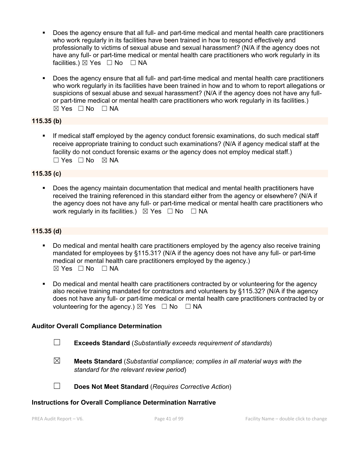- Does the agency ensure that all full- and part-time medical and mental health care practitioners who work regularly in its facilities have been trained in how to respond effectively and professionally to victims of sexual abuse and sexual harassment? (N/A if the agency does not have any full- or part-time medical or mental health care practitioners who work regularly in its facilities.) ⊠ Yes □ No □ NA
- § Does the agency ensure that all full- and part-time medical and mental health care practitioners who work regularly in its facilities have been trained in how and to whom to report allegations or suspicions of sexual abuse and sexual harassment? (N/A if the agency does not have any fullor part-time medical or mental health care practitioners who work regularly in its facilities.)  $\boxtimes$  Yes  $\Box$  No  $\Box$  NA

# **115.35 (b)**

**•** If medical staff employed by the agency conduct forensic examinations, do such medical staff receive appropriate training to conduct such examinations? (N/A if agency medical staff at the facility do not conduct forensic exams *or* the agency does not employ medical staff.)  $\square$  Yes  $\square$  No  $\square$  NA

### **115.35 (c)**

■ Does the agency maintain documentation that medical and mental health practitioners have received the training referenced in this standard either from the agency or elsewhere? (N/A if the agency does not have any full- or part-time medical or mental health care practitioners who work regularly in its facilities.)  $\boxtimes$  Yes  $\Box$  No  $\Box$  NA

# **115.35 (d)**

- § Do medical and mental health care practitioners employed by the agency also receive training mandated for employees by §115.31? (N/A if the agency does not have any full- or part-time medical or mental health care practitioners employed by the agency.)  $\boxtimes$  Yes  $\Box$  No  $\Box$  NA
- Do medical and mental health care practitioners contracted by or volunteering for the agency also receive training mandated for contractors and volunteers by §115.32? (N/A if the agency does not have any full- or part-time medical or mental health care practitioners contracted by or volunteering for the agency.)  $\boxtimes$  Yes  $\Box$  No  $\Box$  NA

### **Auditor Overall Compliance Determination**

- ☐ **Exceeds Standard** (*Substantially exceeds requirement of standards*)
- ☒ **Meets Standard** (*Substantial compliance; complies in all material ways with the standard for the relevant review period*)
- 
- ☐ **Does Not Meet Standard** (*Requires Corrective Action*)

#### **Instructions for Overall Compliance Determination Narrative**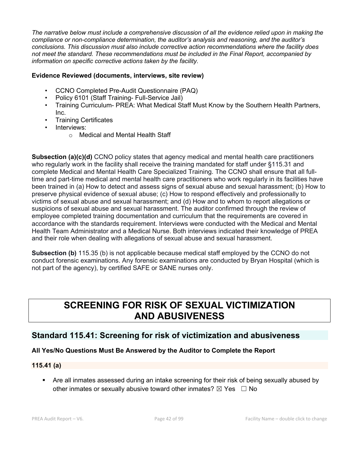*The narrative below must include a comprehensive discussion of all the evidence relied upon in making the compliance or non-compliance determination, the auditor's analysis and reasoning, and the auditor's conclusions. This discussion must also include corrective action recommendations where the facility does not meet the standard. These recommendations must be included in the Final Report, accompanied by information on specific corrective actions taken by the facility.*

### **Evidence Reviewed (documents, interviews, site review)**

- CCNO Completed Pre-Audit Questionnaire (PAQ)
- Policy 6101 (Staff Training- Full-Service Jail)
- Training Curriculum- PREA: What Medical Staff Must Know by the Southern Health Partners, Inc.
- Training Certificates
- Interviews:
	- o Medical and Mental Health Staff

**Subsection (a)(c)(d)** CCNO policy states that agency medical and mental health care practitioners who regularly work in the facility shall receive the training mandated for staff under §115.31 and complete Medical and Mental Health Care Specialized Training. The CCNO shall ensure that all fulltime and part-time medical and mental health care practitioners who work regularly in its facilities have been trained in (a) How to detect and assess signs of sexual abuse and sexual harassment; (b) How to preserve physical evidence of sexual abuse; (c) How to respond effectively and professionally to victims of sexual abuse and sexual harassment; and (d) How and to whom to report allegations or suspicions of sexual abuse and sexual harassment. The auditor confirmed through the review of employee completed training documentation and curriculum that the requirements are covered in accordance with the standards requirement. Interviews were conducted with the Medical and Mental Health Team Administrator and a Medical Nurse. Both interviews indicated their knowledge of PREA and their role when dealing with allegations of sexual abuse and sexual harassment.

**Subsection (b)** 115.35 (b) is not applicable because medical staff employed by the CCNO do not conduct forensic examinations. Any forensic examinations are conducted by Bryan Hospital (which is not part of the agency), by certified SAFE or SANE nurses only.

# **SCREENING FOR RISK OF SEXUAL VICTIMIZATION AND ABUSIVENESS**

# **Standard 115.41: Screening for risk of victimization and abusiveness**

### **All Yes/No Questions Must Be Answered by the Auditor to Complete the Report**

### **115.41 (a)**

• Are all inmates assessed during an intake screening for their risk of being sexually abused by other inmates or sexually abusive toward other inmates?  $\boxtimes$  Yes  $\Box$  No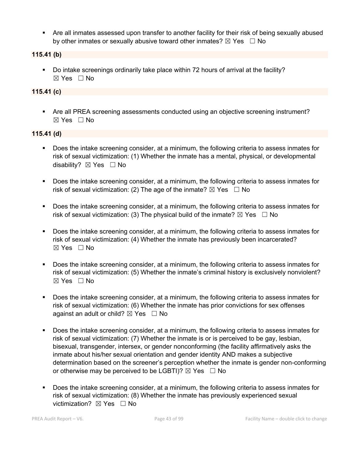• Are all inmates assessed upon transfer to another facility for their risk of being sexually abused by other inmates or sexually abusive toward other inmates?  $\boxtimes$  Yes  $\Box$  No

## **115.41 (b)**

§ Do intake screenings ordinarily take place within 72 hours of arrival at the facility? ☒ Yes ☐ No

# **115.41 (c)**

• Are all PREA screening assessments conducted using an objective screening instrument?  $\boxtimes$  Yes  $\Box$  No

#### **115.41 (d)**

- § Does the intake screening consider, at a minimum, the following criteria to assess inmates for risk of sexual victimization: (1) Whether the inmate has a mental, physical, or developmental disability? ⊠ Yes □ No
- § Does the intake screening consider, at a minimum, the following criteria to assess inmates for risk of sexual victimization: (2) The age of the inmate?  $\boxtimes$  Yes  $\Box$  No
- § Does the intake screening consider, at a minimum, the following criteria to assess inmates for risk of sexual victimization: (3) The physical build of the inmate?  $\boxtimes$  Yes  $\Box$  No
- § Does the intake screening consider, at a minimum, the following criteria to assess inmates for risk of sexual victimization: (4) Whether the inmate has previously been incarcerated?  $\boxtimes$  Yes  $\Box$  No
- § Does the intake screening consider, at a minimum, the following criteria to assess inmates for risk of sexual victimization: (5) Whether the inmate's criminal history is exclusively nonviolent?  $\boxtimes$  Yes  $\Box$  No
- § Does the intake screening consider, at a minimum, the following criteria to assess inmates for risk of sexual victimization: (6) Whether the inmate has prior convictions for sex offenses against an adult or child?  $\boxtimes$  Yes  $\Box$  No
- § Does the intake screening consider, at a minimum, the following criteria to assess inmates for risk of sexual victimization: (7) Whether the inmate is or is perceived to be gay, lesbian, bisexual, transgender, intersex, or gender nonconforming (the facility affirmatively asks the inmate about his/her sexual orientation and gender identity AND makes a subjective determination based on the screener's perception whether the inmate is gender non-conforming or otherwise may be perceived to be LGBTI)?  $\boxtimes$  Yes  $\Box$  No
- § Does the intake screening consider, at a minimum, the following criteria to assess inmates for risk of sexual victimization: (8) Whether the inmate has previously experienced sexual victimization? **⊠** Yes □ No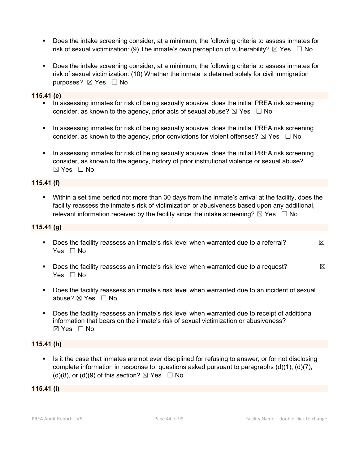- § Does the intake screening consider, at a minimum, the following criteria to assess inmates for risk of sexual victimization: (9) The inmate's own perception of vulnerability?  $\boxtimes$  Yes  $\Box$  No
- § Does the intake screening consider, at a minimum, the following criteria to assess inmates for risk of sexual victimization: (10) Whether the inmate is detained solely for civil immigration purposes? ⊠ Yes □ No

#### **115.41 (e)**

- In assessing inmates for risk of being sexually abusive, does the initial PREA risk screening consider, as known to the agency, prior acts of sexual abuse?  $\boxtimes$  Yes  $\Box$  No
- In assessing inmates for risk of being sexually abusive, does the initial PREA risk screening consider, as known to the agency, prior convictions for violent offenses?  $\boxtimes$  Yes  $\Box$  No
- In assessing inmates for risk of being sexually abusive, does the initial PREA risk screening consider, as known to the agency, history of prior institutional violence or sexual abuse? ☒ Yes ☐ No

#### **115.41 (f)**

§ Within a set time period not more than 30 days from the inmate's arrival at the facility, does the facility reassess the inmate's risk of victimization or abusiveness based upon any additional, relevant information received by the facility since the intake screening?  $\boxtimes$  Yes  $\Box$  No

#### **115.41 (g)**

- **•** Does the facility reassess an inmate's risk level when warranted due to a referral?  $\boxtimes$ Yes □ No
- **•** Does the facility reassess an inmate's risk level when warranted due to a request?  $\boxtimes$ Yes  $\Box$  No
- § Does the facility reassess an inmate's risk level when warranted due to an incident of sexual abuse? ☒ Yes ☐ No
- § Does the facility reassess an inmate's risk level when warranted due to receipt of additional information that bears on the inmate's risk of sexual victimization or abusiveness?  $\boxtimes$  Yes  $\Box$  No

### **115.41 (h)**

■ Is it the case that inmates are not ever disciplined for refusing to answer, or for not disclosing complete information in response to, questions asked pursuant to paragraphs (d)(1), (d)(7), (d)(8), or (d)(9) of this section?  $\boxtimes$  Yes  $\Box$  No

#### **115.41 (i)**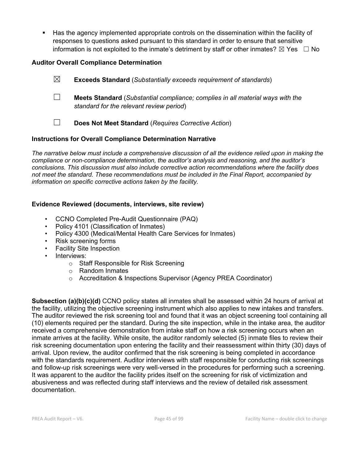§ Has the agency implemented appropriate controls on the dissemination within the facility of responses to questions asked pursuant to this standard in order to ensure that sensitive information is not exploited to the inmate's detriment by staff or other inmates?  $\boxtimes$  Yes  $\Box$  No

# **Auditor Overall Compliance Determination**

☒ **Exceeds Standard** (*Substantially exceeds requirement of standards*) ☐ **Meets Standard** (*Substantial compliance; complies in all material ways with the standard for the relevant review period*) ☐ **Does Not Meet Standard** (*Requires Corrective Action*)

### **Instructions for Overall Compliance Determination Narrative**

*The narrative below must include a comprehensive discussion of all the evidence relied upon in making the compliance or non-compliance determination, the auditor's analysis and reasoning, and the auditor's conclusions. This discussion must also include corrective action recommendations where the facility does not meet the standard. These recommendations must be included in the Final Report, accompanied by information on specific corrective actions taken by the facility.*

# **Evidence Reviewed (documents, interviews, site review)**

- CCNO Completed Pre-Audit Questionnaire (PAQ)
- Policy 4101 (Classification of Inmates)
- Policy 4300 (Medical/Mental Health Care Services for Inmates)
- Risk screening forms
- Facility Site Inspection
- Interviews:
	- o Staff Responsible for Risk Screening
	- o Random Inmates
	- o Accreditation & Inspections Supervisor (Agency PREA Coordinator)

**Subsection (a)(b)(c)(d)** CCNO policy states all inmates shall be assessed within 24 hours of arrival at the facility, utilizing the objective screening instrument which also applies to new intakes and transfers. The auditor reviewed the risk screening tool and found that it was an object screening tool containing all (10) elements required per the standard. During the site inspection, while in the intake area, the auditor received a comprehensive demonstration from intake staff on how a risk screening occurs when an inmate arrives at the facility. While onsite, the auditor randomly selected (5) inmate files to review their risk screening documentation upon entering the facility and their reassessment within thirty (30) days of arrival. Upon review, the auditor confirmed that the risk screening is being completed in accordance with the standards requirement. Auditor interviews with staff responsible for conducting risk screenings and follow-up risk screenings were very well-versed in the procedures for performing such a screening. It was apparent to the auditor the facility prides itself on the screening for risk of victimization and abusiveness and was reflected during staff interviews and the review of detailed risk assessment documentation.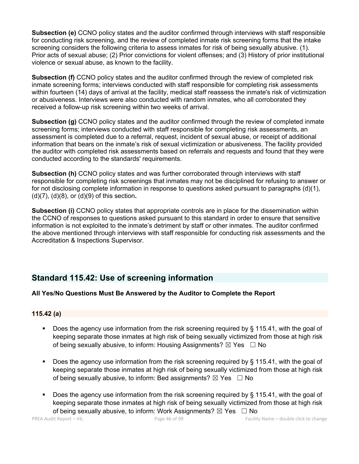**Subsection (e)** CCNO policy states and the auditor confirmed through interviews with staff responsible for conducting risk screening, and the review of completed inmate risk screening forms that the intake screening considers the following criteria to assess inmates for risk of being sexually abusive. (1). Prior acts of sexual abuse; (2) Prior convictions for violent offenses; and (3) History of prior institutional violence or sexual abuse, as known to the facility.

**Subsection (f)** CCNO policy states and the auditor confirmed through the review of completed risk inmate screening forms; interviews conducted with staff responsible for completing risk assessments within fourteen (14) days of arrival at the facility, medical staff reassess the inmate's risk of victimization or abusiveness. Interviews were also conducted with random inmates, who all corroborated they received a follow-up risk screening within two weeks of arrival.

**Subsection (g)** CCNO policy states and the auditor confirmed through the review of completed inmate screening forms; interviews conducted with staff responsible for completing risk assessments, an assessment is completed due to a referral, request, incident of sexual abuse, or receipt of additional information that bears on the inmate's risk of sexual victimization or abusiveness. The facility provided the auditor with completed risk assessments based on referrals and requests and found that they were conducted according to the standards' requirements.

**Subsection (h)** CCNO policy states and was further corroborated through interviews with staff responsible for completing risk screenings that inmates may not be disciplined for refusing to answer or for not disclosing complete information in response to questions asked pursuant to paragraphs (d)(1), (d)(7), (d)(8), or (d)(9) of this section**.** 

**Subsection (i)** CCNO policy states that appropriate controls are in place for the dissemination within the CCNO of responses to questions asked pursuant to this standard in order to ensure that sensitive information is not exploited to the inmate's detriment by staff or other inmates. The auditor confirmed the above mentioned through interviews with staff responsible for conducting risk assessments and the Accreditation & Inspections Supervisor.

# **Standard 115.42: Use of screening information**

### **All Yes/No Questions Must Be Answered by the Auditor to Complete the Report**

### **115.42 (a)**

- Does the agency use information from the risk screening required by § 115.41, with the goal of keeping separate those inmates at high risk of being sexually victimized from those at high risk of being sexually abusive, to inform: Housing Assignments?  $\boxtimes$  Yes  $\Box$  No
- § Does the agency use information from the risk screening required by § 115.41, with the goal of keeping separate those inmates at high risk of being sexually victimized from those at high risk of being sexually abusive, to inform: Bed assignments?  $\boxtimes$  Yes  $\Box$  No
- Does the agency use information from the risk screening required by § 115.41, with the goal of keeping separate those inmates at high risk of being sexually victimized from those at high risk of being sexually abusive, to inform: Work Assignments?  $\boxtimes$  Yes  $\Box$  No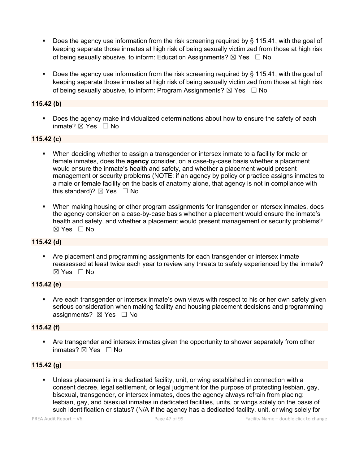- **•** Does the agency use information from the risk screening required by  $\S$  115.41, with the goal of keeping separate those inmates at high risk of being sexually victimized from those at high risk of being sexually abusive, to inform: Education Assignments?  $\boxtimes$  Yes  $\Box$  No
- § Does the agency use information from the risk screening required by § 115.41, with the goal of keeping separate those inmates at high risk of being sexually victimized from those at high risk of being sexually abusive, to inform: Program Assignments?  $\boxtimes$  Yes  $\Box$  No

## **115.42 (b)**

■ Does the agency make individualized determinations about how to ensure the safety of each inmate? ☒ Yes ☐ No

# **115.42 (c)**

- When deciding whether to assign a transgender or intersex inmate to a facility for male or female inmates, does the **agency** consider, on a case-by-case basis whether a placement would ensure the inmate's health and safety, and whether a placement would present management or security problems (NOTE: if an agency by policy or practice assigns inmates to a male or female facility on the basis of anatomy alone, that agency is not in compliance with this standard)?  $\boxtimes$  Yes  $\Box$  No
- When making housing or other program assignments for transgender or intersex inmates, does the agency consider on a case-by-case basis whether a placement would ensure the inmate's health and safety, and whether a placement would present management or security problems? ☒ Yes ☐ No

### **115.42 (d)**

• Are placement and programming assignments for each transgender or intersex inmate reassessed at least twice each year to review any threats to safety experienced by the inmate?  $\boxtimes$  Yes  $\Box$  No

### **115.42 (e)**

• Are each transgender or intersex inmate's own views with respect to his or her own safety given serious consideration when making facility and housing placement decisions and programming assignments? ⊠ Yes □ No

### **115.42 (f)**

• Are transgender and intersex inmates given the opportunity to shower separately from other inmates? ⊠ Yes □ No

#### **115.42 (g)**

Unless placement is in a dedicated facility, unit, or wing established in connection with a consent decree, legal settlement, or legal judgment for the purpose of protecting lesbian, gay, bisexual, transgender, or intersex inmates, does the agency always refrain from placing: lesbian, gay, and bisexual inmates in dedicated facilities, units, or wings solely on the basis of such identification or status? (N/A if the agency has a dedicated facility, unit, or wing solely for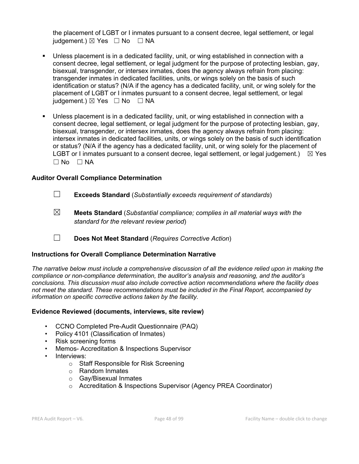the placement of LGBT or I inmates pursuant to a consent decree, legal settlement, or legal judgement.)  $\boxtimes$  Yes  $\Box$  No  $\Box$  NA

- Unless placement is in a dedicated facility, unit, or wing established in connection with a consent decree, legal settlement, or legal judgment for the purpose of protecting lesbian, gay, bisexual, transgender, or intersex inmates, does the agency always refrain from placing: transgender inmates in dedicated facilities, units, or wings solely on the basis of such identification or status? (N/A if the agency has a dedicated facility, unit, or wing solely for the placement of LGBT or I inmates pursuant to a consent decree, legal settlement, or legal iudgement.)  $\boxtimes$  Yes  $\Box$  No  $\Box$  NA
- Unless placement is in a dedicated facility, unit, or wing established in connection with a consent decree, legal settlement, or legal judgment for the purpose of protecting lesbian, gay, bisexual, transgender, or intersex inmates, does the agency always refrain from placing: intersex inmates in dedicated facilities, units, or wings solely on the basis of such identification or status? (N/A if the agency has a dedicated facility, unit, or wing solely for the placement of LGBT or I inmates pursuant to a consent decree, legal settlement, or legal judgement.)  $\boxtimes$  Yes  $\square$  No  $\square$  NA

### **Auditor Overall Compliance Determination**

- ☐ **Exceeds Standard** (*Substantially exceeds requirement of standards*)
- ☒ **Meets Standard** (*Substantial compliance; complies in all material ways with the standard for the relevant review period*)
- ☐ **Does Not Meet Standard** (*Requires Corrective Action*)

### **Instructions for Overall Compliance Determination Narrative**

*The narrative below must include a comprehensive discussion of all the evidence relied upon in making the compliance or non-compliance determination, the auditor's analysis and reasoning, and the auditor's conclusions. This discussion must also include corrective action recommendations where the facility does not meet the standard. These recommendations must be included in the Final Report, accompanied by information on specific corrective actions taken by the facility.*

#### **Evidence Reviewed (documents, interviews, site review)**

- CCNO Completed Pre-Audit Questionnaire (PAQ)
- Policy 4101 (Classification of Inmates)
- Risk screening forms
	- Memos- Accreditation & Inspections Supervisor
- Interviews:
	- o Staff Responsible for Risk Screening
	- o Random Inmates
	- o Gay/Bisexual Inmates
	- o Accreditation & Inspections Supervisor (Agency PREA Coordinator)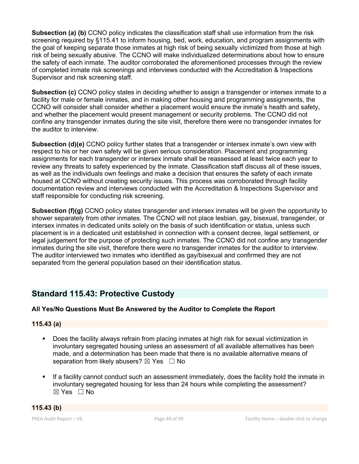**Subsection (a) (b)** CCNO policy indicates the classification staff shall use information from the risk screening required by §115.41 to inform housing, bed, work, education, and program assignments with the goal of keeping separate those inmates at high risk of being sexually victimized from those at high risk of being sexually abusive. The CCNO will make individualized determinations about how to ensure the safety of each inmate. The auditor corroborated the aforementioned processes through the review of completed inmate risk screenings and interviews conducted with the Accreditation & Inspections Supervisor and risk screening staff.

**Subsection (c)** CCNO policy states in deciding whether to assign a transgender or intersex inmate to a facility for male or female inmates, and in making other housing and programming assignments, the CCNO will consider shall consider whether a placement would ensure the inmate's health and safety, and whether the placement would present management or security problems. The CCNO did not confine any transgender inmates during the site visit, therefore there were no transgender inmates for the auditor to interview.

**Subsection (d)(e)** CCNO policy further states that a transgender or intersex inmate's own view with respect to his or her own safety will be given serious consideration. Placement and programming assignments for each transgender or intersex inmate shall be reassessed at least twice each year to review any threats to safety experienced by the inmate. Classification staff discuss all of these issues, as well as the individuals own feelings and make a decision that ensures the safety of each inmate housed at CCNO without creating security issues. This process was corroborated through facility documentation review and interviews conducted with the Accreditation & Inspections Supervisor and staff responsible for conducting risk screening.

**Subsection (f)(g)** CCNO policy states transgender and intersex inmates will be given the opportunity to shower separately from other inmates. The CCNO will not place lesbian, gay, bisexual, transgender, or intersex inmates in dedicated units solely on the basis of such identification or status, unless such placement is in a dedicated unit established in connection with a consent decree, legal settlement, or legal judgement for the purpose of protecting such inmates. The CCNO did not confine any transgender inmates during the site visit, therefore there were no transgender inmates for the auditor to interview. The auditor interviewed two inmates who identified as gay/bisexual and confirmed they are not separated from the general population based on their identification status.

# **Standard 115.43: Protective Custody**

# **All Yes/No Questions Must Be Answered by the Auditor to Complete the Report**

**115.43 (a)**

- § Does the facility always refrain from placing inmates at high risk for sexual victimization in involuntary segregated housing unless an assessment of all available alternatives has been made, and a determination has been made that there is no available alternative means of separation from likely abusers?  $\boxtimes$  Yes  $\Box$  No
- If a facility cannot conduct such an assessment immediately, does the facility hold the inmate in involuntary segregated housing for less than 24 hours while completing the assessment?  $\boxtimes$  Yes  $\Box$  No

$$
115.43 (b)
$$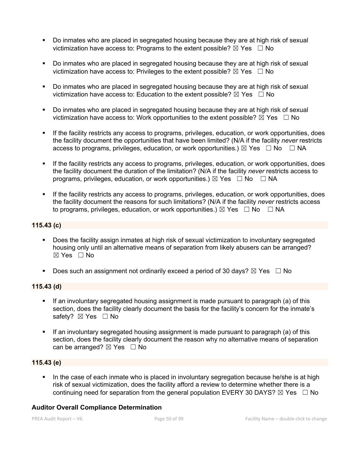- § Do inmates who are placed in segregated housing because they are at high risk of sexual victimization have access to: Programs to the extent possible?  $\boxtimes$  Yes  $\Box$  No
- § Do inmates who are placed in segregated housing because they are at high risk of sexual victimization have access to: Privileges to the extent possible?  $\boxtimes$  Yes  $\Box$  No
- § Do inmates who are placed in segregated housing because they are at high risk of sexual victimization have access to: Education to the extent possible?  $\boxtimes$  Yes  $\Box$  No
- § Do inmates who are placed in segregated housing because they are at high risk of sexual victimization have access to: Work opportunities to the extent possible?  $\boxtimes$  Yes  $\Box$  No
- If the facility restricts any access to programs, privileges, education, or work opportunities, does the facility document the opportunities that have been limited? (N/A if the facility *never* restricts access to programs, privileges, education, or work opportunities.)  $\boxtimes$  Yes  $\Box$  No  $\Box$  NA
- If the facility restricts any access to programs, privileges, education, or work opportunities, does the facility document the duration of the limitation? (N/A if the facility *never* restricts access to programs, privileges, education, or work opportunities.)  $\boxtimes$  Yes  $\Box$  No  $\Box$  NA
- § If the facility restricts any access to programs, privileges, education, or work opportunities, does the facility document the reasons for such limitations? (N/A if the facility *never* restricts access to programs, privileges, education, or work opportunities.)  $\boxtimes$  Yes  $\Box$  No  $\Box$  NA

### **115.43 (c)**

- § Does the facility assign inmates at high risk of sexual victimization to involuntary segregated housing only until an alternative means of separation from likely abusers can be arranged? ☒ Yes ☐ No
- **•** Does such an assignment not ordinarily exceed a period of 30 days?  $\boxtimes$  Yes  $\Box$  No

### **115.43 (d)**

- If an involuntary segregated housing assignment is made pursuant to paragraph (a) of this section, does the facility clearly document the basis for the facility's concern for the inmate's safety? ⊠ Yes □ No
- If an involuntary segregated housing assignment is made pursuant to paragraph (a) of this section, does the facility clearly document the reason why no alternative means of separation can be arranged?  $\boxtimes$  Yes  $\Box$  No

### **115.43 (e)**

In the case of each inmate who is placed in involuntary segregation because he/she is at high risk of sexual victimization, does the facility afford a review to determine whether there is a continuing need for separation from the general population EVERY 30 DAYS?  $\boxtimes$  Yes  $\Box$  No

### **Auditor Overall Compliance Determination**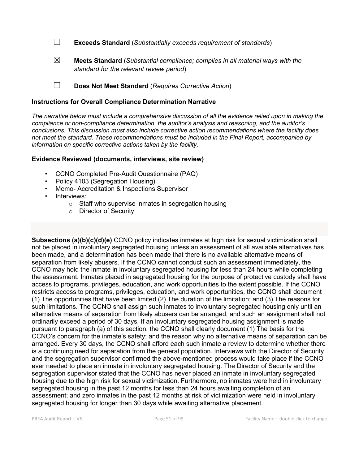☐ **Exceeds Standard** (*Substantially exceeds requirement of standards*)

☒ **Meets Standard** (*Substantial compliance; complies in all material ways with the standard for the relevant review period*)

☐ **Does Not Meet Standard** (*Requires Corrective Action*)

#### **Instructions for Overall Compliance Determination Narrative**

*The narrative below must include a comprehensive discussion of all the evidence relied upon in making the compliance or non-compliance determination, the auditor's analysis and reasoning, and the auditor's conclusions. This discussion must also include corrective action recommendations where the facility does not meet the standard. These recommendations must be included in the Final Report, accompanied by information on specific corrective actions taken by the facility.*

#### **Evidence Reviewed (documents, interviews, site review)**

- CCNO Completed Pre-Audit Questionnaire (PAQ)
- Policy 4103 (Segregation Housing)
- Memo- Accreditation & Inspections Supervisor
- Interviews:
	- o Staff who supervise inmates in segregation housing
	- o Director of Security

**Subsections (a)(b)(c)(d)(e)** CCNO policy indicates inmates at high risk for sexual victimization shall not be placed in involuntary segregated housing unless an assessment of all available alternatives has been made, and a determination has been made that there is no available alternative means of separation from likely abusers. If the CCNO cannot conduct such an assessment immediately, the CCNO may hold the inmate in involuntary segregated housing for less than 24 hours while completing the assessment. Inmates placed in segregated housing for the purpose of protective custody shall have access to programs, privileges, education, and work opportunities to the extent possible. If the CCNO restricts access to programs, privileges, education, and work opportunities, the CCNO shall document (1) The opportunities that have been limited (2) The duration of the limitation; and (3) The reasons for such limitations. The CCNO shall assign such inmates to involuntary segregated housing only until an alternative means of separation from likely abusers can be arranged, and such an assignment shall not ordinarily exceed a period of 30 days. If an involuntary segregated housing assignment is made pursuant to paragraph (a) of this section, the CCNO shall clearly document (1) The basis for the CCNO's concern for the inmate's safety; and the reason why no alternative means of separation can be arranged. Every 30 days, the CCNO shall afford each such inmate a review to determine whether there is a continuing need for separation from the general population. Interviews with the Director of Security and the segregation supervisor confirmed the above-mentioned process would take place if the CCNO ever needed to place an inmate in involuntary segregated housing. The Director of Security and the segregation supervisor stated that the CCNO has never placed an inmate in involuntary segregated housing due to the high risk for sexual victimization. Furthermore, no inmates were held in involuntary segregated housing in the past 12 months for less than 24 hours awaiting completion of an assessment; and zero inmates in the past 12 months at risk of victimization were held in involuntary segregated housing for longer than 30 days while awaiting alternative placement.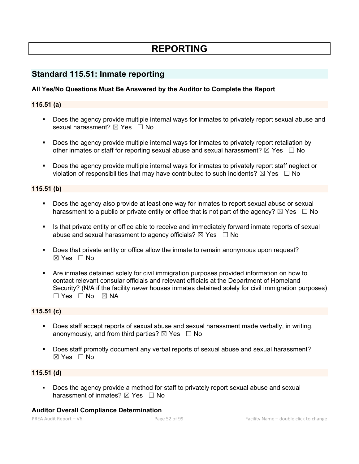# **REPORTING**

# **Standard 115.51: Inmate reporting**

## **All Yes/No Questions Must Be Answered by the Auditor to Complete the Report**

### **115.51 (a)**

- § Does the agency provide multiple internal ways for inmates to privately report sexual abuse and sexual harassment?  $\boxtimes$  Yes  $\Box$  No
- § Does the agency provide multiple internal ways for inmates to privately report retaliation by other inmates or staff for reporting sexual abuse and sexual harassment?  $\boxtimes$  Yes  $\Box$  No
- § Does the agency provide multiple internal ways for inmates to privately report staff neglect or violation of responsibilities that may have contributed to such incidents?  $\boxtimes$  Yes  $\Box$  No

#### **115.51 (b)**

- § Does the agency also provide at least one way for inmates to report sexual abuse or sexual harassment to a public or private entity or office that is not part of the agency?  $\boxtimes$  Yes  $\Box$  No
- Is that private entity or office able to receive and immediately forward inmate reports of sexual abuse and sexual harassment to agency officials?  $\boxtimes$  Yes  $\Box$  No
- Does that private entity or office allow the inmate to remain anonymous upon request? ☒ Yes ☐ No
- § Are inmates detained solely for civil immigration purposes provided information on how to contact relevant consular officials and relevant officials at the Department of Homeland Security? (N/A if the facility *never* houses inmates detained solely for civil immigration purposes)  $\square$  Yes  $\square$  No  $\square$  NA

#### **115.51 (c)**

- § Does staff accept reports of sexual abuse and sexual harassment made verbally, in writing, anonymously, and from third parties?  $\boxtimes$  Yes  $\Box$  No
- § Does staff promptly document any verbal reports of sexual abuse and sexual harassment?  $\boxtimes$  Yes  $\Box$  No

#### **115.51 (d)**

Does the agency provide a method for staff to privately report sexual abuse and sexual harassment of inmates?  $\boxtimes$  Yes  $\Box$  No

#### **Auditor Overall Compliance Determination**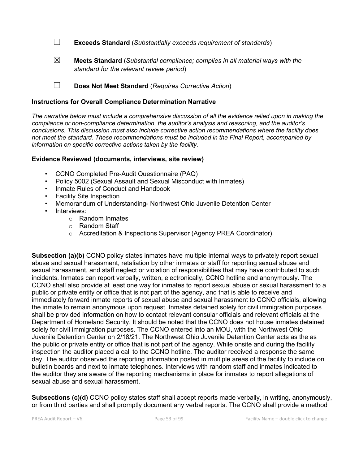☐ **Exceeds Standard** (*Substantially exceeds requirement of standards*)

☒ **Meets Standard** (*Substantial compliance; complies in all material ways with the standard for the relevant review period*)

☐ **Does Not Meet Standard** (*Requires Corrective Action*)

#### **Instructions for Overall Compliance Determination Narrative**

*The narrative below must include a comprehensive discussion of all the evidence relied upon in making the compliance or non-compliance determination, the auditor's analysis and reasoning, and the auditor's conclusions. This discussion must also include corrective action recommendations where the facility does not meet the standard. These recommendations must be included in the Final Report, accompanied by information on specific corrective actions taken by the facility.*

#### **Evidence Reviewed (documents, interviews, site review)**

- CCNO Completed Pre-Audit Questionnaire (PAQ)
- Policy 5002 (Sexual Assault and Sexual Misconduct with Inmates)
- Inmate Rules of Conduct and Handbook
- Facility Site Inspection
- Memorandum of Understanding- Northwest Ohio Juvenile Detention Center
- Interviews:
	- o Random Inmates
	- o Random Staff
	- o Accreditation & Inspections Supervisor (Agency PREA Coordinator)

**Subsection (a)(b)** CCNO policy states inmates have multiple internal ways to privately report sexual abuse and sexual harassment, retaliation by other inmates or staff for reporting sexual abuse and sexual harassment, and staff neglect or violation of responsibilities that may have contributed to such incidents. Inmates can report verbally, written, electronically, CCNO hotline and anonymously. The CCNO shall also provide at least one way for inmates to report sexual abuse or sexual harassment to a public or private entity or office that is not part of the agency, and that is able to receive and immediately forward inmate reports of sexual abuse and sexual harassment to CCNO officials, allowing the inmate to remain anonymous upon request. Inmates detained solely for civil immigration purposes shall be provided information on how to contact relevant consular officials and relevant officials at the Department of Homeland Security. It should be noted that the CCNO does not house inmates detained solely for civil immigration purposes. The CCNO entered into an MOU, with the Northwest Ohio Juvenile Detention Center on 2/18/21. The Northwest Ohio Juvenile Detention Center acts as the as the public or private entity or office that is not part of the agency. While onsite and during the facility inspection the auditor placed a call to the CCNO hotline. The auditor received a response the same day. The auditor observed the reporting information posted in multiple areas of the facility to include on bulletin boards and next to inmate telephones. Interviews with random staff and inmates indicated to the auditor they are aware of the reporting mechanisms in place for inmates to report allegations of sexual abuse and sexual harassment**.**

**Subsections (c)(d)** CCNO policy states staff shall accept reports made verbally, in writing, anonymously, or from third parties and shall promptly document any verbal reports. The CCNO shall provide a method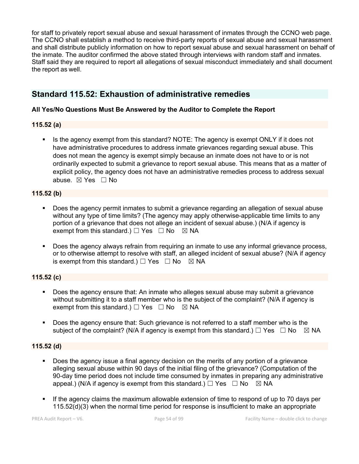for staff to privately report sexual abuse and sexual harassment of inmates through the CCNO web page. The CCNO shall establish a method to receive third-party reports of sexual abuse and sexual harassment and shall distribute publicly information on how to report sexual abuse and sexual harassment on behalf of the inmate. The auditor confirmed the above stated through interviews with random staff and inmates. Staff said they are required to report all allegations of sexual misconduct immediately and shall document the report as well.

# **Standard 115.52: Exhaustion of administrative remedies**

# **All Yes/No Questions Must Be Answered by the Auditor to Complete the Report**

### **115.52 (a)**

• Is the agency exempt from this standard? NOTE: The agency is exempt ONLY if it does not have administrative procedures to address inmate grievances regarding sexual abuse. This does not mean the agency is exempt simply because an inmate does not have to or is not ordinarily expected to submit a grievance to report sexual abuse. This means that as a matter of explicit policy, the agency does not have an administrative remedies process to address sexual abuse. ☒ Yes ☐ No

# **115.52 (b)**

- Does the agency permit inmates to submit a grievance regarding an allegation of sexual abuse without any type of time limits? (The agency may apply otherwise-applicable time limits to any portion of a grievance that does not allege an incident of sexual abuse.) (N/A if agency is exempt from this standard.)  $\Box$  Yes  $\Box$  No  $\boxtimes$  NA
- Does the agency always refrain from requiring an inmate to use any informal grievance process, or to otherwise attempt to resolve with staff, an alleged incident of sexual abuse? (N/A if agency is exempt from this standard.)  $\Box$  Yes  $\Box$  No  $\boxtimes$  NA

# **115.52 (c)**

- § Does the agency ensure that: An inmate who alleges sexual abuse may submit a grievance without submitting it to a staff member who is the subject of the complaint? (N/A if agency is exempt from this standard.)  $\Box$  Yes  $\Box$  No  $\boxtimes$  NA
- Does the agency ensure that: Such grievance is not referred to a staff member who is the subject of the complaint? (N/A if agency is exempt from this standard.)  $\Box$  Yes  $\Box$  No  $\boxtimes$  NA

# **115.52 (d)**

- Does the agency issue a final agency decision on the merits of any portion of a grievance alleging sexual abuse within 90 days of the initial filing of the grievance? (Computation of the 90-day time period does not include time consumed by inmates in preparing any administrative appeal.) (N/A if agency is exempt from this standard.)  $\Box$  Yes  $\Box$  No  $\boxtimes$  NA
- § If the agency claims the maximum allowable extension of time to respond of up to 70 days per 115.52(d)(3) when the normal time period for response is insufficient to make an appropriate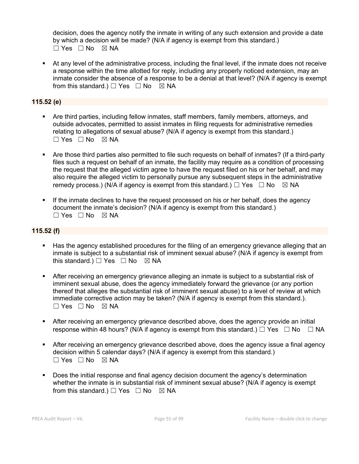decision, does the agency notify the inmate in writing of any such extension and provide a date by which a decision will be made? (N/A if agency is exempt from this standard.) ☐ Yes ☐ No ☒ NA

§ At any level of the administrative process, including the final level, if the inmate does not receive a response within the time allotted for reply, including any properly noticed extension, may an inmate consider the absence of a response to be a denial at that level? (N/A if agency is exempt from this standard.)  $\Box$  Yes  $\Box$  No  $\boxtimes$  NA

# **115.52 (e)**

- § Are third parties, including fellow inmates, staff members, family members, attorneys, and outside advocates, permitted to assist inmates in filing requests for administrative remedies relating to allegations of sexual abuse? (N/A if agency is exempt from this standard.)  $\square$  Yes  $\square$  No  $\square$  NA
- Are those third parties also permitted to file such requests on behalf of inmates? (If a third-party files such a request on behalf of an inmate, the facility may require as a condition of processing the request that the alleged victim agree to have the request filed on his or her behalf, and may also require the alleged victim to personally pursue any subsequent steps in the administrative remedy process.) (N/A if agency is exempt from this standard.)  $\Box$  Yes  $\Box$  No  $\boxtimes$  NA
- If the inmate declines to have the request processed on his or her behalf, does the agency document the inmate's decision? (N/A if agency is exempt from this standard.)  $\Box$  Yes  $\Box$  No  $\boxtimes$  NA

### **115.52 (f)**

- Has the agency established procedures for the filing of an emergency grievance alleging that an inmate is subject to a substantial risk of imminent sexual abuse? (N/A if agency is exempt from this standard.)  $\Box$  Yes  $\Box$  No  $\boxtimes$  NA
- **•** After receiving an emergency grievance alleging an inmate is subject to a substantial risk of imminent sexual abuse, does the agency immediately forward the grievance (or any portion thereof that alleges the substantial risk of imminent sexual abuse) to a level of review at which immediate corrective action may be taken? (N/A if agency is exempt from this standard.). ☐ Yes ☐ No ☒ NA
- **•** After receiving an emergency grievance described above, does the agency provide an initial response within 48 hours? (N/A if agency is exempt from this standard.)  $\Box$  Yes  $\Box$  No  $\Box$  NA
- After receiving an emergency grievance described above, does the agency issue a final agency decision within 5 calendar days? (N/A if agency is exempt from this standard.)  $\Box$  Yes  $\Box$  No  $\boxtimes$  NA
- § Does the initial response and final agency decision document the agency's determination whether the inmate is in substantial risk of imminent sexual abuse? (N/A if agency is exempt from this standard.)  $\Box$  Yes  $\Box$  No  $\boxtimes$  NA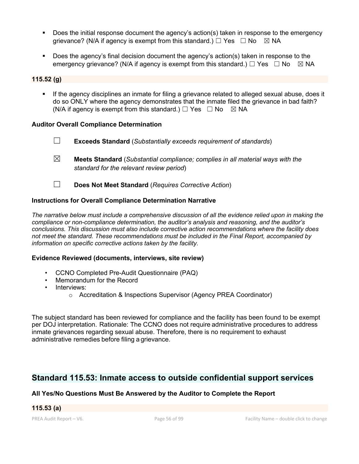- Does the initial response document the agency's action(s) taken in response to the emergency grievance? (N/A if agency is exempt from this standard.)  $\Box$  Yes  $\Box$  No  $\boxtimes$  NA
- § Does the agency's final decision document the agency's action(s) taken in response to the emergency grievance? (N/A if agency is exempt from this standard.)  $\Box$  Yes  $\Box$  No  $\boxtimes$  NA

#### **115.52 (g)**

If the agency disciplines an inmate for filing a grievance related to alleged sexual abuse, does it do so ONLY where the agency demonstrates that the inmate filed the grievance in bad faith? (N/A if agency is exempt from this standard.)  $\Box$  Yes  $\Box$  No  $\boxtimes$  NA

### **Auditor Overall Compliance Determination**

- ☐ **Exceeds Standard** (*Substantially exceeds requirement of standards*)
- ☒ **Meets Standard** (*Substantial compliance; complies in all material ways with the standard for the relevant review period*)
- ☐ **Does Not Meet Standard** (*Requires Corrective Action*)

### **Instructions for Overall Compliance Determination Narrative**

*The narrative below must include a comprehensive discussion of all the evidence relied upon in making the compliance or non-compliance determination, the auditor's analysis and reasoning, and the auditor's conclusions. This discussion must also include corrective action recommendations where the facility does not meet the standard. These recommendations must be included in the Final Report, accompanied by information on specific corrective actions taken by the facility.*

#### **Evidence Reviewed (documents, interviews, site review)**

- CCNO Completed Pre-Audit Questionnaire (PAQ)
- Memorandum for the Record
- Interviews:
	- o Accreditation & Inspections Supervisor (Agency PREA Coordinator)

The subject standard has been reviewed for compliance and the facility has been found to be exempt per DOJ interpretation. Rationale: The CCNO does not require administrative procedures to address inmate grievances regarding sexual abuse. Therefore, there is no requirement to exhaust administrative remedies before filing a grievance.

# **Standard 115.53: Inmate access to outside confidential support services**

### **All Yes/No Questions Must Be Answered by the Auditor to Complete the Report**

# **115.53 (a)**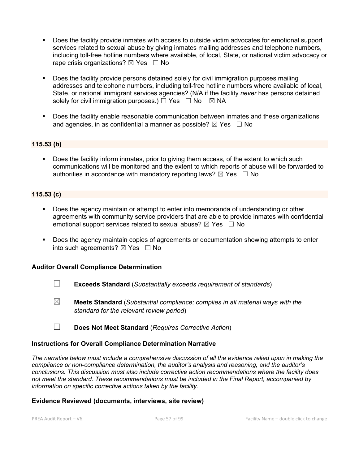- § Does the facility provide inmates with access to outside victim advocates for emotional support services related to sexual abuse by giving inmates mailing addresses and telephone numbers, including toll-free hotline numbers where available, of local, State, or national victim advocacy or rape crisis organizations?  $\boxtimes$  Yes  $\Box$  No
- § Does the facility provide persons detained solely for civil immigration purposes mailing addresses and telephone numbers, including toll-free hotline numbers where available of local, State, or national immigrant services agencies? (N/A if the facility *never* has persons detained solely for civil immigration purposes.)  $\Box$  Yes  $\Box$  No  $\boxtimes$  NA
- § Does the facility enable reasonable communication between inmates and these organizations and agencies, in as confidential a manner as possible?  $\boxtimes$  Yes  $\Box$  No

### **115.53 (b)**

§ Does the facility inform inmates, prior to giving them access, of the extent to which such communications will be monitored and the extent to which reports of abuse will be forwarded to authorities in accordance with mandatory reporting laws?  $\boxtimes$  Yes  $\Box$  No

### **115.53 (c)**

- Does the agency maintain or attempt to enter into memoranda of understanding or other agreements with community service providers that are able to provide inmates with confidential emotional support services related to sexual abuse?  $\boxtimes$  Yes  $\Box$  No
- Does the agency maintain copies of agreements or documentation showing attempts to enter into such agreements?  $\boxtimes$  Yes  $\Box$  No

### **Auditor Overall Compliance Determination**

- ☐ **Exceeds Standard** (*Substantially exceeds requirement of standards*)
- ☒ **Meets Standard** (*Substantial compliance; complies in all material ways with the standard for the relevant review period*)
- ☐ **Does Not Meet Standard** (*Requires Corrective Action*)

#### **Instructions for Overall Compliance Determination Narrative**

*The narrative below must include a comprehensive discussion of all the evidence relied upon in making the compliance or non-compliance determination, the auditor's analysis and reasoning, and the auditor's conclusions. This discussion must also include corrective action recommendations where the facility does not meet the standard. These recommendations must be included in the Final Report, accompanied by information on specific corrective actions taken by the facility.*

### **Evidence Reviewed (documents, interviews, site review)**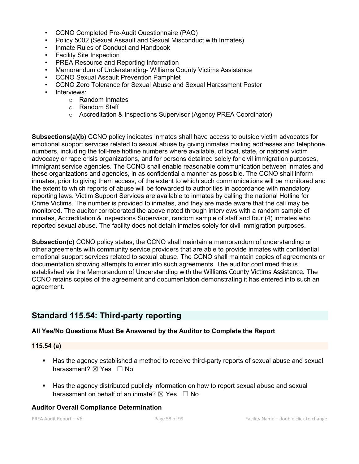- CCNO Completed Pre-Audit Questionnaire (PAQ)
- Policy 5002 (Sexual Assault and Sexual Misconduct with Inmates)
- Inmate Rules of Conduct and Handbook
- Facility Site Inspection
- PREA Resource and Reporting Information
- Memorandum of Understanding- Williams County Victims Assistance
- CCNO Sexual Assault Prevention Pamphlet
- CCNO Zero Tolerance for Sexual Abuse and Sexual Harassment Poster
- Interviews:
	- o Random Inmates
	- o Random Staff
	- o Accreditation & Inspections Supervisor (Agency PREA Coordinator)

**Subsections(a)(b)** CCNO policy indicates inmates shall have access to outside victim advocates for emotional support services related to sexual abuse by giving inmates mailing addresses and telephone numbers, including the toll-free hotline numbers where available, of local, state, or national victim advocacy or rape crisis organizations, and for persons detained solely for civil immigration purposes, immigrant service agencies. The CCNO shall enable reasonable communication between inmates and these organizations and agencies, in as confidential a manner as possible. The CCNO shall inform inmates, prior to giving them access, of the extent to which such communications will be monitored and the extent to which reports of abuse will be forwarded to authorities in accordance with mandatory reporting laws. Victim Support Services are available to inmates by calling the national Hotline for Crime Victims. The number is provided to inmates, and they are made aware that the call may be monitored. The auditor corroborated the above noted through interviews with a random sample of inmates, Accreditation & Inspections Supervisor, random sample of staff and four (4) inmates who reported sexual abuse. The facility does not detain inmates solely for civil immigration purposes.

**Subsection(c)** CCNO policy states, the CCNO shall maintain a memorandum of understanding or other agreements with community service providers that are able to provide inmates with confidential emotional support services related to sexual abuse. The CCNO shall maintain copies of agreements or documentation showing attempts to enter into such agreements. The auditor confirmed this is established via the Memorandum of Understanding with the Williams County Victims Assistance. The CCNO retains copies of the agreement and documentation demonstrating it has entered into such an agreement.

# **Standard 115.54: Third-party reporting**

### **All Yes/No Questions Must Be Answered by the Auditor to Complete the Report**

#### **115.54 (a)**

- Has the agency established a method to receive third-party reports of sexual abuse and sexual harassment?  $\boxtimes$  Yes  $\Box$  No
- **■** Has the agency distributed publicly information on how to report sexual abuse and sexual harassment on behalf of an inmate?  $\boxtimes$  Yes  $\Box$  No

#### **Auditor Overall Compliance Determination**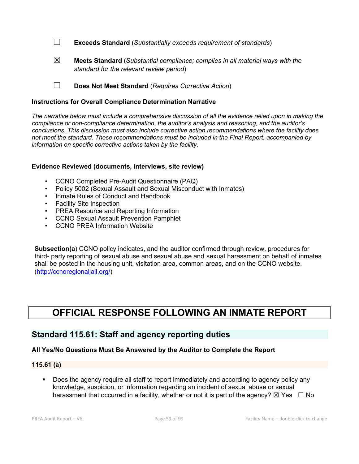☐ **Exceeds Standard** (*Substantially exceeds requirement of standards*)

☒ **Meets Standard** (*Substantial compliance; complies in all material ways with the standard for the relevant review period*)

☐ **Does Not Meet Standard** (*Requires Corrective Action*)

#### **Instructions for Overall Compliance Determination Narrative**

*The narrative below must include a comprehensive discussion of all the evidence relied upon in making the compliance or non-compliance determination, the auditor's analysis and reasoning, and the auditor's conclusions. This discussion must also include corrective action recommendations where the facility does not meet the standard. These recommendations must be included in the Final Report, accompanied by information on specific corrective actions taken by the facility.*

#### **Evidence Reviewed (documents, interviews, site review)**

- CCNO Completed Pre-Audit Questionnaire (PAQ)
- Policy 5002 (Sexual Assault and Sexual Misconduct with Inmates)
- Inmate Rules of Conduct and Handbook
- Facility Site Inspection
- PREA Resource and Reporting Information
- CCNO Sexual Assault Prevention Pamphlet
- CCNO PREA Information Website

**Subsection(a**) CCNO policy indicates, and the auditor confirmed through review, procedures for third- party reporting of sexual abuse and sexual abuse and sexual harassment on behalf of inmates shall be posted in the housing unit, visitation area, common areas, and on the CCNO website. (http://ccnoregionaljail.org/)

# **OFFICIAL RESPONSE FOLLOWING AN INMATE REPORT**

# **Standard 115.61: Staff and agency reporting duties**

### **All Yes/No Questions Must Be Answered by the Auditor to Complete the Report**

#### **115.61 (a)**

Does the agency require all staff to report immediately and according to agency policy any knowledge, suspicion, or information regarding an incident of sexual abuse or sexual harassment that occurred in a facility, whether or not it is part of the agency?  $\boxtimes$  Yes  $\Box$  No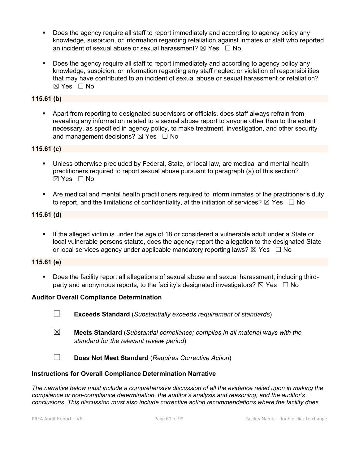- Does the agency require all staff to report immediately and according to agency policy any knowledge, suspicion, or information regarding retaliation against inmates or staff who reported an incident of sexual abuse or sexual harassment?  $\boxtimes$  Yes  $\Box$  No
- Does the agency require all staff to report immediately and according to agency policy any knowledge, suspicion, or information regarding any staff neglect or violation of responsibilities that may have contributed to an incident of sexual abuse or sexual harassment or retaliation? ☒ Yes ☐ No

## **115.61 (b)**

§ Apart from reporting to designated supervisors or officials, does staff always refrain from revealing any information related to a sexual abuse report to anyone other than to the extent necessary, as specified in agency policy, to make treatment, investigation, and other security and management decisions?  $\boxtimes$  Yes  $\Box$  No

### **115.61 (c)**

- Unless otherwise precluded by Federal, State, or local law, are medical and mental health practitioners required to report sexual abuse pursuant to paragraph (a) of this section? ☒ Yes ☐ No
- Are medical and mental health practitioners required to inform inmates of the practitioner's duty to report, and the limitations of confidentiality, at the initiation of services?  $\boxtimes$  Yes  $\Box$  No

### **115.61 (d)**

If the alleged victim is under the age of 18 or considered a vulnerable adult under a State or local vulnerable persons statute, does the agency report the allegation to the designated State or local services agency under applicable mandatory reporting laws?  $\boxtimes$  Yes  $\Box$  No

# **115.61 (e)**

Does the facility report all allegations of sexual abuse and sexual harassment, including thirdparty and anonymous reports, to the facility's designated investigators?  $\boxtimes$  Yes  $\Box$  No

### **Auditor Overall Compliance Determination**

- ☐ **Exceeds Standard** (*Substantially exceeds requirement of standards*)
- ☒ **Meets Standard** (*Substantial compliance; complies in all material ways with the standard for the relevant review period*)
- ☐ **Does Not Meet Standard** (*Requires Corrective Action*)

### **Instructions for Overall Compliance Determination Narrative**

*The narrative below must include a comprehensive discussion of all the evidence relied upon in making the compliance or non-compliance determination, the auditor's analysis and reasoning, and the auditor's conclusions. This discussion must also include corrective action recommendations where the facility does*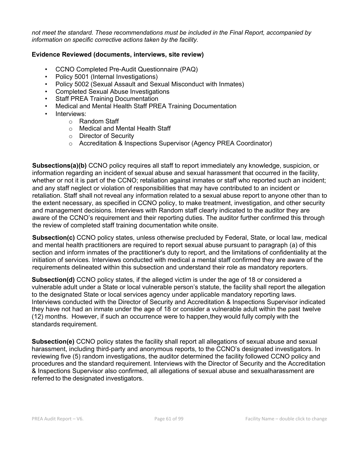*not meet the standard. These recommendations must be included in the Final Report, accompanied by information on specific corrective actions taken by the facility.*

## **Evidence Reviewed (documents, interviews, site review)**

- CCNO Completed Pre-Audit Questionnaire (PAQ)
- Policy 5001 (Internal Investigations)
- Policy 5002 (Sexual Assault and Sexual Misconduct with Inmates)
- Completed Sexual Abuse Investigations
- **Staff PREA Training Documentation**
- Medical and Mental Health Staff PREA Training Documentation
- Interviews:
	- o Random Staff
		- o Medical and Mental Health Staff
	- o Director of Security
	- o Accreditation & Inspections Supervisor (Agency PREA Coordinator)

**Subsections(a)(b)** CCNO policy requires all staff to report immediately any knowledge, suspicion, or information regarding an incident of sexual abuse and sexual harassment that occurred in the facility, whether or not it is part of the CCNO; retaliation against inmates or staff who reported such an incident; and any staff neglect or violation of responsibilities that may have contributed to an incident or retaliation. Staff shall not reveal any information related to a sexual abuse report to anyone other than to the extent necessary, as specified in CCNO policy, to make treatment, investigation, and other security and management decisions. Interviews with Random staff clearly indicated to the auditor they are aware of the CCNO's requirement and their reporting duties. The auditor further confirmed this through the review of completed staff training documentation white onsite.

**Subsection(c)** CCNO policy states, unless otherwise precluded by Federal, State, or local law, medical and mental health practitioners are required to report sexual abuse pursuant to paragraph (a) of this section and inform inmates of the practitioner's duty to report, and the limitations of confidentiality at the initiation of services. Interviews conducted with medical a mental staff confirmed they are aware of the requirements delineated within this subsection and understand their role as mandatory reporters.

**Subsection(d)** CCNO policy states, if the alleged victim is under the age of 18 or considered a vulnerable adult under a State or local vulnerable person's statute, the facility shall report the allegation to the designated State or local services agency under applicable mandatory reporting laws. Interviews conducted with the Director of Security and Accreditation & Inspections Supervisor indicated they have not had an inmate under the age of 18 or consider a vulnerable adult within the past twelve (12) months. However, if such an occurrence were to happen,they would fully comply with the standards requirement.

**Subsection(e)** CCNO policy states the facility shall report all allegations of sexual abuse and sexual harassment, including third-party and anonymous reports, to the CCNO's designated investigators. In reviewing five (5) random investigations, the auditor determined the facility followed CCNO policy and procedures and the standard requirement. Interviews with the Director of Security and the Accreditation & Inspections Supervisor also confirmed, all allegations of sexual abuse and sexualharassment are referred to the designated investigators.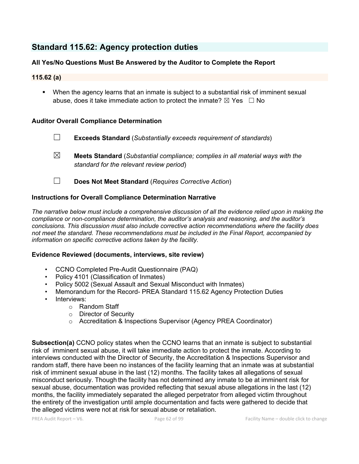# **Standard 115.62: Agency protection duties**

# **All Yes/No Questions Must Be Answered by the Auditor to Complete the Report**

### **115.62 (a)**

§ When the agency learns that an inmate is subject to a substantial risk of imminent sexual abuse, does it take immediate action to protect the inmate?  $\boxtimes$  Yes  $\Box$  No

### **Auditor Overall Compliance Determination**

- ☐ **Exceeds Standard** (*Substantially exceeds requirement of standards*)
- ☒ **Meets Standard** (*Substantial compliance; complies in all material ways with the standard for the relevant review period*)
- ☐ **Does Not Meet Standard** (*Requires Corrective Action*)

#### **Instructions for Overall Compliance Determination Narrative**

*The narrative below must include a comprehensive discussion of all the evidence relied upon in making the compliance or non-compliance determination, the auditor's analysis and reasoning, and the auditor's conclusions. This discussion must also include corrective action recommendations where the facility does not meet the standard. These recommendations must be included in the Final Report, accompanied by information on specific corrective actions taken by the facility.*

#### **Evidence Reviewed (documents, interviews, site review)**

- CCNO Completed Pre-Audit Questionnaire (PAQ)
- Policy 4101 (Classification of Inmates)
- Policy 5002 (Sexual Assault and Sexual Misconduct with Inmates)
- Memorandum for the Record- PREA Standard 115.62 Agency Protection Duties
- Interviews:
	- o Random Staff
	- o Director of Security
	- o Accreditation & Inspections Supervisor (Agency PREA Coordinator)

**Subsection(a)** CCNO policy states when the CCNO learns that an inmate is subject to substantial risk of imminent sexual abuse, it will take immediate action to protect the inmate. According to interviews conducted with the Director of Security, the Accreditation & Inspections Supervisor and random staff, there have been no instances of the facility learning that an inmate was at substantial risk of imminent sexual abuse in the last (12) months. The facility takes all allegations of sexual misconduct seriously. Though the facility has not determined any inmate to be at imminent risk for sexual abuse, documentation was provided reflecting that sexual abuse allegations in the last (12) months, the facility immediately separated the alleged perpetrator from alleged victim throughout the entirety of the investigation until ample documentation and facts were gathered to decide that the alleged victims were not at risk for sexual abuse or retaliation.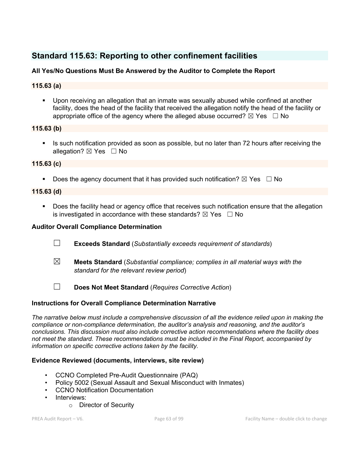# **Standard 115.63: Reporting to other confinement facilities**

# **All Yes/No Questions Must Be Answered by the Auditor to Complete the Report**

# **115.63 (a)**

§ Upon receiving an allegation that an inmate was sexually abused while confined at another facility, does the head of the facility that received the allegation notify the head of the facility or appropriate office of the agency where the alleged abuse occurred?  $\boxtimes$  Yes  $\Box$  No

# **115.63 (b)**

§ Is such notification provided as soon as possible, but no later than 72 hours after receiving the allegation? ⊠ Yes □ No

# **115.63 (c)**

**•** Does the agency document that it has provided such notification?  $\boxtimes$  Yes  $\Box$  No

# **115.63 (d)**

• Does the facility head or agency office that receives such notification ensure that the allegation is investigated in accordance with these standards?  $\boxtimes$  Yes  $\Box$  No

### **Auditor Overall Compliance Determination**

- ☐ **Exceeds Standard** (*Substantially exceeds requirement of standards*)
- ☒ **Meets Standard** (*Substantial compliance; complies in all material ways with the standard for the relevant review period*)
- ☐ **Does Not Meet Standard** (*Requires Corrective Action*)

# **Instructions for Overall Compliance Determination Narrative**

*The narrative below must include a comprehensive discussion of all the evidence relied upon in making the compliance or non-compliance determination, the auditor's analysis and reasoning, and the auditor's conclusions. This discussion must also include corrective action recommendations where the facility does not meet the standard. These recommendations must be included in the Final Report, accompanied by information on specific corrective actions taken by the facility.*

### **Evidence Reviewed (documents, interviews, site review)**

- CCNO Completed Pre-Audit Questionnaire (PAQ)
- Policy 5002 (Sexual Assault and Sexual Misconduct with Inmates)
- CCNO Notification Documentation
- Interviews:
	- o Director of Security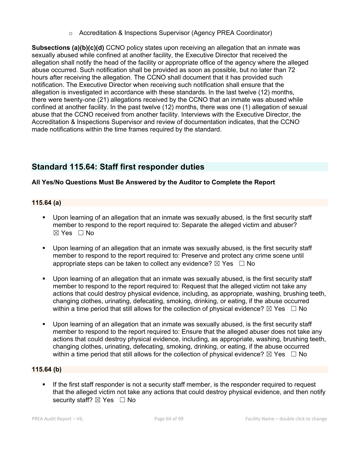o Accreditation & Inspections Supervisor (Agency PREA Coordinator)

**Subsections (a)(b)(c)(d)** CCNO policy states upon receiving an allegation that an inmate was sexually abused while confined at another facility, the Executive Director that received the allegation shall notify the head of the facility or appropriate office of the agency where the alleged abuse occurred. Such notification shall be provided as soon as possible, but no later than 72 hours after receiving the allegation. The CCNO shall document that it has provided such notification. The Executive Director when receiving such notification shall ensure that the allegation is investigated in accordance with these standards. In the last twelve (12) months, there were twenty-one (21) allegations received by the CCNO that an inmate was abused while confined at another facility. In the past twelve (12) months, there was one (1) allegation of sexual abuse that the CCNO received from another facility. Interviews with the Executive Director, the Accreditation & Inspections Supervisor and review of documentation indicates, that the CCNO made notifications within the time frames required by the standard.

# **Standard 115.64: Staff first responder duties**

# **All Yes/No Questions Must Be Answered by the Auditor to Complete the Report**

# **115.64 (a)**

- § Upon learning of an allegation that an inmate was sexually abused, is the first security staff member to respond to the report required to: Separate the alleged victim and abuser?  $\boxtimes$  Yes  $\Box$  No
- § Upon learning of an allegation that an inmate was sexually abused, is the first security staff member to respond to the report required to: Preserve and protect any crime scene until appropriate steps can be taken to collect any evidence?  $\boxtimes$  Yes  $\Box$  No
- § Upon learning of an allegation that an inmate was sexually abused, is the first security staff member to respond to the report required to: Request that the alleged victim not take any actions that could destroy physical evidence, including, as appropriate, washing, brushing teeth, changing clothes, urinating, defecating, smoking, drinking, or eating, if the abuse occurred within a time period that still allows for the collection of physical evidence?  $\boxtimes$  Yes  $\Box$  No
- § Upon learning of an allegation that an inmate was sexually abused, is the first security staff member to respond to the report required to: Ensure that the alleged abuser does not take any actions that could destroy physical evidence, including, as appropriate, washing, brushing teeth, changing clothes, urinating, defecating, smoking, drinking, or eating, if the abuse occurred within a time period that still allows for the collection of physical evidence?  $\boxtimes$  Yes  $\Box$  No

### **115.64 (b)**

**•** If the first staff responder is not a security staff member, is the responder required to request that the alleged victim not take any actions that could destroy physical evidence, and then notify security staff? ⊠ Yes □ No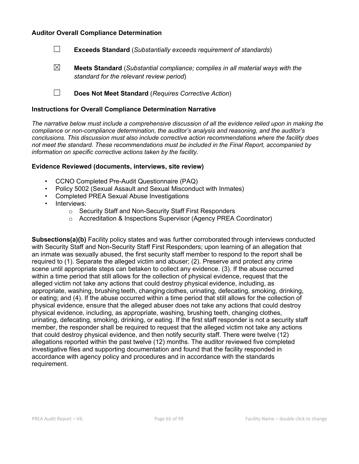#### **Auditor Overall Compliance Determination**



☒ **Meets Standard** (*Substantial compliance; complies in all material ways with the standard for the relevant review period*)

☐ **Does Not Meet Standard** (*Requires Corrective Action*)

#### **Instructions for Overall Compliance Determination Narrative**

*The narrative below must include a comprehensive discussion of all the evidence relied upon in making the compliance or non-compliance determination, the auditor's analysis and reasoning, and the auditor's conclusions. This discussion must also include corrective action recommendations where the facility does not meet the standard. These recommendations must be included in the Final Report, accompanied by information on specific corrective actions taken by the facility.*

#### **Evidence Reviewed (documents, interviews, site review)**

- CCNO Completed Pre-Audit Questionnaire (PAQ)
- Policy 5002 (Sexual Assault and Sexual Misconduct with Inmates)
- Completed PREA Sexual Abuse Investigations
- Interviews:
	- o Security Staff and Non-Security Staff First Responders
	- o Accreditation & Inspections Supervisor (Agency PREA Coordinator)

**Subsections(a)(b)** Facility policy states and was further corroborated through interviews conducted with Security Staff and Non-Security Staff First Responders; upon learning of an allegation that an inmate was sexually abused, the first security staff member to respond to the report shall be required to (1). Separate the alleged victim and abuser; (2). Preserve and protect any crime scene until appropriate steps can betaken to collect any evidence. (3). If the abuse occurred within a time period that still allows for the collection of physical evidence, request that the alleged victim not take any actions that could destroy physical evidence, including, as appropriate, washing, brushing teeth, changing clothes, urinating, defecating, smoking, drinking, or eating; and (4). If the abuse occurred within a time period that still allows for the collection of physical evidence, ensure that the alleged abuser does not take any actions that could destroy physical evidence, including, as appropriate, washing, brushing teeth, changing clothes, urinating, defecating, smoking, drinking, or eating. If the first staff responder is not a security staff member, the responder shall be required to request that the alleged victim not take any actions that could destroy physical evidence, and then notify security staff. There were twelve (12) allegations reported within the past twelve (12) months. The auditor reviewed five completed investigative files and supporting documentation and found that the facility responded in accordance with agency policy and procedures and in accordance with the standards requirement.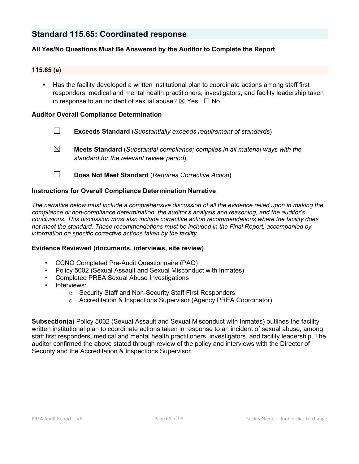# **Standard 115.65: Coordinated response**

# **All Yes/No Questions Must Be Answered by the Auditor to Complete the Report**

#### **115.65 (a)**

§ Has the facility developed a written institutional plan to coordinate actions among staff first responders, medical and mental health practitioners, investigators, and facility leadership taken in response to an incident of sexual abuse?  $\boxtimes$  Yes  $\Box$  No

#### **Auditor Overall Compliance Determination**

- ☐ **Exceeds Standard** (*Substantially exceeds requirement of standards*)
- ☒ **Meets Standard** (*Substantial compliance; complies in all material ways with the standard for the relevant review period*)
- ☐ **Does Not Meet Standard** (*Requires Corrective Action*)

#### **Instructions for Overall Compliance Determination Narrative**

*The narrative below must include a comprehensive discussion of all the evidence relied upon in making the compliance or non-compliance determination, the auditor's analysis and reasoning, and the auditor's conclusions. This discussion must also include corrective action recommendations where the facility does not meet the standard. These recommendations must be included in the Final Report, accompanied by information on specific corrective actions taken by the facility.*

#### **Evidence Reviewed (documents, interviews, site review)**

- CCNO Completed Pre-Audit Questionnaire (PAQ)
- Policy 5002 (Sexual Assault and Sexual Misconduct with Inmates)
- Completed PREA Sexual Abuse Investigations
- Interviews:
	- o Security Staff and Non-Security Staff First Responders
	- o Accreditation & Inspections Supervisor (Agency PREA Coordinator)

**Subsection(a)** Policy 5002 (Sexual Assault and Sexual Misconduct with Inmates) outlines the facility written institutional plan to coordinate actions taken in response to an incident of sexual abuse, among staff first responders, medical and mental health practitioners, investigators, and facility leadership. The auditor confirmed the above stated through review of the policy and interviews with the Director of Security and the Accreditation & Inspections Supervisor.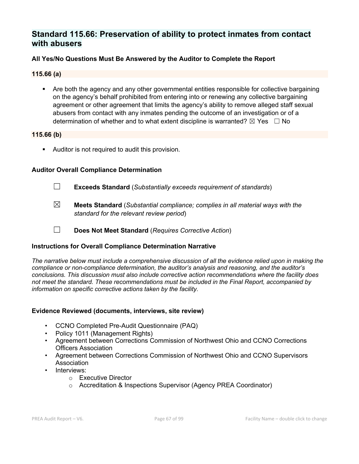# **Standard 115.66: Preservation of ability to protect inmates from contact with abusers**

# **All Yes/No Questions Must Be Answered by the Auditor to Complete the Report**

### **115.66 (a)**

• Are both the agency and any other governmental entities responsible for collective bargaining on the agency's behalf prohibited from entering into or renewing any collective bargaining agreement or other agreement that limits the agency's ability to remove alleged staff sexual abusers from contact with any inmates pending the outcome of an investigation or of a determination of whether and to what extent discipline is warranted?  $\boxtimes$  Yes  $\Box$  No

#### **115.66 (b)**

**•** Auditor is not required to audit this provision.

### **Auditor Overall Compliance Determination**

- ☐ **Exceeds Standard** (*Substantially exceeds requirement of standards*)
- ☒ **Meets Standard** (*Substantial compliance; complies in all material ways with the standard for the relevant review period*)
- ☐ **Does Not Meet Standard** (*Requires Corrective Action*)

### **Instructions for Overall Compliance Determination Narrative**

*The narrative below must include a comprehensive discussion of all the evidence relied upon in making the compliance or non-compliance determination, the auditor's analysis and reasoning, and the auditor's conclusions. This discussion must also include corrective action recommendations where the facility does not meet the standard. These recommendations must be included in the Final Report, accompanied by information on specific corrective actions taken by the facility.*

### **Evidence Reviewed (documents, interviews, site review)**

- CCNO Completed Pre-Audit Questionnaire (PAQ)
- Policy 1011 (Management Rights)
- Agreement between Corrections Commission of Northwest Ohio and CCNO Corrections Officers Association
- Agreement between Corrections Commission of Northwest Ohio and CCNO Supervisors Association
- Interviews:
	- o Executive Director
	- o Accreditation & Inspections Supervisor (Agency PREA Coordinator)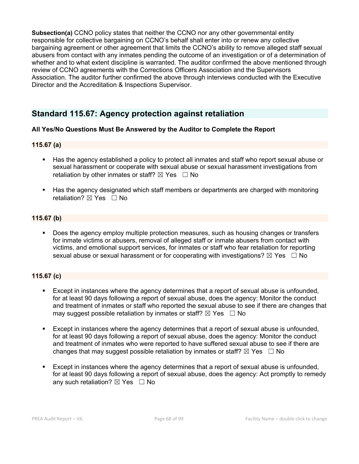**Subsection(a)** CCNO policy states that neither the CCNO nor any other governmental entity responsible for collective bargaining on CCNO's behalf shall enter into or renew any collective bargaining agreement or other agreement that limits the CCNO's ability to remove alleged staff sexual abusers from contact with any inmates pending the outcome of an investigation or of a determination of whether and to what extent discipline is warranted. The auditor confirmed the above mentioned through review of CCNO agreements with the Corrections Officers Association and the Supervisors Association. The auditor further confirmed the above through interviews conducted with the Executive Director and the Accreditation & Inspections Supervisor.

# **Standard 115.67: Agency protection against retaliation**

# **All Yes/No Questions Must Be Answered by the Auditor to Complete the Report**

### **115.67 (a)**

- § Has the agency established a policy to protect all inmates and staff who report sexual abuse or sexual harassment or cooperate with sexual abuse or sexual harassment investigations from retaliation by other inmates or staff?  $\boxtimes$  Yes  $\Box$  No
- Has the agency designated which staff members or departments are charged with monitoring retaliation?  $\boxtimes$  Yes  $\Box$  No

### **115.67 (b)**

Does the agency employ multiple protection measures, such as housing changes or transfers for inmate victims or abusers, removal of alleged staff or inmate abusers from contact with victims, and emotional support services, for inmates or staff who fear retaliation for reporting sexual abuse or sexual harassment or for cooperating with investigations?  $\boxtimes$  Yes  $\Box$  No

### **115.67 (c)**

- Except in instances where the agency determines that a report of sexual abuse is unfounded, for at least 90 days following a report of sexual abuse, does the agency: Monitor the conduct and treatment of inmates or staff who reported the sexual abuse to see if there are changes that may suggest possible retaliation by inmates or staff?  $\boxtimes$  Yes  $\Box$  No
- Except in instances where the agency determines that a report of sexual abuse is unfounded, for at least 90 days following a report of sexual abuse, does the agency: Monitor the conduct and treatment of inmates who were reported to have suffered sexual abuse to see if there are changes that may suggest possible retaliation by inmates or staff?  $\boxtimes$  Yes  $\Box$  No
- Except in instances where the agency determines that a report of sexual abuse is unfounded, for at least 90 days following a report of sexual abuse, does the agency: Act promptly to remedy any such retaliation?  $\boxtimes$  Yes  $\Box$  No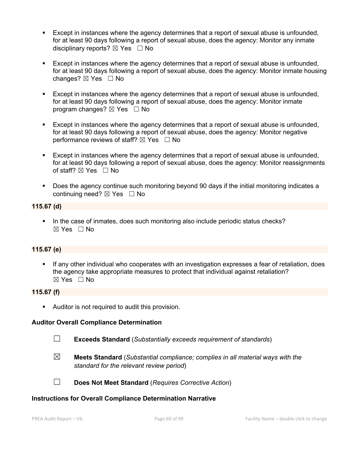- Except in instances where the agency determines that a report of sexual abuse is unfounded, for at least 90 days following a report of sexual abuse, does the agency: Monitor any inmate disciplinary reports?  $\boxtimes$  Yes  $\Box$  No
- Except in instances where the agency determines that a report of sexual abuse is unfounded, for at least 90 days following a report of sexual abuse, does the agency: Monitor inmate housing changes? ⊠ Yes □ No
- Except in instances where the agency determines that a report of sexual abuse is unfounded, for at least 90 days following a report of sexual abuse, does the agency: Monitor inmate program changes?  $\boxtimes$  Yes  $\Box$  No
- Except in instances where the agency determines that a report of sexual abuse is unfounded, for at least 90 days following a report of sexual abuse, does the agency: Monitor negative performance reviews of staff?  $\boxtimes$  Yes  $\Box$  No
- § Except in instances where the agency determines that a report of sexual abuse is unfounded, for at least 90 days following a report of sexual abuse, does the agency: Monitor reassignments of staff?  $\boxtimes$  Yes  $\Box$  No
- Does the agency continue such monitoring beyond 90 days if the initial monitoring indicates a continuing need? ⊠ Yes □ No

### **115.67 (d)**

§ In the case of inmates, does such monitoring also include periodic status checks? ☒ Yes ☐ No

### **115.67 (e)**

If any other individual who cooperates with an investigation expresses a fear of retaliation, does the agency take appropriate measures to protect that individual against retaliation? ☒ Yes ☐ No

#### **115.67 (f)**

■ Auditor is not required to audit this provision.

#### **Auditor Overall Compliance Determination**

☐ **Exceeds Standard** (*Substantially exceeds requirement of standards*)

☒ **Meets Standard** (*Substantial compliance; complies in all material ways with the standard for the relevant review period*)



☐ **Does Not Meet Standard** (*Requires Corrective Action*)

#### **Instructions for Overall Compliance Determination Narrative**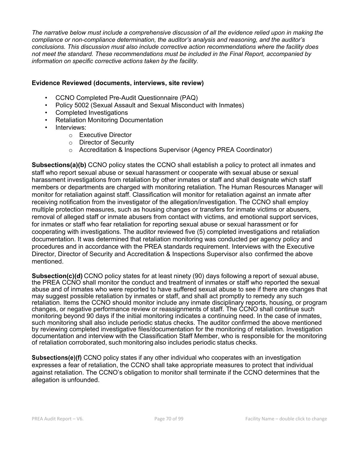*The narrative below must include a comprehensive discussion of all the evidence relied upon in making the compliance or non-compliance determination, the auditor's analysis and reasoning, and the auditor's conclusions. This discussion must also include corrective action recommendations where the facility does not meet the standard. These recommendations must be included in the Final Report, accompanied by information on specific corrective actions taken by the facility.*

#### **Evidence Reviewed (documents, interviews, site review)**

- CCNO Completed Pre-Audit Questionnaire (PAQ)
- Policy 5002 (Sexual Assault and Sexual Misconduct with Inmates)
- Completed Investigations
- Retaliation Monitoring Documentation
- Interviews:
	- o Executive Director
	- o Director of Security
	- o Accreditation & Inspections Supervisor (Agency PREA Coordinator)

**Subsections(a)(b)** CCNO policy states the CCNO shall establish a policy to protect all inmates and staff who report sexual abuse or sexual harassment or cooperate with sexual abuse or sexual harassment investigations from retaliation by other inmates or staff and shall designate which staff members or departments are charged with monitoring retaliation. The Human Resources Manager will monitor for retaliation against staff. Classification will monitor for retaliation against an inmate after receiving notification from the investigator of the allegation/investigation. The CCNO shall employ multiple protection measures, such as housing changes or transfers for inmate victims or abusers, removal of alleged staff or inmate abusers from contact with victims, and emotional support services, for inmates or staff who fear retaliation for reporting sexual abuse or sexual harassment or for cooperating with investigations. The auditor reviewed five (5) completed investigations and retaliation documentation. It was determined that retaliation monitoring was conducted per agency policy and procedures and in accordance with the PREA standards requirement. Interviews with the Executive Director, Director of Security and Accreditation & Inspections Supervisor also confirmed the above mentioned.

**Subsection(c)(d)** CCNO policy states for at least ninety (90) days following a report of sexual abuse, the PREA CCNO shall monitor the conduct and treatment of inmates or staff who reported the sexual abuse and of inmates who were reported to have suffered sexual abuse to see if there are changes that may suggest possible retaliation by inmates or staff, and shall act promptly to remedy any such retaliation. Items the CCNO should monitor include any inmate disciplinary reports, housing, or program changes, or negative performance review or reassignments of staff. The CCNO shall continue such monitoring beyond 90 days if the initial monitoring indicates a continuing need. In the case of inmates, such monitoring shall also include periodic status checks. The auditor confirmed the above mentioned by reviewing completed investigative files/documentation for the monitoring of retaliation. Investigation documentation and interview with the Classification Staff Member, who is responsible for the monitoring of retaliation corroborated, such monitoring also includes periodic status checks.

**Subsections(e)(f)** CCNO policy states if any other individual who cooperates with an investigation expresses a fear of retaliation, the CCNO shall take appropriate measures to protect that individual against retaliation. The CCNO's obligation to monitor shall terminate if the CCNO determines that the allegation is unfounded.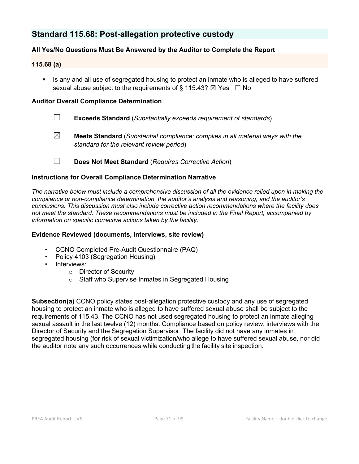# **Standard 115.68: Post-allegation protective custody**

# **All Yes/No Questions Must Be Answered by the Auditor to Complete the Report**

# **115.68 (a)**

**■** Is any and all use of segregated housing to protect an inmate who is alleged to have suffered sexual abuse subject to the requirements of  $\delta$  115.43?  $\boxtimes$  Yes  $\Box$  No

## **Auditor Overall Compliance Determination**

- ☐ **Exceeds Standard** (*Substantially exceeds requirement of standards*)
- ☒ **Meets Standard** (*Substantial compliance; complies in all material ways with the standard for the relevant review period*)
- ☐ **Does Not Meet Standard** (*Requires Corrective Action*)

# **Instructions for Overall Compliance Determination Narrative**

*The narrative below must include a comprehensive discussion of all the evidence relied upon in making the compliance or non-compliance determination, the auditor's analysis and reasoning, and the auditor's conclusions. This discussion must also include corrective action recommendations where the facility does not meet the standard. These recommendations must be included in the Final Report, accompanied by information on specific corrective actions taken by the facility.*

### **Evidence Reviewed (documents, interviews, site review)**

- CCNO Completed Pre-Audit Questionnaire (PAQ)
- Policy 4103 (Segregation Housing)
- Interviews:
	- o Director of Security
	- o Staff who Supervise Inmates in Segregated Housing

**Subsection(a)** CCNO policy states post-allegation protective custody and any use of segregated housing to protect an inmate who is alleged to have suffered sexual abuse shall be subject to the requirements of 115.43. The CCNO has not used segregated housing to protect an inmate alleging sexual assault in the last twelve (12) months. Compliance based on policy review, interviews with the Director of Security and the Segregation Supervisor. The facility did not have any inmates in segregated housing (for risk of sexual victimization/who allege to have suffered sexual abuse, nor did the auditor note any such occurrences while conducting the facility site inspection.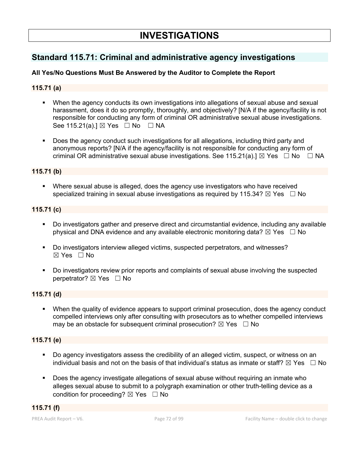# **Standard 115.71: Criminal and administrative agency investigations**

# **All Yes/No Questions Must Be Answered by the Auditor to Complete the Report**

# **115.71 (a)**

- § When the agency conducts its own investigations into allegations of sexual abuse and sexual harassment, does it do so promptly, thoroughly, and objectively? [N/A if the agency/facility is not responsible for conducting any form of criminal OR administrative sexual abuse investigations. See 115.21(a).] ⊠ Yes □ No □ NA
- § Does the agency conduct such investigations for all allegations, including third party and anonymous reports? [N/A if the agency/facility is not responsible for conducting any form of criminal OR administrative sexual abuse investigations. See 115.21(a).]  $\boxtimes$  Yes  $\Box$  No  $\Box$  NA

#### **115.71 (b)**

■ Where sexual abuse is alleged, does the agency use investigators who have received specialized training in sexual abuse investigations as required by 115.34?  $\boxtimes$  Yes  $\Box$  No

#### **115.71 (c)**

- § Do investigators gather and preserve direct and circumstantial evidence, including any available physical and DNA evidence and any available electronic monitoring data?  $\boxtimes$  Yes  $\Box$  No
- § Do investigators interview alleged victims, suspected perpetrators, and witnesses?  $\boxtimes$  Yes  $\Box$  No
- § Do investigators review prior reports and complaints of sexual abuse involving the suspected perpetrator?  $\boxtimes$  Yes  $\Box$  No

### **115.71 (d)**

• When the quality of evidence appears to support criminal prosecution, does the agency conduct compelled interviews only after consulting with prosecutors as to whether compelled interviews may be an obstacle for subsequent criminal prosecution?  $\boxtimes$  Yes  $\Box$  No

## **115.71 (e)**

- § Do agency investigators assess the credibility of an alleged victim, suspect, or witness on an individual basis and not on the basis of that individual's status as inmate or staff?  $\boxtimes$  Yes  $\Box$  No
- § Does the agency investigate allegations of sexual abuse without requiring an inmate who alleges sexual abuse to submit to a polygraph examination or other truth-telling device as a condition for proceeding?  $\boxtimes$  Yes  $\Box$  No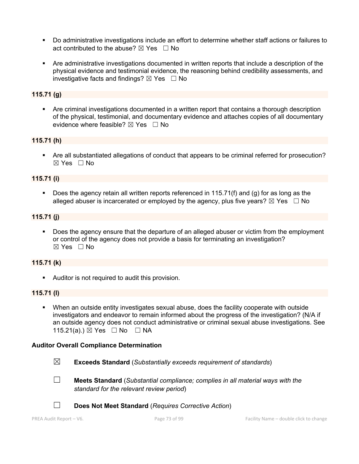- § Do administrative investigations include an effort to determine whether staff actions or failures to act contributed to the abuse?  $\boxtimes$  Yes  $\Box$  No
- § Are administrative investigations documented in written reports that include a description of the physical evidence and testimonial evidence, the reasoning behind credibility assessments, and investigative facts and findings?  $\boxtimes$  Yes  $\Box$  No

### **115.71 (g)**

• Are criminal investigations documented in a written report that contains a thorough description of the physical, testimonial, and documentary evidence and attaches copies of all documentary evidence where feasible?  $\boxtimes$  Yes  $\Box$  No

#### **115.71 (h)**

• Are all substantiated allegations of conduct that appears to be criminal referred for prosecution?  $\boxtimes$  Yes  $\Box$  No

#### **115.71 (i)**

§ Does the agency retain all written reports referenced in 115.71(f) and (g) for as long as the alleged abuser is incarcerated or employed by the agency, plus five years?  $\boxtimes$  Yes  $\Box$  No

### **115.71 (j)**

Does the agency ensure that the departure of an alleged abuser or victim from the employment or control of the agency does not provide a basis for terminating an investigation?  $\boxtimes$  Yes  $\Box$  No

#### **115.71 (k)**

**•** Auditor is not required to audit this provision.

#### **115.71 (l)**

§ When an outside entity investigates sexual abuse, does the facility cooperate with outside investigators and endeavor to remain informed about the progress of the investigation? (N/A if an outside agency does not conduct administrative or criminal sexual abuse investigations. See 115.21(a).) ⊠ Yes □ No □ NA

#### **Auditor Overall Compliance Determination**

- ☒ **Exceeds Standard** (*Substantially exceeds requirement of standards*)
- 
- ☐ **Meets Standard** (*Substantial compliance; complies in all material ways with the standard for the relevant review period*)



☐ **Does Not Meet Standard** (*Requires Corrective Action*)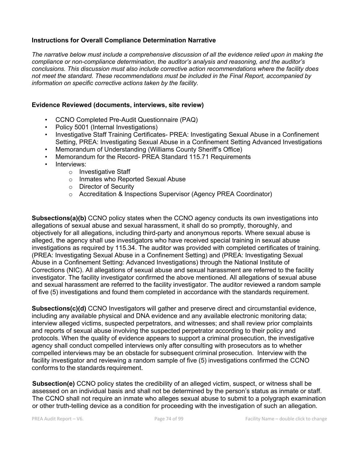## **Instructions for Overall Compliance Determination Narrative**

*The narrative below must include a comprehensive discussion of all the evidence relied upon in making the compliance or non-compliance determination, the auditor's analysis and reasoning, and the auditor's conclusions. This discussion must also include corrective action recommendations where the facility does not meet the standard. These recommendations must be included in the Final Report, accompanied by information on specific corrective actions taken by the facility.*

## **Evidence Reviewed (documents, interviews, site review)**

- CCNO Completed Pre-Audit Questionnaire (PAQ)
- Policy 5001 (Internal Investigations)
- Investigative Staff Training Certificates- PREA: Investigating Sexual Abuse in a Confinement Setting, PREA: Investigating Sexual Abuse in a Confinement Setting Advanced Investigations
- Memorandum of Understanding (Williams County Sheriff's Office)
- Memorandum for the Record- PREA Standard 115.71 Requirements
- Interviews:
	- o Investigative Staff
	- o Inmates who Reported Sexual Abuse
	- o Director of Security
	- o Accreditation & Inspections Supervisor (Agency PREA Coordinator)

**Subsections(a)(b)** CCNO policy states when the CCNO agency conducts its own investigations into allegations of sexual abuse and sexual harassment, it shall do so promptly, thoroughly, and objectively for all allegations, including third-party and anonymous reports. Where sexual abuse is alleged, the agency shall use investigators who have received special training in sexual abuse investigations as required by 115.34. The auditor was provided with completed certificates of training. (PREA: Investigating Sexual Abuse in a Confinement Setting) and (PREA: Investigating Sexual Abuse in a Confinement Setting: Advanced Investigations) through the National Institute of Corrections (NIC). All allegations of sexual abuse and sexual harassment are referred to the facility investigator. The facility investigator confirmed the above mentioned. All allegations of sexual abuse and sexual harassment are referred to the facility investigator. The auditor reviewed a random sample of five (5) investigations and found them completed in accordance with the standards requirement.

**Subsections(c)(d)** CCNO Investigators will gather and preserve direct and circumstantial evidence, including any available physical and DNA evidence and any available electronic monitoring data; interview alleged victims, suspected perpetrators, and witnesses; and shall review prior complaints and reports of sexual abuse involving the suspected perpetrator according to their policy and protocols. When the quality of evidence appears to support a criminal prosecution, the investigative agency shall conduct compelled interviews only after consulting with prosecutors as to whether compelled interviews may be an obstacle for subsequent criminal prosecution. Interview with the facility investigator and reviewing a random sample of five (5) investigations confirmed the CCNO conforms to the standards requirement.

**Subsection(e)** CCNO policy states the credibility of an alleged victim, suspect, or witness shall be assessed on an individual basis and shall not be determined by the person's status as inmate or staff. The CCNO shall not require an inmate who alleges sexual abuse to submit to a polygraph examination or other truth-telling device as a condition for proceeding with the investigation of such an allegation.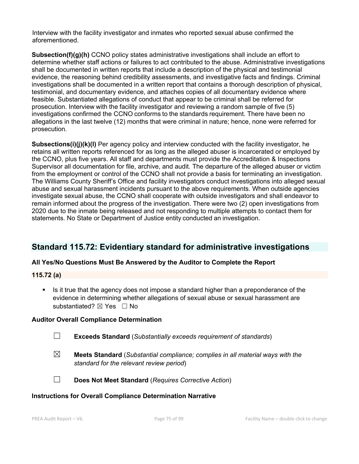Interview with the facility investigator and inmates who reported sexual abuse confirmed the aforementioned.

**Subsection(f)(g)(h)** CCNO policy states administrative investigations shall include an effort to determine whether staff actions or failures to act contributed to the abuse. Administrative investigations shall be documented in written reports that include a description of the physical and testimonial evidence, the reasoning behind credibility assessments, and investigative facts and findings. Criminal investigations shall be documented in a written report that contains a thorough description of physical, testimonial, and documentary evidence, and attaches copies of all documentary evidence where feasible. Substantiated allegations of conduct that appear to be criminal shall be referred for prosecution. Interview with the facility investigator and reviewing a random sample of five (5) investigations confirmed the CCNO conforms to the standards requirement. There have been no allegations in the last twelve (12) months that were criminal in nature; hence, none were referred for prosecution.

**Subsections(i)(j)(k)(l)** Per agency policy and interview conducted with the facility investigator, he retains all written reports referenced for as long as the alleged abuser is incarcerated or employed by the CCNO, plus five years. All staff and departments must provide the Accreditation & Inspections Supervisor all documentation for file, archive, and audit. The departure of the alleged abuser or victim from the employment or control of the CCNO shall not provide a basis for terminating an investigation. The Williams County Sheriff's Office and facility investigators conduct investigations into alleged sexual abuse and sexual harassment incidents pursuant to the above requirements. When outside agencies investigate sexual abuse, the CCNO shall cooperate with outside investigators and shall endeavor to remain informed about the progress of the investigation. There were two (2) open investigations from 2020 due to the inmate being released and not responding to multiple attempts to contact them for statements. No State or Department of Justice entity conducted an investigation.

# **Standard 115.72: Evidentiary standard for administrative investigations**

## **All Yes/No Questions Must Be Answered by the Auditor to Complete the Report**

## **115.72 (a)**

■ Is it true that the agency does not impose a standard higher than a preponderance of the evidence in determining whether allegations of sexual abuse or sexual harassment are substantiated? ⊠ Yes □ No

## **Auditor Overall Compliance Determination**

- ☐ **Exceeds Standard** (*Substantially exceeds requirement of standards*)
- ☒ **Meets Standard** (*Substantial compliance; complies in all material ways with the standard for the relevant review period*)
- 
- ☐ **Does Not Meet Standard** (*Requires Corrective Action*)

## **Instructions for Overall Compliance Determination Narrative**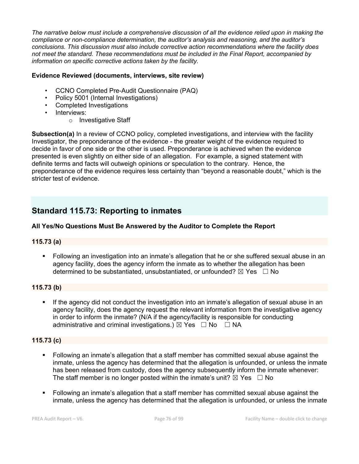*The narrative below must include a comprehensive discussion of all the evidence relied upon in making the compliance or non-compliance determination, the auditor's analysis and reasoning, and the auditor's conclusions. This discussion must also include corrective action recommendations where the facility does not meet the standard. These recommendations must be included in the Final Report, accompanied by information on specific corrective actions taken by the facility.*

## **Evidence Reviewed (documents, interviews, site review)**

- CCNO Completed Pre-Audit Questionnaire (PAQ)
- Policy 5001 (Internal Investigations)
- Completed Investigations
- Interviews:
	- o Investigative Staff

**Subsection(a)** In a review of CCNO policy, completed investigations, and interview with the facility Investigator, the preponderance of the evidence - the greater weight of the evidence required to decide in favor of one side or the other is used. Preponderance is achieved when the evidence presented is even slightly on either side of an allegation. For example, a signed statement with definite terms and facts will outweigh opinions or speculation to the contrary. Hence, the preponderance of the evidence requires less certainty than "beyond a reasonable doubt," which is the stricter test of evidence.

# **Standard 115.73: Reporting to inmates**

## **All Yes/No Questions Must Be Answered by the Auditor to Complete the Report**

## **115.73 (a)**

• Following an investigation into an inmate's allegation that he or she suffered sexual abuse in an agency facility, does the agency inform the inmate as to whether the allegation has been determined to be substantiated, unsubstantiated, or unfounded?  $\boxtimes$  Yes  $\Box$  No

## **115.73 (b)**

If the agency did not conduct the investigation into an inmate's allegation of sexual abuse in an agency facility, does the agency request the relevant information from the investigative agency in order to inform the inmate? (N/A if the agency/facility is responsible for conducting administrative and criminal investigations.)  $\boxtimes$  Yes  $\Box$  No  $\Box$  NA

## **115.73 (c)**

- § Following an inmate's allegation that a staff member has committed sexual abuse against the inmate, unless the agency has determined that the allegation is unfounded, or unless the inmate has been released from custody, does the agency subsequently inform the inmate whenever: The staff member is no longer posted within the inmate's unit?  $\boxtimes$  Yes  $\Box$  No
- § Following an inmate's allegation that a staff member has committed sexual abuse against the inmate, unless the agency has determined that the allegation is unfounded, or unless the inmate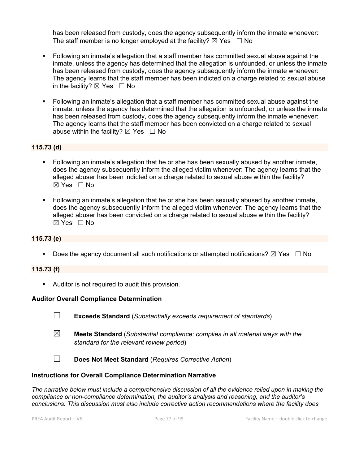has been released from custody, does the agency subsequently inform the inmate whenever: The staff member is no longer employed at the facility?  $\boxtimes$  Yes  $\Box$  No

- § Following an inmate's allegation that a staff member has committed sexual abuse against the inmate, unless the agency has determined that the allegation is unfounded, or unless the inmate has been released from custody, does the agency subsequently inform the inmate whenever: The agency learns that the staff member has been indicted on a charge related to sexual abuse in the facility?  $\boxtimes$  Yes  $\Box$  No
- § Following an inmate's allegation that a staff member has committed sexual abuse against the inmate, unless the agency has determined that the allegation is unfounded, or unless the inmate has been released from custody, does the agency subsequently inform the inmate whenever: The agency learns that the staff member has been convicted on a charge related to sexual abuse within the facility?  $\boxtimes$  Yes  $\Box$  No

## **115.73 (d)**

- Following an inmate's allegation that he or she has been sexually abused by another inmate, does the agency subsequently inform the alleged victim whenever: The agency learns that the alleged abuser has been indicted on a charge related to sexual abuse within the facility?  $\boxtimes$  Yes  $\Box$  No
- § Following an inmate's allegation that he or she has been sexually abused by another inmate, does the agency subsequently inform the alleged victim whenever: The agency learns that the alleged abuser has been convicted on a charge related to sexual abuse within the facility? ☒ Yes ☐ No

## **115.73 (e)**

**•** Does the agency document all such notifications or attempted notifications?  $\boxtimes$  Yes  $\Box$  No

#### **115.73 (f)**

**•** Auditor is not required to audit this provision.

#### **Auditor Overall Compliance Determination**

- ☐ **Exceeds Standard** (*Substantially exceeds requirement of standards*)
- ☒ **Meets Standard** (*Substantial compliance; complies in all material ways with the standard for the relevant review period*)
- ☐ **Does Not Meet Standard** (*Requires Corrective Action*)

#### **Instructions for Overall Compliance Determination Narrative**

*The narrative below must include a comprehensive discussion of all the evidence relied upon in making the compliance or non-compliance determination, the auditor's analysis and reasoning, and the auditor's conclusions. This discussion must also include corrective action recommendations where the facility does*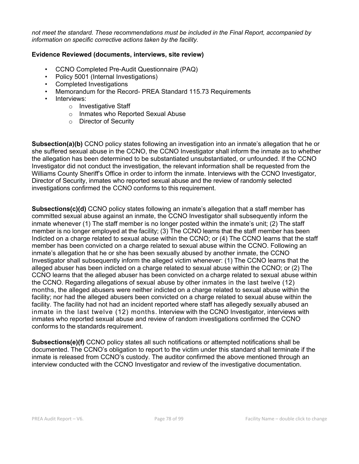*not meet the standard. These recommendations must be included in the Final Report, accompanied by information on specific corrective actions taken by the facility.*

## **Evidence Reviewed (documents, interviews, site review)**

- CCNO Completed Pre-Audit Questionnaire (PAQ)
- Policy 5001 (Internal Investigations)
- Completed Investigations
- Memorandum for the Record- PREA Standard 115.73 Requirements
- Interviews:
	- o Investigative Staff
	- o Inmates who Reported Sexual Abuse
	- o Director of Security

**Subsection(a)(b)** CCNO policy states following an investigation into an inmate's allegation that he or she suffered sexual abuse in the CCNO, the CCNO Investigator shall inform the inmate as to whether the allegation has been determined to be substantiated unsubstantiated, or unfounded. If the CCNO Investigator did not conduct the investigation, the relevant information shall be requested from the Williams County Sheriff's Office in order to inform the inmate. Interviews with the CCNO Investigator, Director of Security, inmates who reported sexual abuse and the review of randomly selected investigations confirmed the CCNO conforms to this requirement.

**Subsections(c)(d)** CCNO policy states following an inmate's allegation that a staff member has committed sexual abuse against an inmate, the CCNO Investigator shall subsequently inform the inmate whenever (1) The staff member is no longer posted within the inmate's unit; (2) The staff member is no longer employed at the facility; (3) The CCNO learns that the staff member has been Indicted on a charge related to sexual abuse within the CCNO; or (4) The CCNO learns that the staff member has been convicted on a charge related to sexual abuse within the CCNO. Following an inmate's allegation that he or she has been sexually abused by another inmate, the CCNO Investigator shall subsequently inform the alleged victim whenever: (1) The CCNO learns that the alleged abuser has been indicted on a charge related to sexual abuse within the CCNO; or (2) The CCNO learns that the alleged abuser has been convicted on a charge related to sexual abuse within the CCNO. Regarding allegations of sexual abuse by other inmates in the last twelve (12) months, the alleged abusers were neither indicted on a charge related to sexual abuse within the facility; nor had the alleged abusers been convicted on a charge related to sexual abuse within the facility. The facility had not had an incident reported where staff has allegedly sexually abused an inmate in the last twelve (12) months. Interview with the CCNO Investigator, interviews with inmates who reported sexual abuse and review of random investigations confirmed the CCNO conforms to the standards requirement.

**Subsections(e)(f)** CCNO policy states all such notifications or attempted notifications shall be documented. The CCNO's obligation to report to the victim under this standard shall terminate if the inmate is released from CCNO's custody. The auditor confirmed the above mentioned through an interview conducted with the CCNO Investigator and review of the investigative documentation.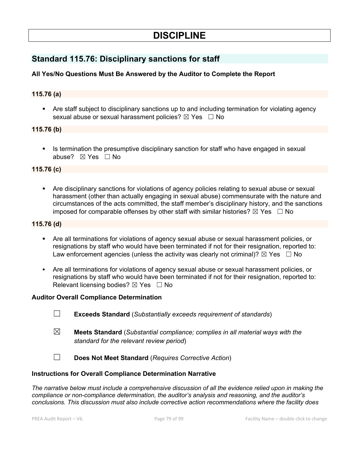# **DISCIPLINE**

# **Standard 115.76: Disciplinary sanctions for staff**

## **All Yes/No Questions Must Be Answered by the Auditor to Complete the Report**

### **115.76 (a)**

■ Are staff subject to disciplinary sanctions up to and including termination for violating agency sexual abuse or sexual harassment policies? ⊠ Yes □ No

#### **115.76 (b)**

**■** Is termination the presumptive disciplinary sanction for staff who have engaged in sexual abuse? ☒ Yes ☐ No

## **115.76 (c)**

§ Are disciplinary sanctions for violations of agency policies relating to sexual abuse or sexual harassment (other than actually engaging in sexual abuse) commensurate with the nature and circumstances of the acts committed, the staff member's disciplinary history, and the sanctions imposed for comparable offenses by other staff with similar histories?  $\boxtimes$  Yes  $\Box$  No

#### **115.76 (d)**

- § Are all terminations for violations of agency sexual abuse or sexual harassment policies, or resignations by staff who would have been terminated if not for their resignation, reported to: Law enforcement agencies (unless the activity was clearly not criminal)?  $\boxtimes$  Yes  $\Box$  No
- Are all terminations for violations of agency sexual abuse or sexual harassment policies, or resignations by staff who would have been terminated if not for their resignation, reported to: Relevant licensing bodies?  $\boxtimes$  Yes  $\Box$  No

#### **Auditor Overall Compliance Determination**

- ☐ **Exceeds Standard** (*Substantially exceeds requirement of standards*)
- ☒ **Meets Standard** (*Substantial compliance; complies in all material ways with the standard for the relevant review period*)
- ☐ **Does Not Meet Standard** (*Requires Corrective Action*)

#### **Instructions for Overall Compliance Determination Narrative**

*The narrative below must include a comprehensive discussion of all the evidence relied upon in making the compliance or non-compliance determination, the auditor's analysis and reasoning, and the auditor's conclusions. This discussion must also include corrective action recommendations where the facility does*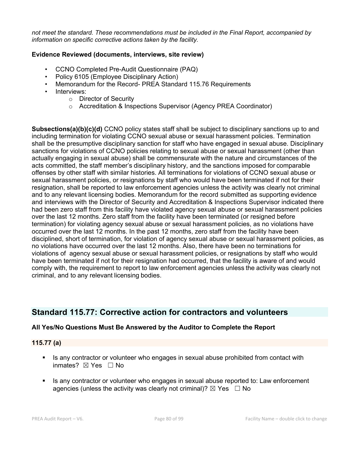*not meet the standard. These recommendations must be included in the Final Report, accompanied by information on specific corrective actions taken by the facility.*

### **Evidence Reviewed (documents, interviews, site review)**

- CCNO Completed Pre-Audit Questionnaire (PAQ)
- Policy 6105 (Employee Disciplinary Action)
- Memorandum for the Record- PREA Standard 115.76 Requirements
- Interviews:
	- o Director of Security
	- o Accreditation & Inspections Supervisor (Agency PREA Coordinator)

**Subsections(a)(b)(c)(d)** CCNO policy states staff shall be subject to disciplinary sanctions up to and including termination for violating CCNO sexual abuse or sexual harassment policies. Termination shall be the presumptive disciplinary sanction for staff who have engaged in sexual abuse. Disciplinary sanctions for violations of CCNO policies relating to sexual abuse or sexual harassment (other than actually engaging in sexual abuse) shall be commensurate with the nature and circumstances of the acts committed, the staff member's disciplinary history, and the sanctions imposed for comparable offenses by other staff with similar histories. All terminations for violations of CCNO sexual abuse or sexual harassment policies, or resignations by staff who would have been terminated if not for their resignation, shall be reported to law enforcement agencies unless the activity was clearly not criminal and to any relevant licensing bodies. Memorandum for the record submitted as supporting evidence and interviews with the Director of Security and Accreditation & Inspections Supervisor indicated there had been zero staff from this facility have violated agency sexual abuse or sexual harassment policies over the last 12 months. Zero staff from the facility have been terminated (or resigned before termination) for violating agency sexual abuse or sexual harassment policies, as no violations have occurred over the last 12 months. In the past 12 months, zero staff from the facility have been disciplined, short of termination, for violation of agency sexual abuse or sexual harassment policies, as no violations have occurred over the last 12 months. Also, there have been no terminations for violations of agency sexual abuse or sexual harassment policies, or resignations by staff who would have been terminated if not for their resignation had occurred, that the facility is aware of and would comply with, the requirement to report to law enforcement agencies unless the activity was clearly not criminal, and to any relevant licensing bodies.

# **Standard 115.77: Corrective action for contractors and volunteers**

## **All Yes/No Questions Must Be Answered by the Auditor to Complete the Report**

## **115.77 (a)**

- Is any contractor or volunteer who engages in sexual abuse prohibited from contact with inmates?  $\boxtimes$  Yes  $\Box$  No
- Is any contractor or volunteer who engages in sexual abuse reported to: Law enforcement agencies (unless the activity was clearly not criminal)?  $\boxtimes$  Yes  $\Box$  No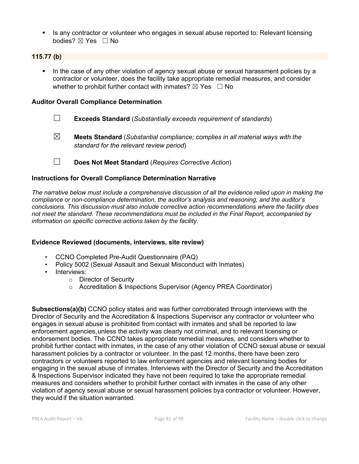■ Is any contractor or volunteer who engages in sexual abuse reported to: Relevant licensing bodies?  $\boxtimes$  Yes  $\Box$  No

## **115.77 (b)**

• In the case of any other violation of agency sexual abuse or sexual harassment policies by a contractor or volunteer, does the facility take appropriate remedial measures, and consider whether to prohibit further contact with inmates?  $\boxtimes$  Yes  $\Box$  No

### **Auditor Overall Compliance Determination**

- ☐ **Exceeds Standard** (*Substantially exceeds requirement of standards*)
- ☒ **Meets Standard** (*Substantial compliance; complies in all material ways with the standard for the relevant review period*)
- ☐ **Does Not Meet Standard** (*Requires Corrective Action*)

## **Instructions for Overall Compliance Determination Narrative**

*The narrative below must include a comprehensive discussion of all the evidence relied upon in making the compliance or non-compliance determination, the auditor's analysis and reasoning, and the auditor's conclusions. This discussion must also include corrective action recommendations where the facility does not meet the standard. These recommendations must be included in the Final Report, accompanied by information on specific corrective actions taken by the facility.*

#### **Evidence Reviewed (documents, interviews, site review)**

- CCNO Completed Pre-Audit Questionnaire (PAQ)
- Policy 5002 (Sexual Assault and Sexual Misconduct with Inmates)
- Interviews:
	- o Director of Security
	- o Accreditation & Inspections Supervisor (Agency PREA Coordinator)

**Subsections(a)(b)** CCNO policy states and was further corroborated through interviews with the Director of Security and the Accreditation & Inspections Supervisor any contractor or volunteer who engages in sexual abuse is prohibited from contact with inmates and shall be reported to law enforcement agencies, unless the activity was clearly not criminal, and to relevant licensing or endorsement bodies. The CCNO takes appropriate remedial measures, and considers whether to prohibit further contact with inmates, in the case of any other violation of CCNO sexual abuse or sexual harassment policies by a contractor or volunteer. In the past 12 months, there have been zero contractors or volunteers reported to law enforcement agencies and relevant licensing bodies for engaging in the sexual abuse of inmates. Interviews with the Director of Security and the Accreditation & Inspections Supervisor indicated they have not been required to take the appropriate remedial measures and considers whether to prohibit further contact with inmates in the case of any other violation of agency sexual abuse or sexual harassment policies bya contractor or volunteer. However, they would if the situation warranted.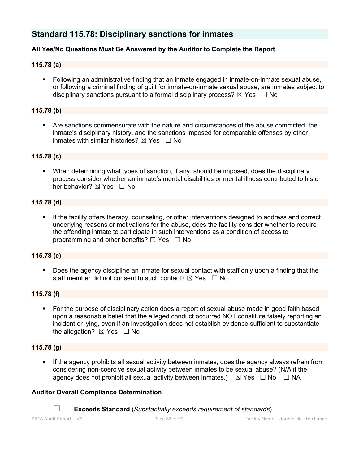# **Standard 115.78: Disciplinary sanctions for inmates**

## **All Yes/No Questions Must Be Answered by the Auditor to Complete the Report**

### **115.78 (a)**

§ Following an administrative finding that an inmate engaged in inmate-on-inmate sexual abuse, or following a criminal finding of guilt for inmate-on-inmate sexual abuse, are inmates subject to disciplinary sanctions pursuant to a formal disciplinary process?  $\boxtimes$  Yes  $\Box$  No

### **115.78 (b)**

§ Are sanctions commensurate with the nature and circumstances of the abuse committed, the inmate's disciplinary history, and the sanctions imposed for comparable offenses by other inmates with similar histories?  $\boxtimes$  Yes  $\Box$  No

#### **115.78 (c)**

• When determining what types of sanction, if any, should be imposed, does the disciplinary process consider whether an inmate's mental disabilities or mental illness contributed to his or her behavior?  $\boxtimes$  Yes  $\Box$  No

## **115.78 (d)**

§ If the facility offers therapy, counseling, or other interventions designed to address and correct underlying reasons or motivations for the abuse, does the facility consider whether to require the offending inmate to participate in such interventions as a condition of access to programming and other benefits?  $\boxtimes$  Yes  $\Box$  No

#### **115.78 (e)**

■ Does the agency discipline an inmate for sexual contact with staff only upon a finding that the staff member did not consent to such contact?  $\boxtimes$  Yes  $\Box$  No

#### **115.78 (f)**

• For the purpose of disciplinary action does a report of sexual abuse made in good faith based upon a reasonable belief that the alleged conduct occurred NOT constitute falsely reporting an incident or lying, even if an investigation does not establish evidence sufficient to substantiate the allegation?  $\boxtimes$  Yes  $\Box$  No

#### **115.78 (g)**

• If the agency prohibits all sexual activity between inmates, does the agency always refrain from considering non-coercive sexual activity between inmates to be sexual abuse? (N/A if the agency does not prohibit all sexual activity between inmates.)  $\boxtimes$  Yes  $\Box$  No  $\Box$  NA

#### **Auditor Overall Compliance Determination**

☐ **Exceeds Standard** (*Substantially exceeds requirement of standards*)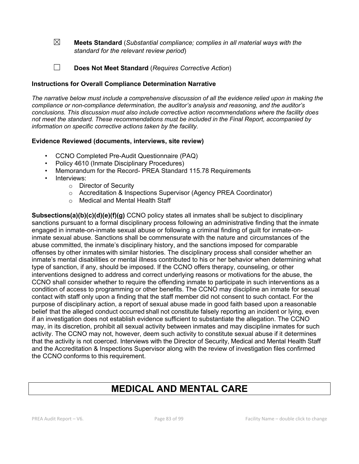☒ **Meets Standard** (*Substantial compliance; complies in all material ways with the standard for the relevant review period*)

☐ **Does Not Meet Standard** (*Requires Corrective Action*)

### **Instructions for Overall Compliance Determination Narrative**

*The narrative below must include a comprehensive discussion of all the evidence relied upon in making the compliance or non-compliance determination, the auditor's analysis and reasoning, and the auditor's conclusions. This discussion must also include corrective action recommendations where the facility does not meet the standard. These recommendations must be included in the Final Report, accompanied by information on specific corrective actions taken by the facility.*

#### **Evidence Reviewed (documents, interviews, site review)**

- CCNO Completed Pre-Audit Questionnaire (PAQ)
- Policy 4610 (Inmate Disciplinary Procedures)
- Memorandum for the Record- PREA Standard 115.78 Requirements
- Interviews:
	- o Director of Security
	- o Accreditation & Inspections Supervisor (Agency PREA Coordinator)
	- o Medical and Mental Health Staff

**Subsections(a)(b)(c)(d)(e)(f)(g)** CCNO policy states all inmates shall be subject to disciplinary sanctions pursuant to a formal disciplinary process following an administrative finding that the inmate engaged in inmate-on-inmate sexual abuse or following a criminal finding of guilt for inmate-oninmate sexual abuse. Sanctions shall be commensurate with the nature and circumstances of the abuse committed, the inmate's disciplinary history, and the sanctions imposed for comparable offenses by other inmates with similar histories. The disciplinary process shall consider whether an inmate's mental disabilities or mental illness contributed to his or her behavior when determining what type of sanction, if any, should be imposed. If the CCNO offers therapy, counseling, or other interventions designed to address and correct underlying reasons or motivations for the abuse, the CCNO shall consider whether to require the offending inmate to participate in such interventions as a condition of access to programming or other benefits. The CCNO may discipline an inmate for sexual contact with staff only upon a finding that the staff member did not consent to such contact. For the purpose of disciplinary action, a report of sexual abuse made in good faith based upon a reasonable belief that the alleged conduct occurred shall not constitute falsely reporting an incident or lying, even if an investigation does not establish evidence sufficient to substantiate the allegation. The CCNO may, in its discretion, prohibit all sexual activity between inmates and may discipline inmates for such activity. The CCNO may not, however, deem such activity to constitute sexual abuse if it determines that the activity is not coerced. Interviews with the Director of Security, Medical and Mental Health Staff and the Accreditation & Inspections Supervisor along with the review of investigation files confirmed the CCNO conforms to this requirement.

# **MEDICAL AND MENTAL CARE**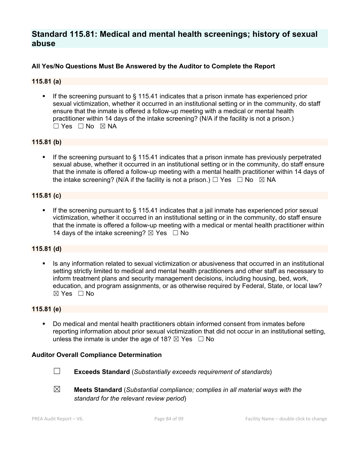# **Standard 115.81: Medical and mental health screenings; history of sexual abuse**

## **All Yes/No Questions Must Be Answered by the Auditor to Complete the Report**

### **115.81 (a)**

■ If the screening pursuant to § 115.41 indicates that a prison inmate has experienced prior sexual victimization, whether it occurred in an institutional setting or in the community, do staff ensure that the inmate is offered a follow-up meeting with a medical or mental health practitioner within 14 days of the intake screening? (N/A if the facility is not a prison.) ☐ Yes ☐ No ☒ NA

#### **115.81 (b)**

**•** If the screening pursuant to  $\S$  115.41 indicates that a prison inmate has previously perpetrated sexual abuse, whether it occurred in an institutional setting or in the community, do staff ensure that the inmate is offered a follow-up meeting with a mental health practitioner within 14 days of the intake screening? (N/A if the facility is not a prison.)  $\Box$  Yes  $\Box$  No  $\boxtimes$  NA

#### **115.81 (c)**

If the screening pursuant to  $\frac{1}{2}$  115.41 indicates that a jail inmate has experienced prior sexual victimization, whether it occurred in an institutional setting or in the community, do staff ensure that the inmate is offered a follow-up meeting with a medical or mental health practitioner within 14 days of the intake screening?  $\boxtimes$  Yes  $\Box$  No

#### **115.81 (d)**

■ Is any information related to sexual victimization or abusiveness that occurred in an institutional setting strictly limited to medical and mental health practitioners and other staff as necessary to inform treatment plans and security management decisions, including housing, bed, work, education, and program assignments, or as otherwise required by Federal, State, or local law? ☒ Yes ☐ No

#### **115.81 (e)**

§ Do medical and mental health practitioners obtain informed consent from inmates before reporting information about prior sexual victimization that did not occur in an institutional setting, unless the inmate is under the age of 18?  $\boxtimes$  Yes  $\Box$  No

#### **Auditor Overall Compliance Determination**



☐ **Exceeds Standard** (*Substantially exceeds requirement of standards*)

☒ **Meets Standard** (*Substantial compliance; complies in all material ways with the standard for the relevant review period*)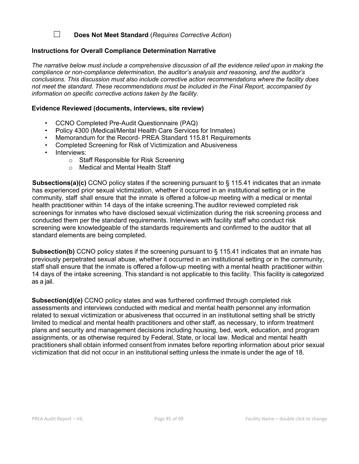☐ **Does Not Meet Standard** (*Requires Corrective Action*)

## **Instructions for Overall Compliance Determination Narrative**

*The narrative below must include a comprehensive discussion of all the evidence relied upon in making the compliance or non-compliance determination, the auditor's analysis and reasoning, and the auditor's conclusions. This discussion must also include corrective action recommendations where the facility does not meet the standard. These recommendations must be included in the Final Report, accompanied by information on specific corrective actions taken by the facility.*

## **Evidence Reviewed (documents, interviews, site review)**

- CCNO Completed Pre-Audit Questionnaire (PAQ)
- Policy 4300 (Medical/Mental Health Care Services for Inmates)
- Memorandum for the Record- PREA Standard 115.81 Requirements
- Completed Screening for Risk of Victimization and Abusiveness
- Interviews:
	- o Staff Responsible for Risk Screening
	- o Medical and Mental Health Staff

**Subsections(a)(c)** CCNO policy states if the screening pursuant to § 115.41 indicates that an inmate has experienced prior sexual victimization, whether it occurred in an institutional setting or in the community, staff shall ensure that the inmate is offered a follow-up meeting with a medical or mental health practitioner within 14 days of the intake screening.The auditor reviewed completed risk screenings for inmates who have disclosed sexual victimization during the risk screening process and conducted them per the standard requirements. Interviews with facility staff who conduct risk screening were knowledgeable of the standards requirements and confirmed to the auditor that all standard elements are being completed.

**Subsection(b)** CCNO policy states if the screening pursuant to § 115.41 indicates that an inmate has previously perpetrated sexual abuse, whether it occurred in an institutional setting or in the community, staff shall ensure that the inmate is offered a follow-up meeting with a mental health practitioner within 14 days of the intake screening. This standard is not applicable to this facility. This facility is categorized as a jail.

**Subsection(d)(e)** CCNO policy states and was furthered confirmed through completed risk assessments and interviews conducted with medical and mental health personnel any information related to sexual victimization or abusiveness that occurred in an institutional setting shall be strictly limited to medical and mental health practitioners and other staff, as necessary, to inform treatment plans and security and management decisions including housing, bed, work, education, and program assignments, or as otherwise required by Federal, State, or local law. Medical and mental health practitioners shall obtain informed consent from inmates before reporting information about prior sexual victimization that did not occur in an institutional setting unless the inmate is under the age of 18.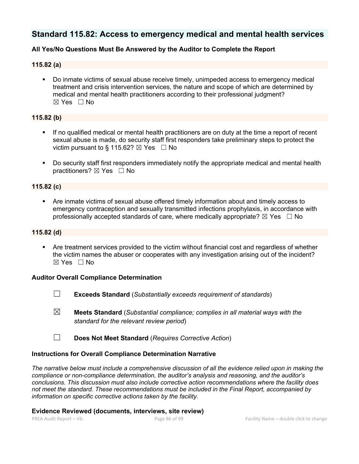# **Standard 115.82: Access to emergency medical and mental health services**

## **All Yes/No Questions Must Be Answered by the Auditor to Complete the Report**

#### **115.82 (a)**

§ Do inmate victims of sexual abuse receive timely, unimpeded access to emergency medical treatment and crisis intervention services, the nature and scope of which are determined by medical and mental health practitioners according to their professional judgment?  $\boxtimes$  Yes  $\Box$  No

## **115.82 (b)**

- If no qualified medical or mental health practitioners are on duty at the time a report of recent sexual abuse is made, do security staff first responders take preliminary steps to protect the victim pursuant to § 115.62?  $\boxtimes$  Yes  $\Box$  No
- Do security staff first responders immediately notify the appropriate medical and mental health practitioners?  $\boxtimes$  Yes  $\Box$  No

## **115.82 (c)**

§ Are inmate victims of sexual abuse offered timely information about and timely access to emergency contraception and sexually transmitted infections prophylaxis, in accordance with professionally accepted standards of care, where medically appropriate?  $\boxtimes$  Yes  $\Box$  No

### **115.82 (d)**

§ Are treatment services provided to the victim without financial cost and regardless of whether the victim names the abuser or cooperates with any investigation arising out of the incident? ☒ Yes ☐ No

#### **Auditor Overall Compliance Determination**

- ☐ **Exceeds Standard** (*Substantially exceeds requirement of standards*)
- ☒ **Meets Standard** (*Substantial compliance; complies in all material ways with the standard for the relevant review period*)
- ☐ **Does Not Meet Standard** (*Requires Corrective Action*)

#### **Instructions for Overall Compliance Determination Narrative**

*The narrative below must include a comprehensive discussion of all the evidence relied upon in making the compliance or non-compliance determination, the auditor's analysis and reasoning, and the auditor's conclusions. This discussion must also include corrective action recommendations where the facility does not meet the standard. These recommendations must be included in the Final Report, accompanied by information on specific corrective actions taken by the facility.*

#### **Evidence Reviewed (documents, interviews, site review)**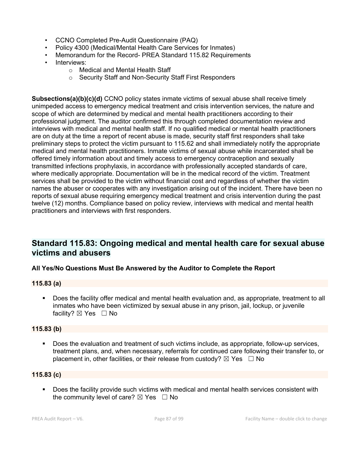- CCNO Completed Pre-Audit Questionnaire (PAQ)
- Policy 4300 (Medical/Mental Health Care Services for Inmates)
- Memorandum for the Record- PREA Standard 115.82 Requirements
- Interviews:
	- o Medical and Mental Health Staff
	- o Security Staff and Non-Security Staff First Responders

**Subsections(a)(b)(c)(d)** CCNO policy states inmate victims of sexual abuse shall receive timely unimpeded access to emergency medical treatment and crisis intervention services, the nature and scope of which are determined by medical and mental health practitioners according to their professional judgment. The auditor confirmed this through completed documentation review and interviews with medical and mental health staff. If no qualified medical or mental health practitioners are on duty at the time a report of recent abuse is made, security staff first responders shall take preliminary steps to protect the victim pursuant to 115.62 and shall immediately notify the appropriate medical and mental health practitioners. Inmate victims of sexual abuse while incarcerated shall be offered timely information about and timely access to emergency contraception and sexually transmitted infections prophylaxis, in accordance with professionally accepted standards of care, where medically appropriate. Documentation will be in the medical record of the victim. Treatment services shall be provided to the victim without financial cost and regardless of whether the victim names the abuser or cooperates with any investigation arising out of the incident. There have been no reports of sexual abuse requiring emergency medical treatment and crisis intervention during the past twelve (12) months. Compliance based on policy review, interviews with medical and mental health practitioners and interviews with first responders.

# **Standard 115.83: Ongoing medical and mental health care for sexual abuse victims and abusers**

## **All Yes/No Questions Must Be Answered by the Auditor to Complete the Report**

## **115.83 (a)**

§ Does the facility offer medical and mental health evaluation and, as appropriate, treatment to all inmates who have been victimized by sexual abuse in any prison, jail, lockup, or juvenile facility? ⊠ Yes □ No

## **115.83 (b)**

§ Does the evaluation and treatment of such victims include, as appropriate, follow-up services, treatment plans, and, when necessary, referrals for continued care following their transfer to, or placement in, other facilities, or their release from custody?  $\boxtimes$  Yes  $\Box$  No

## **115.83 (c)**

■ Does the facility provide such victims with medical and mental health services consistent with the community level of care?  $\boxtimes$  Yes  $\Box$  No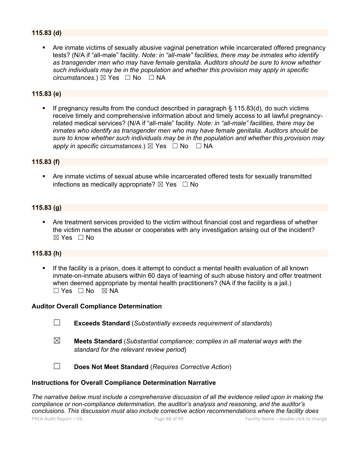## **115.83 (d)**

Are inmate victims of sexually abusive vaginal penetration while incarcerated offered pregnancy tests? (N/A if "all-male" facility. *Note: in "all-male" facilities, there may be inmates who identify as transgender men who may have female genitalia. Auditors should be sure to know whether such individuals may be in the population and whether this provision may apply in specific circumstances.*) ⊠ Yes  $□$  No  $□$  NA

#### **115.83 (e)**

■ If pregnancy results from the conduct described in paragraph § 115.83(d), do such victims receive timely and comprehensive information about and timely access to all lawful pregnancyrelated medical services? (N/A if "all-male" facility. *Note: in "all-male" facilities, there may be inmates who identify as transgender men who may have female genitalia. Auditors should be sure to know whether such individuals may be in the population and whether this provision may apply in specific circumstances.*)  $\boxtimes$  Yes  $\Box$  No  $\Box$  NA

#### **115.83 (f)**

■ Are inmate victims of sexual abuse while incarcerated offered tests for sexually transmitted infections as medically appropriate?  $\boxtimes$  Yes  $\Box$  No

#### **115.83 (g)**

§ Are treatment services provided to the victim without financial cost and regardless of whether the victim names the abuser or cooperates with any investigation arising out of the incident?  $\boxtimes$  Yes  $\Box$  No

#### **115.83 (h)**

If the facility is a prison, does it attempt to conduct a mental health evaluation of all known inmate-on-inmate abusers within 60 days of learning of such abuse history and offer treatment when deemed appropriate by mental health practitioners? (NA if the facility is a jail.) ☐ Yes ☐ No ☒ NA

#### **Auditor Overall Compliance Determination**

- ☐ **Exceeds Standard** (*Substantially exceeds requirement of standards*)
- ☒ **Meets Standard** (*Substantial compliance; complies in all material ways with the standard for the relevant review period*)
- 

☐ **Does Not Meet Standard** (*Requires Corrective Action*)

#### **Instructions for Overall Compliance Determination Narrative**

*The narrative below must include a comprehensive discussion of all the evidence relied upon in making the compliance or non-compliance determination, the auditor's analysis and reasoning, and the auditor's conclusions. This discussion must also include corrective action recommendations where the facility does*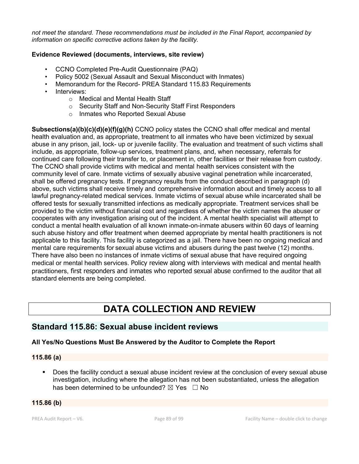*not meet the standard. These recommendations must be included in the Final Report, accompanied by information on specific corrective actions taken by the facility.*

## **Evidence Reviewed (documents, interviews, site review)**

- CCNO Completed Pre-Audit Questionnaire (PAQ)
- Policy 5002 (Sexual Assault and Sexual Misconduct with Inmates)
- Memorandum for the Record- PREA Standard 115.83 Requirements
- Interviews:
	- o Medical and Mental Health Staff
	- o Security Staff and Non-Security Staff First Responders
	- o Inmates who Reported Sexual Abuse

**Subsections(a)(b)(c)(d)(e)(f)(g)(h)** CCNO policy states the CCNO shall offer medical and mental health evaluation and, as appropriate, treatment to all inmates who have been victimized by sexual abuse in any prison, jail, lock- up or juvenile facility. The evaluation and treatment of such victims shall include, as appropriate, follow-up services, treatment plans, and, when necessary, referrals for continued care following their transfer to, or placement in, other facilities or their release from custody. The CCNO shall provide victims with medical and mental health services consistent with the community level of care. Inmate victims of sexually abusive vaginal penetration while incarcerated, shall be offered pregnancy tests. If pregnancy results from the conduct described in paragraph (d) above, such victims shall receive timely and comprehensive information about and timely access to all lawful pregnancy-related medical services. Inmate victims of sexual abuse while incarcerated shall be offered tests for sexually transmitted infections as medically appropriate. Treatment services shall be provided to the victim without financial cost and regardless of whether the victim names the abuser or cooperates with any investigation arising out of the incident. A mental health specialist will attempt to conduct a mental health evaluation of all known inmate-on-inmate abusers within 60 days of learning such abuse history and offer treatment when deemed appropriate by mental health practitioners is not applicable to this facility. This facility is categorized as a jail. There have been no ongoing medical and mental care requirements for sexual abuse victims and abusers during the past twelve (12) months. There have also been no instances of inmate victims of sexual abuse that have required ongoing medical or mental health services. Policy review along with interviews with medical and mental health practitioners, first responders and inmates who reported sexual abuse confirmed to the auditor that all standard elements are being completed.

# **DATA COLLECTION AND REVIEW**

# **Standard 115.86: Sexual abuse incident reviews**

## **All Yes/No Questions Must Be Answered by the Auditor to Complete the Report**

## **115.86 (a)**

• Does the facility conduct a sexual abuse incident review at the conclusion of every sexual abuse investigation, including where the allegation has not been substantiated, unless the allegation has been determined to be unfounded?  $\boxtimes$  Yes  $\Box$  No

## **115.86 (b)**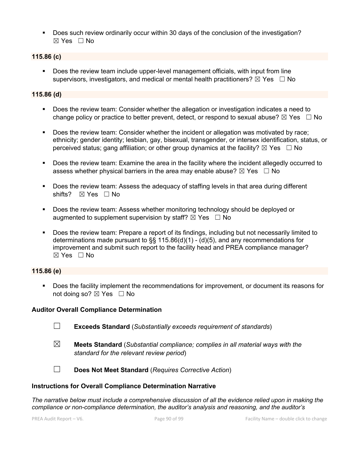§ Does such review ordinarily occur within 30 days of the conclusion of the investigation?  $\boxtimes$  Yes  $\Box$  No

## **115.86 (c)**

Does the review team include upper-level management officials, with input from line supervisors, investigators, and medical or mental health practitioners?  $\boxtimes$  Yes  $\Box$  No

### **115.86 (d)**

- § Does the review team: Consider whether the allegation or investigation indicates a need to change policy or practice to better prevent, detect, or respond to sexual abuse?  $\boxtimes$  Yes  $\Box$  No
- § Does the review team: Consider whether the incident or allegation was motivated by race; ethnicity; gender identity; lesbian, gay, bisexual, transgender, or intersex identification, status, or perceived status; gang affiliation; or other group dynamics at the facility?  $\boxtimes$  Yes  $\Box$  No
- § Does the review team: Examine the area in the facility where the incident allegedly occurred to assess whether physical barriers in the area may enable abuse?  $\boxtimes$  Yes  $\Box$  No
- Does the review team: Assess the adequacy of staffing levels in that area during different shifts? ⊠ Yes □ No
- Does the review team: Assess whether monitoring technology should be deployed or augmented to supplement supervision by staff?  $\boxtimes$  Yes  $\Box$  No
- Does the review team: Prepare a report of its findings, including but not necessarily limited to determinations made pursuant to §§ 115.86(d)(1) - (d)(5), and any recommendations for improvement and submit such report to the facility head and PREA compliance manager?  $\boxtimes$  Yes  $\Box$  No

## **115.86 (e)**

§ Does the facility implement the recommendations for improvement, or document its reasons for not doing so?  $\boxtimes$  Yes  $\Box$  No

## **Auditor Overall Compliance Determination**

- 
- ☐ **Exceeds Standard** (*Substantially exceeds requirement of standards*)
- ☒ **Meets Standard** (*Substantial compliance; complies in all material ways with the standard for the relevant review period*)
- ☐ **Does Not Meet Standard** (*Requires Corrective Action*)

## **Instructions for Overall Compliance Determination Narrative**

*The narrative below must include a comprehensive discussion of all the evidence relied upon in making the compliance or non-compliance determination, the auditor's analysis and reasoning, and the auditor's*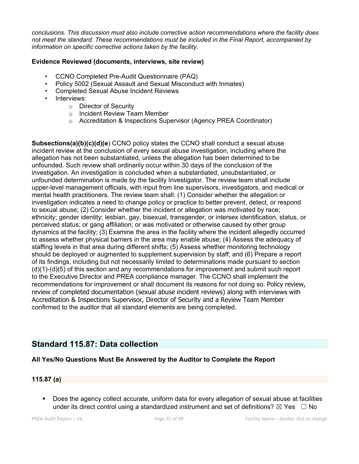*conclusions. This discussion must also include corrective action recommendations where the facility does not meet the standard. These recommendations must be included in the Final Report, accompanied by information on specific corrective actions taken by the facility.*

### **Evidence Reviewed (documents, interviews, site review)**

- CCNO Completed Pre-Audit Questionnaire (PAQ)
- Policy 5002 (Sexual Assault and Sexual Misconduct with Inmates)
- Completed Sexual Abuse Incident Reviews
- Interviews:
	- o Director of Security
	- o Incident Review Team Member
	- o Accreditation & Inspections Supervisor (Agency PREA Coordinator)

**Subsections(a)(b)(c)(d)(e**) CCNO policy states the CCNO shall conduct a sexual abuse incident review at the conclusion of every sexual abuse investigation, including where the allegation has not been substantiated, unless the allegation has been determined to be unfounded. Such review shall ordinarily occur within 30 days of the conclusion of the investigation. An investigation is concluded when a substantiated, unsubstantiated, or unfounded determination is made by the facility Investigator. The review team shall include upper-level management officials, with input from line supervisors, investigators, and medical or mental health practitioners. The review team shall: (1) Consider whether the allegation or investigation indicates a need to change policy or practice to better prevent, detect, or respond to sexual abuse; (2) Consider whether the incident or allegation was motivated by race; ethnicity; gender identity; lesbian, gay, bisexual, transgender, or intersex identification, status, or perceived status; or gang affiliation; or was motivated or otherwise caused by other group dynamics at the facility; (3) Examine the area in the facility where the incident allegedly occurred to assess whether physical barriers in the area may enable abuse; (4) Assess the adequacy of staffing levels in that area during different shifts; (5) Assess whether monitoring technology should be deployed or augmented to supplement supervision by staff; and (6) Prepare a report of its findings, including but not necessarily limited to determinations made pursuant to section (d)(1)-(d)(5) of this section and any recommendations for improvement and submit such report to the Executive Director and PREA compliance manager. The CCNO shall implement the recommendations for improvement or shall document its reasons for not doing so. Policy review, review of completed documentation (sexual abuse incident reviews) along with interviews with Accreditation & Inspections Supervisor, Director of Security and a Review Team Member confirmed to the auditor that all standard elements are being completed.

# **Standard 115.87: Data collection**

## **All Yes/No Questions Must Be Answered by the Auditor to Complete the Report**

#### **115.87 (a)**

§ Does the agency collect accurate, uniform data for every allegation of sexual abuse at facilities under its direct control using a standardized instrument and set of definitions?  $\boxtimes$  Yes  $\Box$  No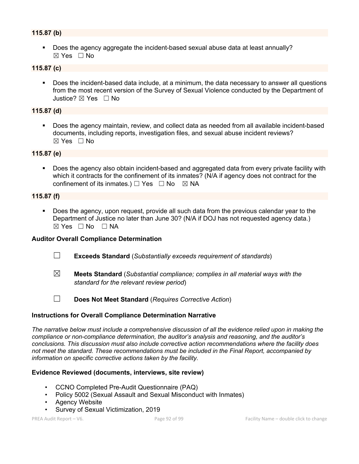## **115.87 (b)**

§ Does the agency aggregate the incident-based sexual abuse data at least annually?  $\boxtimes$  Yes  $\Box$  No

## **115.87 (c)**

• Does the incident-based data include, at a minimum, the data necessary to answer all questions from the most recent version of the Survey of Sexual Violence conducted by the Department of Justice? ☒ Yes ☐ No

#### **115.87 (d)**

■ Does the agency maintain, review, and collect data as needed from all available incident-based documents, including reports, investigation files, and sexual abuse incident reviews? ☒ Yes ☐ No

#### **115.87 (e)**

Does the agency also obtain incident-based and aggregated data from every private facility with which it contracts for the confinement of its inmates? (N/A if agency does not contract for the confinement of its inmates.)  $\Box$  Yes  $\Box$  No  $\boxtimes$  NA

#### **115.87 (f)**

§ Does the agency, upon request, provide all such data from the previous calendar year to the Department of Justice no later than June 30? (N/A if DOJ has not requested agency data.)  $\boxtimes$  Yes  $\Box$  No  $\Box$  NA

#### **Auditor Overall Compliance Determination**

- ☐ **Exceeds Standard** (*Substantially exceeds requirement of standards*)
- ☒ **Meets Standard** (*Substantial compliance; complies in all material ways with the standard for the relevant review period*)

☐ **Does Not Meet Standard** (*Requires Corrective Action*)

#### **Instructions for Overall Compliance Determination Narrative**

*The narrative below must include a comprehensive discussion of all the evidence relied upon in making the compliance or non-compliance determination, the auditor's analysis and reasoning, and the auditor's conclusions. This discussion must also include corrective action recommendations where the facility does not meet the standard. These recommendations must be included in the Final Report, accompanied by information on specific corrective actions taken by the facility.*

#### **Evidence Reviewed (documents, interviews, site review)**

- CCNO Completed Pre-Audit Questionnaire (PAQ)
- Policy 5002 (Sexual Assault and Sexual Misconduct with Inmates)
- Agency Website
- Survey of Sexual Victimization, 2019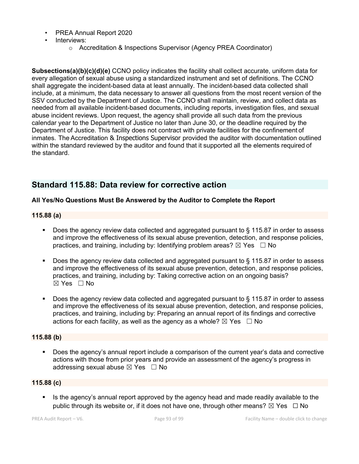- PREA Annual Report 2020
- Interviews:
	- o Accreditation & Inspections Supervisor (Agency PREA Coordinator)

**Subsections(a)(b)(c)(d)(e)** CCNO policy indicates the facility shall collect accurate, uniform data for every allegation of sexual abuse using a standardized instrument and set of definitions. The CCNO shall aggregate the incident-based data at least annually. The incident-based data collected shall include, at a minimum, the data necessary to answer all questions from the most recent version of the SSV conducted by the Department of Justice. The CCNO shall maintain, review, and collect data as needed from all available incident-based documents, including reports, investigation files, and sexual abuse incident reviews. Upon request, the agency shall provide all such data from the previous calendar year to the Department of Justice no later than June 30, or the deadline required by the Department of Justice. This facility does not contract with private facilities for the confinement of inmates. The Accreditation & Inspections Supervisor provided the auditor with documentation outlined within the standard reviewed by the auditor and found that it supported all the elements required of the standard.

# **Standard 115.88: Data review for corrective action**

## **All Yes/No Questions Must Be Answered by the Auditor to Complete the Report**

#### **115.88 (a)**

- Does the agency review data collected and aggregated pursuant to § 115.87 in order to assess and improve the effectiveness of its sexual abuse prevention, detection, and response policies, practices, and training, including by: Identifying problem areas?  $\boxtimes$  Yes  $\Box$  No
- Does the agency review data collected and aggregated pursuant to § 115.87 in order to assess and improve the effectiveness of its sexual abuse prevention, detection, and response policies, practices, and training, including by: Taking corrective action on an ongoing basis?  $\boxtimes$  Yes  $\Box$  No
- Does the agency review data collected and aggregated pursuant to § 115.87 in order to assess and improve the effectiveness of its sexual abuse prevention, detection, and response policies, practices, and training, including by: Preparing an annual report of its findings and corrective actions for each facility, as well as the agency as a whole?  $\boxtimes$  Yes  $\Box$  No

## **115.88 (b)**

Does the agency's annual report include a comparison of the current year's data and corrective actions with those from prior years and provide an assessment of the agency's progress in addressing sexual abuse  $\boxtimes$  Yes  $\Box$  No

## **115.88 (c)**

■ Is the agency's annual report approved by the agency head and made readily available to the public through its website or, if it does not have one, through other means?  $\boxtimes$  Yes  $\Box$  No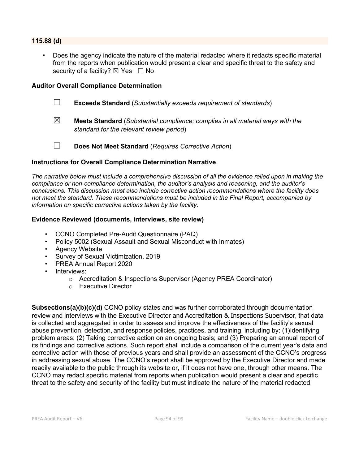#### **115.88 (d)**

Does the agency indicate the nature of the material redacted where it redacts specific material from the reports when publication would present a clear and specific threat to the safety and security of a facility?  $\boxtimes$  Yes  $\Box$  No

#### **Auditor Overall Compliance Determination**

- ☐ **Exceeds Standard** (*Substantially exceeds requirement of standards*)
- ☒ **Meets Standard** (*Substantial compliance; complies in all material ways with the standard for the relevant review period*)
- 
- ☐ **Does Not Meet Standard** (*Requires Corrective Action*)

#### **Instructions for Overall Compliance Determination Narrative**

*The narrative below must include a comprehensive discussion of all the evidence relied upon in making the compliance or non-compliance determination, the auditor's analysis and reasoning, and the auditor's conclusions. This discussion must also include corrective action recommendations where the facility does not meet the standard. These recommendations must be included in the Final Report, accompanied by information on specific corrective actions taken by the facility.*

#### **Evidence Reviewed (documents, interviews, site review)**

- CCNO Completed Pre-Audit Questionnaire (PAQ)
- Policy 5002 (Sexual Assault and Sexual Misconduct with Inmates)
- Agency Website
- Survey of Sexual Victimization, 2019
- PREA Annual Report 2020
- Interviews:
	- o Accreditation & Inspections Supervisor (Agency PREA Coordinator)
	- o Executive Director

**Subsections(a)(b)(c)(d)** CCNO policy states and was further corroborated through documentation review and interviews with the Executive Director and Accreditation & Inspections Supervisor, that data is collected and aggregated in order to assess and improve the effectiveness of the facility's sexual abuse prevention, detection, and response policies, practices, and training, including by: (1)Identifying problem areas; (2) Taking corrective action on an ongoing basis; and (3) Preparing an annual report of its findings and corrective actions. Such report shall include a comparison of the current year's data and corrective action with those of previous years and shall provide an assessment of the CCNO's progress in addressing sexual abuse. The CCNO's report shall be approved by the Executive Director and made readily available to the public through its website or, if it does not have one, through other means. The CCNO may redact specific material from reports when publication would present a clear and specific threat to the safety and security of the facility but must indicate the nature of the material redacted.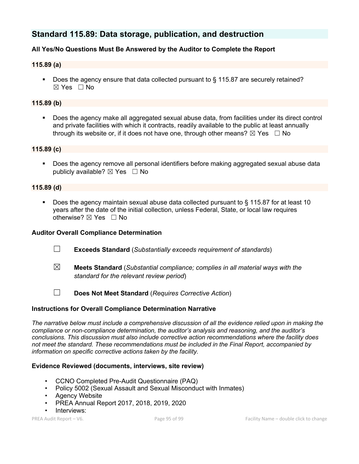# **Standard 115.89: Data storage, publication, and destruction**

## **All Yes/No Questions Must Be Answered by the Auditor to Complete the Report**

#### **115.89 (a)**

■ Does the agency ensure that data collected pursuant to § 115.87 are securely retained? ☒ Yes ☐ No

#### **115.89 (b)**

■ Does the agency make all aggregated sexual abuse data, from facilities under its direct control and private facilities with which it contracts, readily available to the public at least annually through its website or, if it does not have one, through other means?  $\boxtimes$  Yes  $\Box$  No

#### **115.89 (c)**

■ Does the agency remove all personal identifiers before making aggregated sexual abuse data publicly available?  $\boxtimes$  Yes  $\Box$  No

#### **115.89 (d)**

§ Does the agency maintain sexual abuse data collected pursuant to § 115.87 for at least 10 years after the date of the initial collection, unless Federal, State, or local law requires otherwise?  $\boxtimes$  Yes  $\Box$  No

#### **Auditor Overall Compliance Determination**

- ☐ **Exceeds Standard** (*Substantially exceeds requirement of standards*)
- ☒ **Meets Standard** (*Substantial compliance; complies in all material ways with the standard for the relevant review period*)
- ☐ **Does Not Meet Standard** (*Requires Corrective Action*)

#### **Instructions for Overall Compliance Determination Narrative**

*The narrative below must include a comprehensive discussion of all the evidence relied upon in making the compliance or non-compliance determination, the auditor's analysis and reasoning, and the auditor's conclusions. This discussion must also include corrective action recommendations where the facility does not meet the standard. These recommendations must be included in the Final Report, accompanied by information on specific corrective actions taken by the facility.*

#### **Evidence Reviewed (documents, interviews, site review)**

- CCNO Completed Pre-Audit Questionnaire (PAQ)
- Policy 5002 (Sexual Assault and Sexual Misconduct with Inmates)
- **Agency Website**
- PREA Annual Report 2017, 2018, 2019, 2020
- Interviews: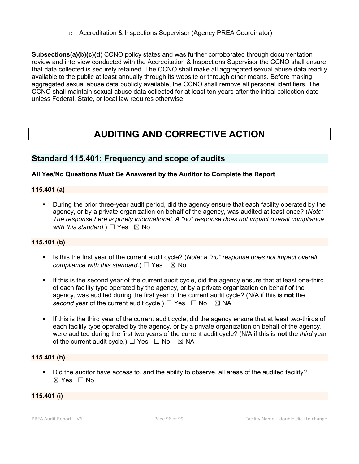o Accreditation & Inspections Supervisor (Agency PREA Coordinator)

**Subsections(a)(b)(c)(d**) CCNO policy states and was further corroborated through documentation review and interview conducted with the Accreditation & Inspections Supervisor the CCNO shall ensure that data collected is securely retained. The CCNO shall make all aggregated sexual abuse data readily available to the public at least annually through its website or through other means. Before making aggregated sexual abuse data publicly available, the CCNO shall remove all personal identifiers. The CCNO shall maintain sexual abuse data collected for at least ten years after the initial collection date unless Federal, State, or local law requires otherwise.

# **AUDITING AND CORRECTIVE ACTION**

## **Standard 115.401: Frequency and scope of audits**

## **All Yes/No Questions Must Be Answered by the Auditor to Complete the Report**

## **115.401 (a)**

§ During the prior three-year audit period, did the agency ensure that each facility operated by the agency, or by a private organization on behalf of the agency, was audited at least once? (*Note: The response here is purely informational. A "no" response does not impact overall compliance with this standard.*)  $\Box$  Yes  $\boxtimes$  No

## **115.401 (b)**

- Is this the first year of the current audit cycle? (*Note: a "no" response does not impact overall compliance with this standard.*)  $\Box$  Yes  $\boxtimes$  No
- **•** If this is the second year of the current audit cycle, did the agency ensure that at least one-third of each facility type operated by the agency, or by a private organization on behalf of the agency, was audited during the first year of the current audit cycle? (N/A if this is **not** the *second* year of the current audit cycle.)  $\Box$  Yes  $\Box$  No  $\boxtimes$  NA
- § If this is the third year of the current audit cycle, did the agency ensure that at least two-thirds of each facility type operated by the agency, or by a private organization on behalf of the agency, were audited during the first two years of the current audit cycle? (N/A if this is **not** the *third* year of the current audit cycle.)  $\Box$  Yes  $\Box$  No  $\boxtimes$  NA

## **115.401 (h)**

• Did the auditor have access to, and the ability to observe, all areas of the audited facility? ☒ Yes ☐ No

## **115.401 (i)**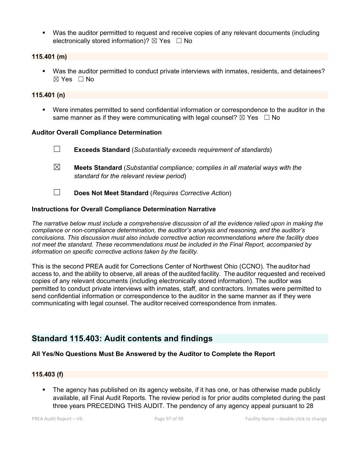• Was the auditor permitted to request and receive copies of any relevant documents (including electronically stored information)?  $\boxtimes$  Yes  $\Box$  No

#### **115.401 (m)**

§ Was the auditor permitted to conduct private interviews with inmates, residents, and detainees?  $\boxtimes$  Yes  $\Box$  No

#### **115.401 (n)**

§ Were inmates permitted to send confidential information or correspondence to the auditor in the same manner as if they were communicating with legal counsel?  $\boxtimes$  Yes  $\Box$  No

#### **Auditor Overall Compliance Determination**

- ☐ **Exceeds Standard** (*Substantially exceeds requirement of standards*)
- ☒ **Meets Standard** (*Substantial compliance; complies in all material ways with the standard for the relevant review period*)
- ☐ **Does Not Meet Standard** (*Requires Corrective Action*)

## **Instructions for Overall Compliance Determination Narrative**

*The narrative below must include a comprehensive discussion of all the evidence relied upon in making the compliance or non-compliance determination, the auditor's analysis and reasoning, and the auditor's conclusions. This discussion must also include corrective action recommendations where the facility does not meet the standard. These recommendations must be included in the Final Report, accompanied by information on specific corrective actions taken by the facility.*

This is the second PREA audit for Corrections Center of Northwest Ohio (CCNO). The auditor had access to, and the ability to observe, all areas of the audited facility. The auditor requested and received copies of any relevant documents (including electronically stored information). The auditor was permitted to conduct private interviews with inmates, staff, and contractors. Inmates were permitted to send confidential information or correspondence to the auditor in the same manner as if they were communicating with legal counsel. The auditor received correspondence from inmates.

# **Standard 115.403: Audit contents and findings**

## **All Yes/No Questions Must Be Answered by the Auditor to Complete the Report**

#### **115.403 (f)**

• The agency has published on its agency website, if it has one, or has otherwise made publicly available, all Final Audit Reports. The review period is for prior audits completed during the past three years PRECEDING THIS AUDIT. The pendency of any agency appeal pursuant to 28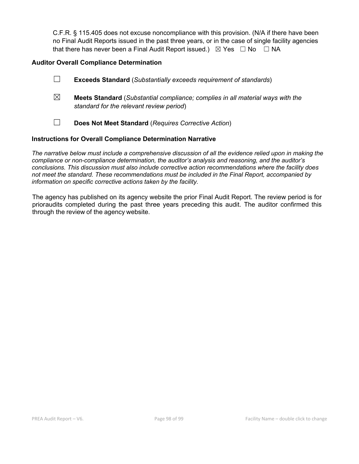C.F.R. § 115.405 does not excuse noncompliance with this provision. (N/A if there have been no Final Audit Reports issued in the past three years, or in the case of single facility agencies that there has never been a Final Audit Report issued.)  $\boxtimes$  Yes  $\Box$  No  $\Box$  NA

## **Auditor Overall Compliance Determination**

| $\mathcal{L}_{\mathcal{A}}$ | <b>Exceeds Standard</b> (Substantially exceeds requirement of standards) |
|-----------------------------|--------------------------------------------------------------------------|
|                             |                                                                          |

- ☒ **Meets Standard** (*Substantial compliance; complies in all material ways with the standard for the relevant review period*)
- ☐ **Does Not Meet Standard** (*Requires Corrective Action*)

#### **Instructions for Overall Compliance Determination Narrative**

*The narrative below must include a comprehensive discussion of all the evidence relied upon in making the compliance or non-compliance determination, the auditor's analysis and reasoning, and the auditor's conclusions. This discussion must also include corrective action recommendations where the facility does not meet the standard. These recommendations must be included in the Final Report, accompanied by information on specific corrective actions taken by the facility.*

The agency has published on its agency website the prior Final Audit Report. The review period is for prioraudits completed during the past three years preceding this audit. The auditor confirmed this through the review of the agency website.